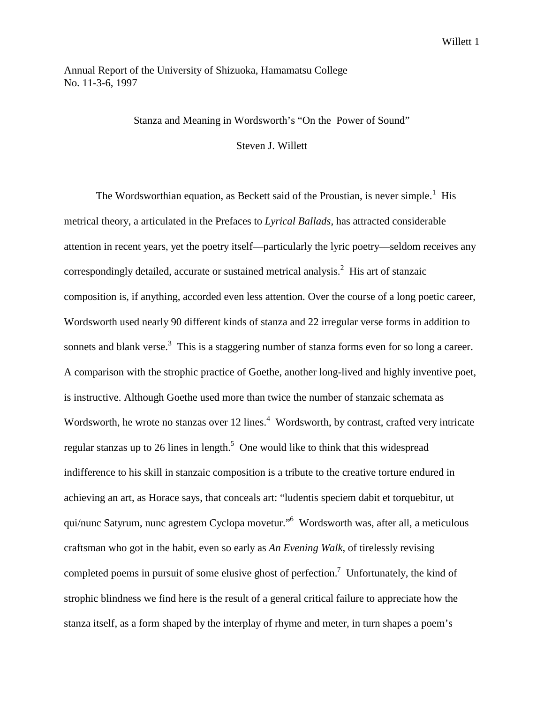# Annual Report of the University of Shizuoka, Hamamatsu College No. 11-3-6, 1997

#### Stanza and Meaning in Wordsworth's "On the Power of Sound"

Steven J. Willett

The Wordsworthian equation, as Beckett said of the Proustian, is never simple.<sup>1</sup> His metrical theory, a articulated in the Prefaces to *Lyrical Ballads*, has attracted considerable attention in recent years, yet the poetry itself—particularly the lyric poetry—seldom receives any correspondingly detailed, accurate or sustained metrical analysis. $2$  His art of stanzaic composition is, if anything, accorded even less attention. Over the course of a long poetic career, Wordsworth used nearly 90 different kinds of stanza and 22 irregular verse forms in addition to sonnets and blank verse.<sup>3</sup> This is a staggering number of stanza forms even for so long a career. A comparison with the strophic practice of Goethe, another long-lived and highly inventive poet, is instructive. Although Goethe used more than twice the number of stanzaic schemata as Wordsworth, he wrote no stanzas over 12 lines.<sup>4</sup> Wordsworth, by contrast, crafted very intricate regular stanzas up to 26 lines in length.<sup>5</sup> One would like to think that this widespread indifference to his skill in stanzaic composition is a tribute to the creative torture endured in achieving an art, as Horace says, that conceals art: "ludentis speciem dabit et torquebitur, ut qui/nunc Satyrum, nunc agrestem Cyclopa movetur."6 Wordsworth was, after all, a meticulous craftsman who got in the habit, even so early as *An Evening Walk*, of tirelessly revising completed poems in pursuit of some elusive ghost of perfection.<sup>7</sup> Unfortunately, the kind of strophic blindness we find here is the result of a general critical failure to appreciate how the stanza itself, as a form shaped by the interplay of rhyme and meter, in turn shapes a poem's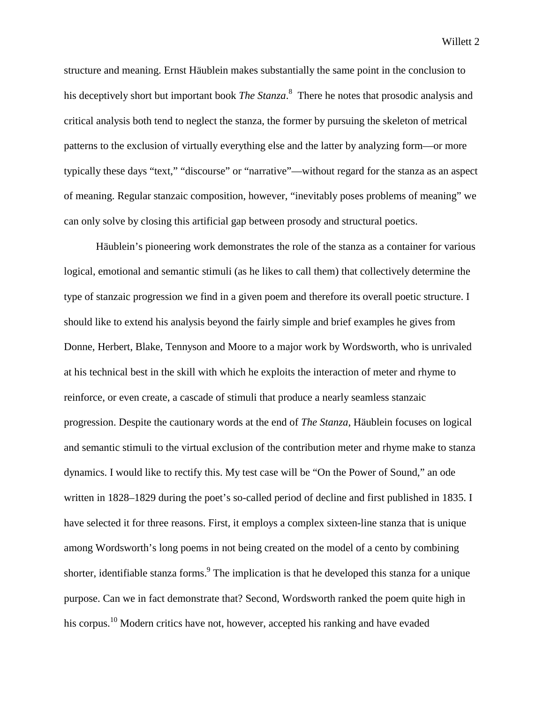structure and meaning. Ernst Häublein makes substantially the same point in the conclusion to his deceptively short but important book *The Stanza*. 8 There he notes that prosodic analysis and critical analysis both tend to neglect the stanza, the former by pursuing the skeleton of metrical patterns to the exclusion of virtually everything else and the latter by analyzing form—or more typically these days "text," "discourse" or "narrative"—without regard for the stanza as an aspect of meaning. Regular stanzaic composition, however, "inevitably poses problems of meaning" we can only solve by closing this artificial gap between prosody and structural poetics.

Häublein's pioneering work demonstrates the role of the stanza as a container for various logical, emotional and semantic stimuli (as he likes to call them) that collectively determine the type of stanzaic progression we find in a given poem and therefore its overall poetic structure. I should like to extend his analysis beyond the fairly simple and brief examples he gives from Donne, Herbert, Blake, Tennyson and Moore to a major work by Wordsworth, who is unrivaled at his technical best in the skill with which he exploits the interaction of meter and rhyme to reinforce, or even create, a cascade of stimuli that produce a nearly seamless stanzaic progression. Despite the cautionary words at the end of *The Stanza*, Häublein focuses on logical and semantic stimuli to the virtual exclusion of the contribution meter and rhyme make to stanza dynamics. I would like to rectify this. My test case will be "On the Power of Sound," an ode written in 1828–1829 during the poet's so-called period of decline and first published in 1835. I have selected it for three reasons. First, it employs a complex sixteen-line stanza that is unique among Wordsworth's long poems in not being created on the model of a cento by combining shorter, identifiable stanza forms.<sup>9</sup> The implication is that he developed this stanza for a unique purpose. Can we in fact demonstrate that? Second, Wordsworth ranked the poem quite high in his corpus.<sup>10</sup> Modern critics have not, however, accepted his ranking and have evaded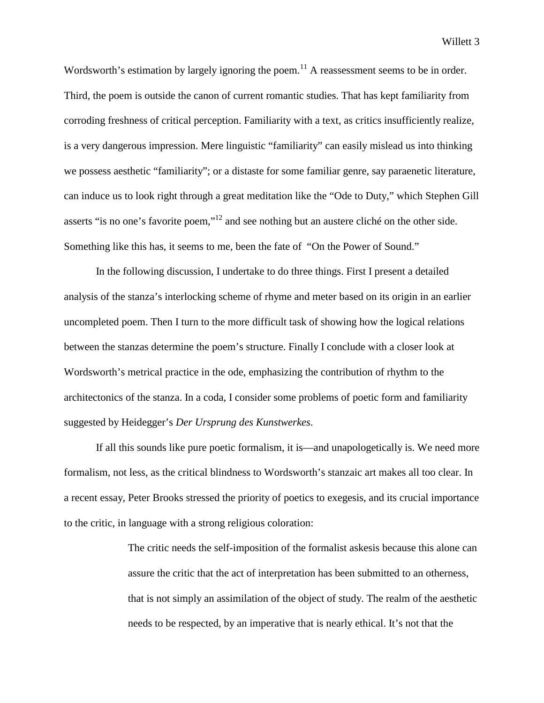Wordsworth's estimation by largely ignoring the poem.<sup>11</sup> A reassessment seems to be in order. Third, the poem is outside the canon of current romantic studies. That has kept familiarity from corroding freshness of critical perception. Familiarity with a text, as critics insufficiently realize, is a very dangerous impression. Mere linguistic "familiarity" can easily mislead us into thinking we possess aesthetic "familiarity"; or a distaste for some familiar genre, say paraenetic literature, can induce us to look right through a great meditation like the "Ode to Duty," which Stephen Gill asserts "is no one's favorite poem,"12 and see nothing but an austere cliché on the other side. Something like this has, it seems to me, been the fate of "On the Power of Sound."

In the following discussion, I undertake to do three things. First I present a detailed analysis of the stanza's interlocking scheme of rhyme and meter based on its origin in an earlier uncompleted poem. Then I turn to the more difficult task of showing how the logical relations between the stanzas determine the poem's structure. Finally I conclude with a closer look at Wordsworth's metrical practice in the ode, emphasizing the contribution of rhythm to the architectonics of the stanza. In a coda, I consider some problems of poetic form and familiarity suggested by Heidegger's *Der Ursprung des Kunstwerkes*.

If all this sounds like pure poetic formalism, it is—and unapologetically is. We need more formalism, not less, as the critical blindness to Wordsworth's stanzaic art makes all too clear. In a recent essay, Peter Brooks stressed the priority of poetics to exegesis, and its crucial importance to the critic, in language with a strong religious coloration:

> The critic needs the self-imposition of the formalist askesis because this alone can assure the critic that the act of interpretation has been submitted to an otherness, that is not simply an assimilation of the object of study. The realm of the aesthetic needs to be respected, by an imperative that is nearly ethical. It's not that the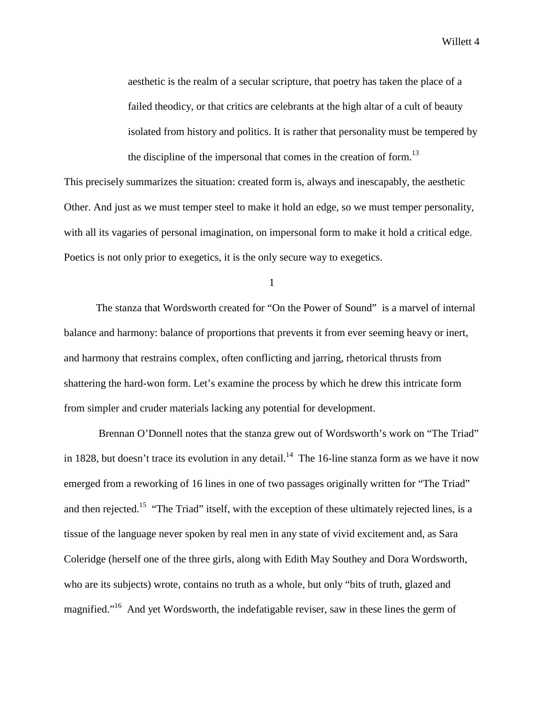aesthetic is the realm of a secular scripture, that poetry has taken the place of a failed theodicy, or that critics are celebrants at the high altar of a cult of beauty isolated from history and politics. It is rather that personality must be tempered by the discipline of the impersonal that comes in the creation of form.<sup>13</sup>

This precisely summarizes the situation: created form is, always and inescapably, the aesthetic Other. And just as we must temper steel to make it hold an edge, so we must temper personality, with all its vagaries of personal imagination, on impersonal form to make it hold a critical edge. Poetics is not only prior to exegetics, it is the only secure way to exegetics.

1

The stanza that Wordsworth created for "On the Power of Sound" is a marvel of internal balance and harmony: balance of proportions that prevents it from ever seeming heavy or inert, and harmony that restrains complex, often conflicting and jarring, rhetorical thrusts from shattering the hard-won form. Let's examine the process by which he drew this intricate form from simpler and cruder materials lacking any potential for development.

 Brennan O'Donnell notes that the stanza grew out of Wordsworth's work on "The Triad" in 1828, but doesn't trace its evolution in any detail.<sup>14</sup> The 16-line stanza form as we have it now emerged from a reworking of 16 lines in one of two passages originally written for "The Triad" and then rejected.<sup>15</sup> "The Triad" itself, with the exception of these ultimately rejected lines, is a tissue of the language never spoken by real men in any state of vivid excitement and, as Sara Coleridge (herself one of the three girls, along with Edith May Southey and Dora Wordsworth, who are its subjects) wrote, contains no truth as a whole, but only "bits of truth, glazed and magnified."16 And yet Wordsworth, the indefatigable reviser, saw in these lines the germ of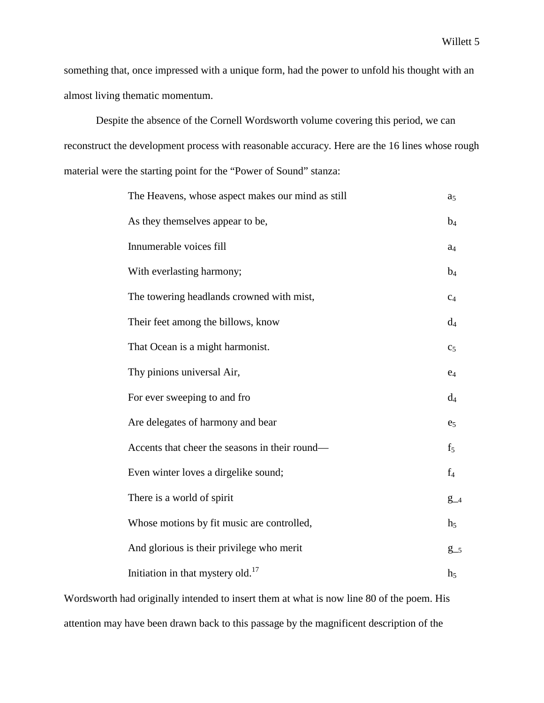something that, once impressed with a unique form, had the power to unfold his thought with an almost living thematic momentum.

Despite the absence of the Cornell Wordsworth volume covering this period, we can reconstruct the development process with reasonable accuracy. Here are the 16 lines whose rough material were the starting point for the "Power of Sound" stanza:

| The Heavens, whose aspect makes our mind as still | a <sub>5</sub> |
|---------------------------------------------------|----------------|
| As they themselves appear to be,                  | $b_4$          |
| Innumerable voices fill                           | $a_4$          |
| With everlasting harmony;                         | $b_4$          |
| The towering headlands crowned with mist,         | C <sub>4</sub> |
| Their feet among the billows, know                | $d_4$          |
| That Ocean is a might harmonist.                  | c <sub>5</sub> |
| Thy pinions universal Air,                        | $e_4$          |
| For ever sweeping to and fro                      | $d_4$          |
| Are delegates of harmony and bear                 | e <sub>5</sub> |
| Accents that cheer the seasons in their round—    | $f_5$          |
| Even winter loves a dirgelike sound;              | $f_4$          |
| There is a world of spirit                        | $g_{-4}$       |
| Whose motions by fit music are controlled,        | $h_5$          |
| And glorious is their privilege who merit         | $g_{-5}$       |
| Initiation in that mystery old. <sup>17</sup>     | $h_5$          |

Wordsworth had originally intended to insert them at what is now line 80 of the poem. His attention may have been drawn back to this passage by the magnificent description of the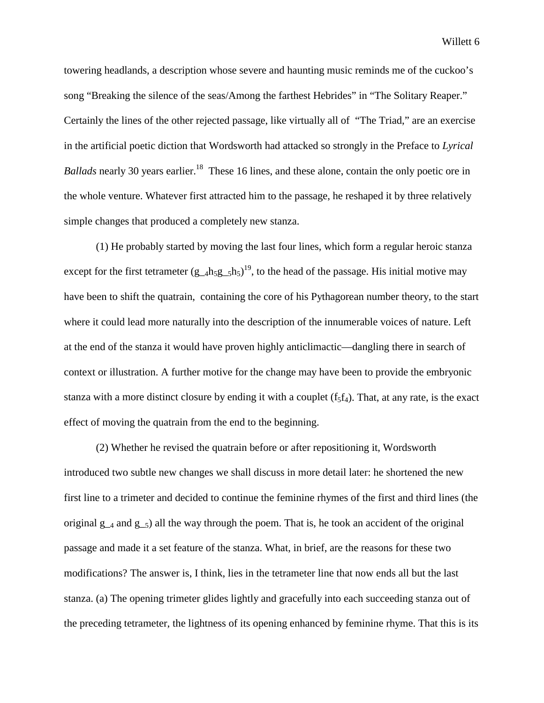towering headlands, a description whose severe and haunting music reminds me of the cuckoo's song "Breaking the silence of the seas/Among the farthest Hebrides" in "The Solitary Reaper." Certainly the lines of the other rejected passage, like virtually all of "The Triad," are an exercise in the artificial poetic diction that Wordsworth had attacked so strongly in the Preface to *Lyrical Ballads* nearly 30 years earlier.<sup>18</sup> These 16 lines, and these alone, contain the only poetic ore in the whole venture. Whatever first attracted him to the passage, he reshaped it by three relatively simple changes that produced a completely new stanza.

(1) He probably started by moving the last four lines, which form a regular heroic stanza except for the first tetrameter  $(g_{4}h_{5}g_{5}h_{5})^{19}$ , to the head of the passage. His initial motive may have been to shift the quatrain, containing the core of his Pythagorean number theory, to the start where it could lead more naturally into the description of the innumerable voices of nature. Left at the end of the stanza it would have proven highly anticlimactic—dangling there in search of context or illustration. A further motive for the change may have been to provide the embryonic stanza with a more distinct closure by ending it with a couplet  $(f_5f_4)$ . That, at any rate, is the exact effect of moving the quatrain from the end to the beginning.

(2) Whether he revised the quatrain before or after repositioning it, Wordsworth introduced two subtle new changes we shall discuss in more detail later: he shortened the new first line to a trimeter and decided to continue the feminine rhymes of the first and third lines (the original  $g_{-4}$  and  $g_{-5}$ ) all the way through the poem. That is, he took an accident of the original passage and made it a set feature of the stanza. What, in brief, are the reasons for these two modifications? The answer is, I think, lies in the tetrameter line that now ends all but the last stanza. (a) The opening trimeter glides lightly and gracefully into each succeeding stanza out of the preceding tetrameter, the lightness of its opening enhanced by feminine rhyme. That this is its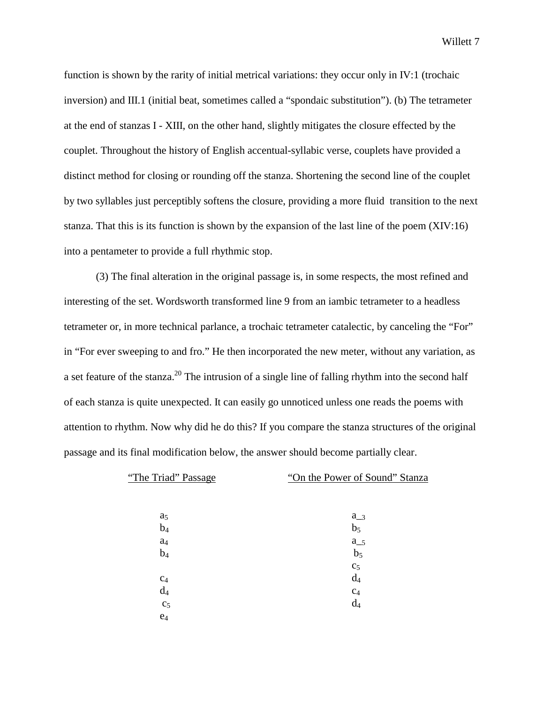function is shown by the rarity of initial metrical variations: they occur only in IV:1 (trochaic inversion) and III.1 (initial beat, sometimes called a "spondaic substitution"). (b) The tetrameter at the end of stanzas I - XIII, on the other hand, slightly mitigates the closure effected by the couplet. Throughout the history of English accentual-syllabic verse, couplets have provided a distinct method for closing or rounding off the stanza. Shortening the second line of the couplet by two syllables just perceptibly softens the closure, providing a more fluid transition to the next stanza. That this is its function is shown by the expansion of the last line of the poem (XIV:16) into a pentameter to provide a full rhythmic stop.

(3) The final alteration in the original passage is, in some respects, the most refined and interesting of the set. Wordsworth transformed line 9 from an iambic tetrameter to a headless tetrameter or, in more technical parlance, a trochaic tetrameter catalectic, by canceling the "For" in "For ever sweeping to and fro." He then incorporated the new meter, without any variation, as a set feature of the stanza.<sup>20</sup> The intrusion of a single line of falling rhythm into the second half of each stanza is quite unexpected. It can easily go unnoticed unless one reads the poems with attention to rhythm. Now why did he do this? If you compare the stanza structures of the original passage and its final modification below, the answer should become partially clear.

| "The Triad" Passage | "On the Power of Sound" Stanza |
|---------------------|--------------------------------|
|                     |                                |
| a <sub>5</sub>      | $a_{3}$                        |
| $b_4$               | b <sub>5</sub>                 |
| a <sub>4</sub>      | $a_{-5}$                       |
| $b_4$               | b <sub>5</sub>                 |
|                     | C <sub>5</sub>                 |
| C <sub>4</sub>      | $d_4$                          |
| $d_4$               | C <sub>4</sub>                 |
| c <sub>5</sub>      | $d_4$                          |
| $e_4$               |                                |
|                     |                                |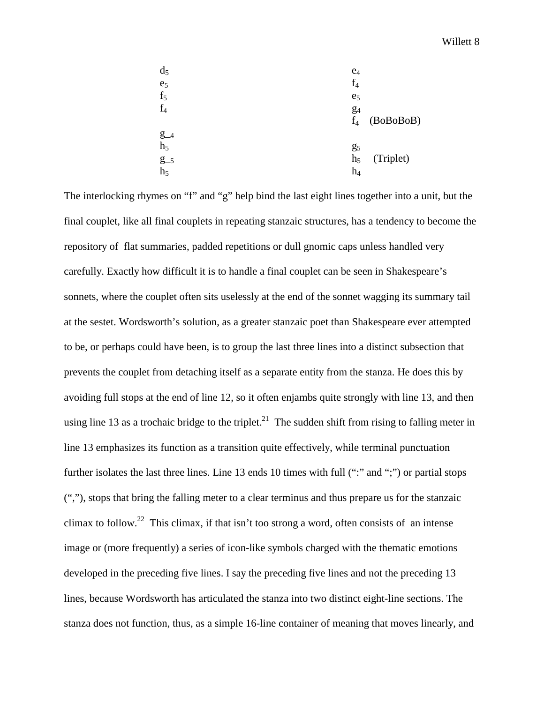| $d_5$          | $e_4$              |
|----------------|--------------------|
| e <sub>5</sub> | $f_4$              |
| f <sub>5</sub> | e <sub>5</sub>     |
| $f_4$          | g <sub>4</sub>     |
|                | (BoBoBoB)<br>$f_4$ |
| $g_{-4}$       |                    |
| h <sub>5</sub> | g <sub>5</sub>     |
| $g_{-5}$       | (Triplet)<br>$h_5$ |
| h <sub>5</sub> | $\mathbf{h}_4$     |
|                |                    |

The interlocking rhymes on "f" and "g" help bind the last eight lines together into a unit, but the final couplet, like all final couplets in repeating stanzaic structures, has a tendency to become the repository of flat summaries, padded repetitions or dull gnomic caps unless handled very carefully. Exactly how difficult it is to handle a final couplet can be seen in Shakespeare's sonnets, where the couplet often sits uselessly at the end of the sonnet wagging its summary tail at the sestet. Wordsworth's solution, as a greater stanzaic poet than Shakespeare ever attempted to be, or perhaps could have been, is to group the last three lines into a distinct subsection that prevents the couplet from detaching itself as a separate entity from the stanza. He does this by avoiding full stops at the end of line 12, so it often enjambs quite strongly with line 13, and then using line 13 as a trochaic bridge to the triplet.<sup>21</sup> The sudden shift from rising to falling meter in line 13 emphasizes its function as a transition quite effectively, while terminal punctuation further isolates the last three lines. Line 13 ends 10 times with full (":" and ";") or partial stops (","), stops that bring the falling meter to a clear terminus and thus prepare us for the stanzaic climax to follow.<sup>22</sup> This climax, if that isn't too strong a word, often consists of an intense image or (more frequently) a series of icon-like symbols charged with the thematic emotions developed in the preceding five lines. I say the preceding five lines and not the preceding 13 lines, because Wordsworth has articulated the stanza into two distinct eight-line sections. The stanza does not function, thus, as a simple 16-line container of meaning that moves linearly, and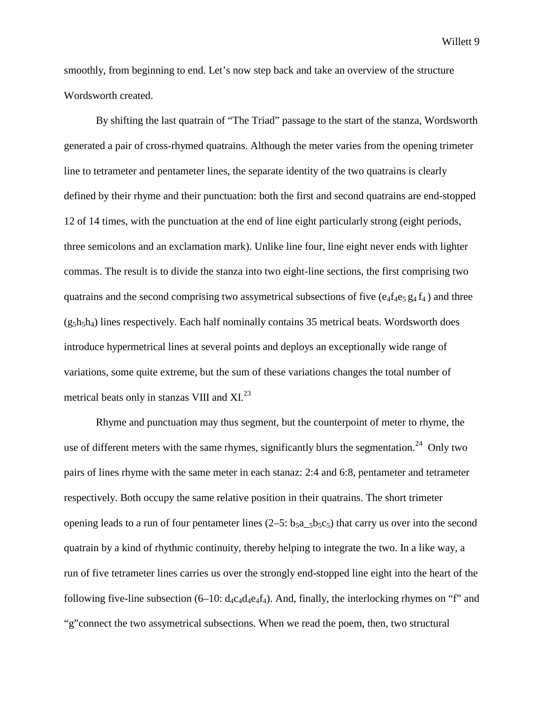smoothly, from beginning to end. Let's now step back and take an overview of the structure Wordsworth created.

By shifting the last quatrain of "The Triad" passage to the start of the stanza, Wordsworth generated a pair of cross-rhymed quatrains. Although the meter varies from the opening trimeter line to tetrameter and pentameter lines, the separate identity of the two quatrains is clearly defined by their rhyme and their punctuation: both the first and second quatrains are end-stopped 12 of 14 times, with the punctuation at the end of line eight particularly strong (eight periods, three semicolons and an exclamation mark). Unlike line four, line eight never ends with lighter commas. The result is to divide the stanza into two eight-line sections, the first comprising two quatrains and the second comprising two assymetrical subsections of five  $(e_4f_4e_5g_4f_4)$  and three  $(g_5h_5h_4)$  lines respectively. Each half nominally contains 35 metrical beats. Wordsworth does introduce hypermetrical lines at several points and deploys an exceptionally wide range of variations, some quite extreme, but the sum of these variations changes the total number of metrical beats only in stanzas VIII and XI.<sup>23</sup>

Rhyme and punctuation may thus segment, but the counterpoint of meter to rhyme, the use of different meters with the same rhymes, significantly blurs the segmentation.<sup>24</sup> Only two pairs of lines rhyme with the same meter in each stanaz: 2:4 and 6:8, pentameter and tetrameter respectively. Both occupy the same relative position in their quatrains. The short trimeter opening leads to a run of four pentameter lines  $(2-5: b_{5}a_{5}b_{5}c_{5})$  that carry us over into the second quatrain by a kind of rhythmic continuity, thereby helping to integrate the two. In a like way, a run of five tetrameter lines carries us over the strongly end-stopped line eight into the heart of the following five-line subsection  $(6-10: d_4c_4d_4e_4f_4)$ . And, finally, the interlocking rhymes on "f" and "g"connect the two assymetrical subsections. When we read the poem, then, two structural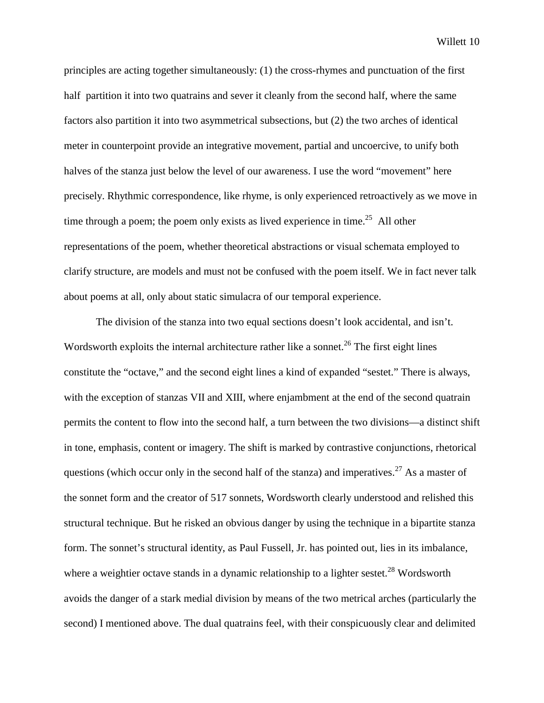principles are acting together simultaneously: (1) the cross-rhymes and punctuation of the first half partition it into two quatrains and sever it cleanly from the second half, where the same factors also partition it into two asymmetrical subsections, but (2) the two arches of identical meter in counterpoint provide an integrative movement, partial and uncoercive, to unify both halves of the stanza just below the level of our awareness. I use the word "movement" here precisely. Rhythmic correspondence, like rhyme, is only experienced retroactively as we move in time through a poem; the poem only exists as lived experience in time.<sup>25</sup> All other representations of the poem, whether theoretical abstractions or visual schemata employed to clarify structure, are models and must not be confused with the poem itself. We in fact never talk about poems at all, only about static simulacra of our temporal experience.

The division of the stanza into two equal sections doesn't look accidental, and isn't. Wordsworth exploits the internal architecture rather like a sonnet.<sup>26</sup> The first eight lines constitute the "octave," and the second eight lines a kind of expanded "sestet." There is always, with the exception of stanzas VII and XIII, where enjambment at the end of the second quatrain permits the content to flow into the second half, a turn between the two divisions—a distinct shift in tone, emphasis, content or imagery. The shift is marked by contrastive conjunctions, rhetorical questions (which occur only in the second half of the stanza) and imperatives.<sup>27</sup> As a master of the sonnet form and the creator of 517 sonnets, Wordsworth clearly understood and relished this structural technique. But he risked an obvious danger by using the technique in a bipartite stanza form. The sonnet's structural identity, as Paul Fussell, Jr. has pointed out, lies in its imbalance, where a weightier octave stands in a dynamic relationship to a lighter sestet.<sup>28</sup> Wordsworth avoids the danger of a stark medial division by means of the two metrical arches (particularly the second) I mentioned above. The dual quatrains feel, with their conspicuously clear and delimited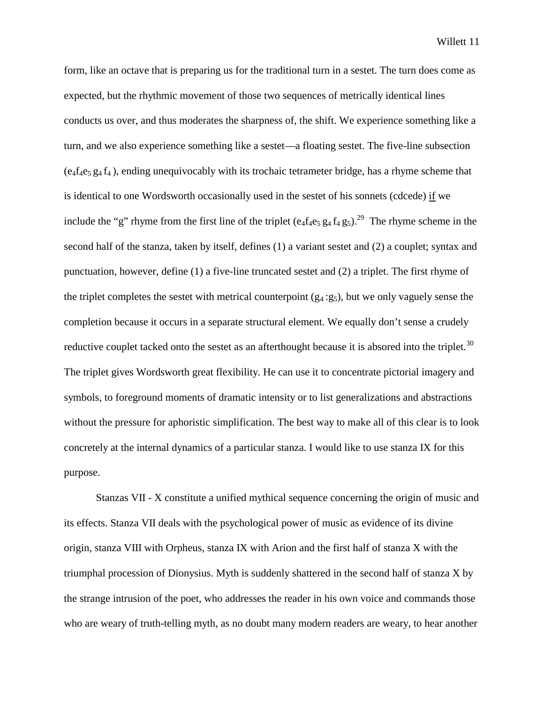form, like an octave that is preparing us for the traditional turn in a sestet. The turn does come as expected, but the rhythmic movement of those two sequences of metrically identical lines conducts us over, and thus moderates the sharpness of, the shift. We experience something like a turn, and we also experience something like a sestet—a floating sestet. The five-line subsection  $(e<sub>4</sub>f<sub>4</sub>e<sub>5</sub> g<sub>4</sub>f<sub>4</sub>)$ , ending unequivocably with its trochaic tetrameter bridge, has a rhyme scheme that is identical to one Wordsworth occasionally used in the sestet of his sonnets (cdcede) if we include the "g" rhyme from the first line of the triplet  $(e_4f_4e_5g_4f_4g_5)^{29}$ . The rhyme scheme in the second half of the stanza, taken by itself, defines (1) a variant sestet and (2) a couplet; syntax and punctuation, however, define (1) a five-line truncated sestet and (2) a triplet. The first rhyme of the triplet completes the sestet with metrical counterpoint  $(g_4:g_5)$ , but we only vaguely sense the completion because it occurs in a separate structural element. We equally don't sense a crudely reductive couplet tacked onto the sestet as an afterthought because it is absored into the triplet.<sup>30</sup> The triplet gives Wordsworth great flexibility. He can use it to concentrate pictorial imagery and symbols, to foreground moments of dramatic intensity or to list generalizations and abstractions without the pressure for aphoristic simplification. The best way to make all of this clear is to look concretely at the internal dynamics of a particular stanza. I would like to use stanza IX for this purpose.

Stanzas VII - X constitute a unified mythical sequence concerning the origin of music and its effects. Stanza VII deals with the psychological power of music as evidence of its divine origin, stanza VIII with Orpheus, stanza IX with Arion and the first half of stanza X with the triumphal procession of Dionysius. Myth is suddenly shattered in the second half of stanza X by the strange intrusion of the poet, who addresses the reader in his own voice and commands those who are weary of truth-telling myth, as no doubt many modern readers are weary, to hear another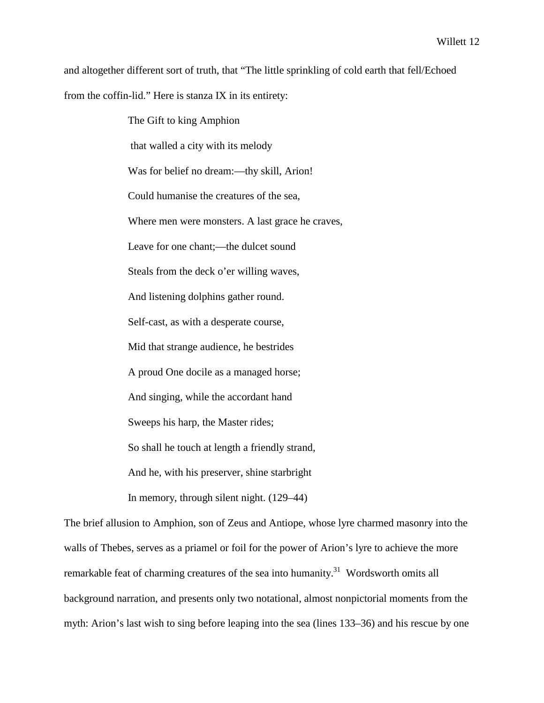and altogether different sort of truth, that "The little sprinkling of cold earth that fell/Echoed from the coffin-lid." Here is stanza IX in its entirety:

> The Gift to king Amphion that walled a city with its melody Was for belief no dream:—thy skill, Arion! Could humanise the creatures of the sea, Where men were monsters. A last grace he craves, Leave for one chant;—the dulcet sound Steals from the deck o'er willing waves, And listening dolphins gather round. Self-cast, as with a desperate course, Mid that strange audience, he bestrides A proud One docile as a managed horse; And singing, while the accordant hand Sweeps his harp, the Master rides; So shall he touch at length a friendly strand, And he, with his preserver, shine starbright In memory, through silent night. (129–44)

The brief allusion to Amphion, son of Zeus and Antiope, whose lyre charmed masonry into the walls of Thebes, serves as a priamel or foil for the power of Arion's lyre to achieve the more remarkable feat of charming creatures of the sea into humanity.<sup>31</sup> Wordsworth omits all background narration, and presents only two notational, almost nonpictorial moments from the myth: Arion's last wish to sing before leaping into the sea (lines 133–36) and his rescue by one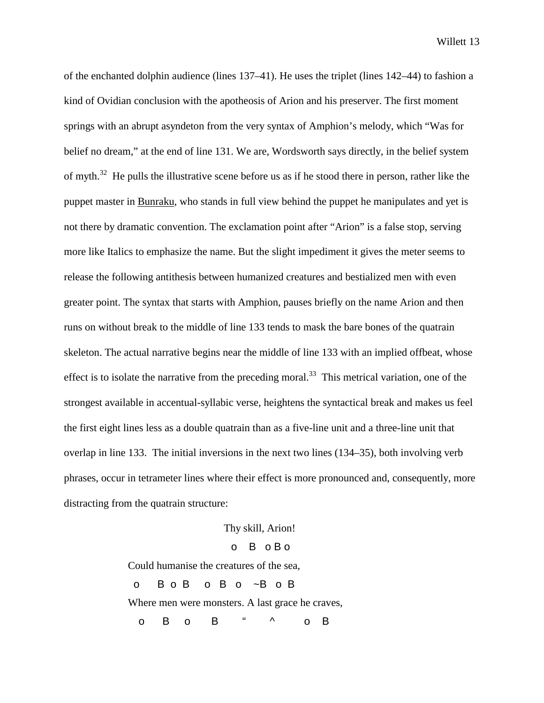of the enchanted dolphin audience (lines 137–41). He uses the triplet (lines 142–44) to fashion a kind of Ovidian conclusion with the apotheosis of Arion and his preserver. The first moment springs with an abrupt asyndeton from the very syntax of Amphion's melody, which "Was for belief no dream," at the end of line 131. We are, Wordsworth says directly, in the belief system of myth.<sup>32</sup> He pulls the illustrative scene before us as if he stood there in person, rather like the puppet master in Bunraku, who stands in full view behind the puppet he manipulates and yet is not there by dramatic convention. The exclamation point after "Arion" is a false stop, serving more like Italics to emphasize the name. But the slight impediment it gives the meter seems to release the following antithesis between humanized creatures and bestialized men with even greater point. The syntax that starts with Amphion, pauses briefly on the name Arion and then runs on without break to the middle of line 133 tends to mask the bare bones of the quatrain skeleton. The actual narrative begins near the middle of line 133 with an implied offbeat, whose effect is to isolate the narrative from the preceding moral.<sup>33</sup> This metrical variation, one of the strongest available in accentual-syllabic verse, heightens the syntactical break and makes us feel the first eight lines less as a double quatrain than as a five-line unit and a three-line unit that overlap in line 133. The initial inversions in the next two lines (134–35), both involving verb phrases, occur in tetrameter lines where their effect is more pronounced and, consequently, more distracting from the quatrain structure:

Thy skill, Arion!

# o B o B o

Could humanise the creatures of the sea,

o B o B o B o ~B o B

Where men were monsters. A last grace he craves,

o B o B " ^ o B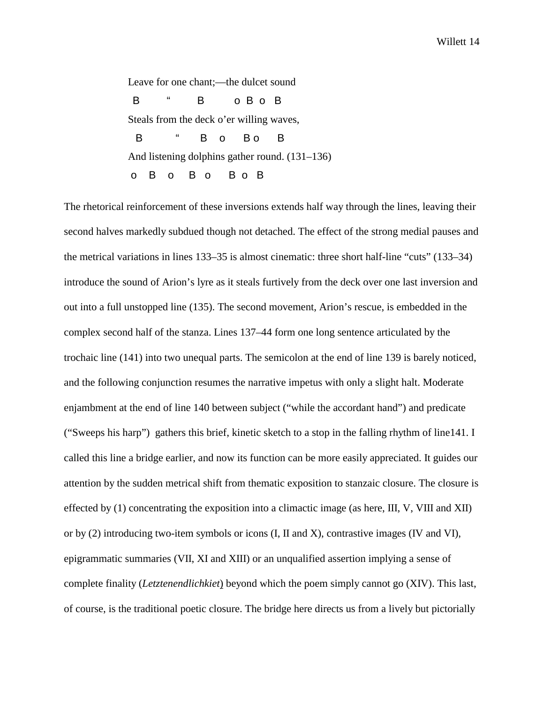Leave for one chant;—the dulcet sound B " B o B o B Steals from the deck o'er willing waves, B " B o Bo B And listening dolphins gather round. (131–136) o B o B o B o B

The rhetorical reinforcement of these inversions extends half way through the lines, leaving their second halves markedly subdued though not detached. The effect of the strong medial pauses and the metrical variations in lines 133–35 is almost cinematic: three short half-line "cuts" (133–34) introduce the sound of Arion's lyre as it steals furtively from the deck over one last inversion and out into a full unstopped line (135). The second movement, Arion's rescue, is embedded in the complex second half of the stanza. Lines 137–44 form one long sentence articulated by the trochaic line (141) into two unequal parts. The semicolon at the end of line 139 is barely noticed, and the following conjunction resumes the narrative impetus with only a slight halt. Moderate enjambment at the end of line 140 between subject ("while the accordant hand") and predicate ("Sweeps his harp") gathers this brief, kinetic sketch to a stop in the falling rhythm of line141. I called this line a bridge earlier, and now its function can be more easily appreciated. It guides our attention by the sudden metrical shift from thematic exposition to stanzaic closure. The closure is effected by (1) concentrating the exposition into a climactic image (as here, III, V, VIII and XII) or by (2) introducing two-item symbols or icons (I, II and X), contrastive images (IV and VI), epigrammatic summaries (VII, XI and XIII) or an unqualified assertion implying a sense of complete finality (*Letztenendlichkiet*) beyond which the poem simply cannot go (XIV). This last, of course, is the traditional poetic closure. The bridge here directs us from a lively but pictorially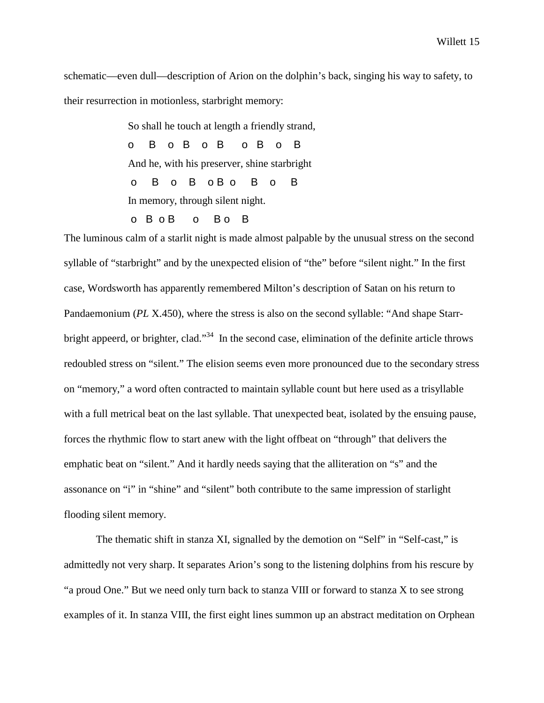schematic—even dull—description of Arion on the dolphin's back, singing his way to safety, to their resurrection in motionless, starbright memory:

So shall he touch at length a friendly strand,

o B o B o B o B o B

And he, with his preserver, shine starbright

o B o B o B o B o B

In memory, through silent night.

o B o B o B o B

The luminous calm of a starlit night is made almost palpable by the unusual stress on the second syllable of "starbright" and by the unexpected elision of "the" before "silent night." In the first case, Wordsworth has apparently remembered Milton's description of Satan on his return to Pandaemonium (*PL* X.450), where the stress is also on the second syllable: "And shape Starrbright appeerd, or brighter, clad."<sup>34</sup> In the second case, elimination of the definite article throws redoubled stress on "silent." The elision seems even more pronounced due to the secondary stress on "memory," a word often contracted to maintain syllable count but here used as a trisyllable with a full metrical beat on the last syllable. That unexpected beat, isolated by the ensuing pause, forces the rhythmic flow to start anew with the light offbeat on "through" that delivers the emphatic beat on "silent." And it hardly needs saying that the alliteration on "s" and the assonance on "i" in "shine" and "silent" both contribute to the same impression of starlight flooding silent memory.

The thematic shift in stanza XI, signalled by the demotion on "Self" in "Self-cast," is admittedly not very sharp. It separates Arion's song to the listening dolphins from his rescure by "a proud One." But we need only turn back to stanza VIII or forward to stanza X to see strong examples of it. In stanza VIII, the first eight lines summon up an abstract meditation on Orphean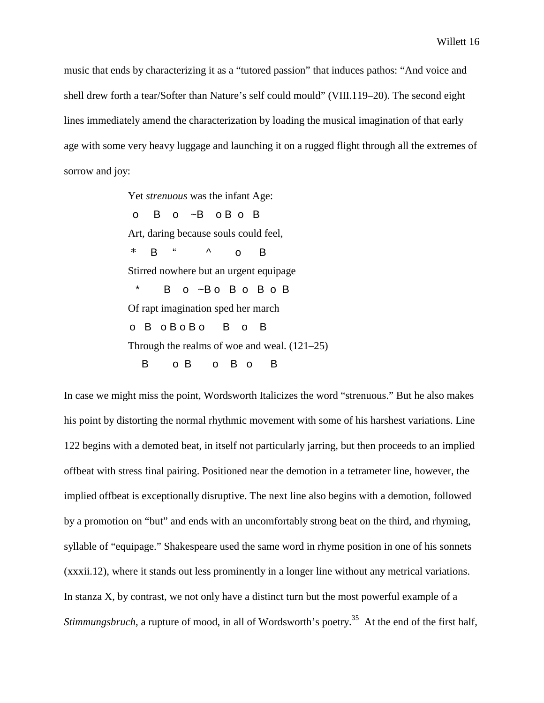music that ends by characterizing it as a "tutored passion" that induces pathos: "And voice and shell drew forth a tear/Softer than Nature's self could mould" (VIII.119–20). The second eight lines immediately amend the characterization by loading the musical imagination of that early age with some very heavy luggage and launching it on a rugged flight through all the extremes of sorrow and joy:

> Yet *strenuous* was the infant Age: o B o ~B o B o B Art, daring because souls could feel,  $*$  B "  $\land$  0 B Stirred nowhere but an urgent equipage \* B o ~B o B o B o B Of rapt imagination sped her march o B o B o B o B o B Through the realms of woe and weal. (121–25) B O B O B O B

In case we might miss the point, Wordsworth Italicizes the word "strenuous." But he also makes his point by distorting the normal rhythmic movement with some of his harshest variations. Line 122 begins with a demoted beat, in itself not particularly jarring, but then proceeds to an implied offbeat with stress final pairing. Positioned near the demotion in a tetrameter line, however, the implied offbeat is exceptionally disruptive. The next line also begins with a demotion, followed by a promotion on "but" and ends with an uncomfortably strong beat on the third, and rhyming, syllable of "equipage." Shakespeare used the same word in rhyme position in one of his sonnets (xxxii.12), where it stands out less prominently in a longer line without any metrical variations. In stanza X, by contrast, we not only have a distinct turn but the most powerful example of a *Stimmungsbruch*, a rupture of mood, in all of Wordsworth's poetry.<sup>35</sup> At the end of the first half,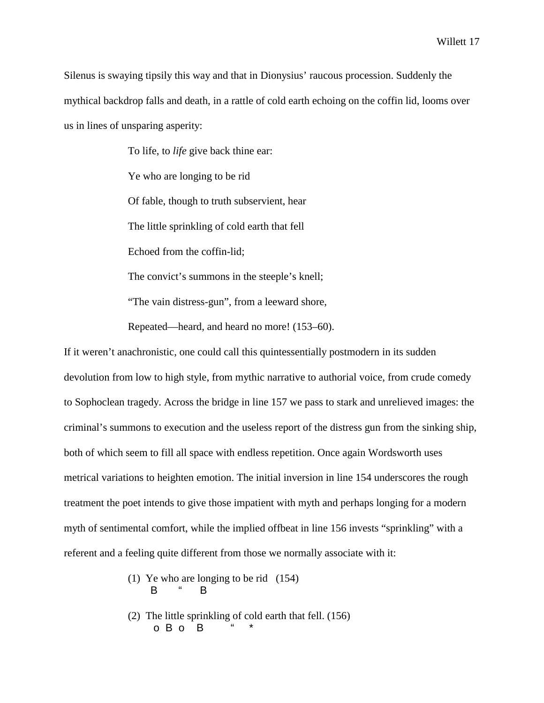Silenus is swaying tipsily this way and that in Dionysius' raucous procession. Suddenly the mythical backdrop falls and death, in a rattle of cold earth echoing on the coffin lid, looms over us in lines of unsparing asperity:

> To life, to *life* give back thine ear: Ye who are longing to be rid Of fable, though to truth subservient, hear The little sprinkling of cold earth that fell Echoed from the coffin-lid; The convict's summons in the steeple's knell;

"The vain distress-gun", from a leeward shore,

Repeated—heard, and heard no more! (153–60).

If it weren't anachronistic, one could call this quintessentially postmodern in its sudden devolution from low to high style, from mythic narrative to authorial voice, from crude comedy to Sophoclean tragedy. Across the bridge in line 157 we pass to stark and unrelieved images: the criminal's summons to execution and the useless report of the distress gun from the sinking ship, both of which seem to fill all space with endless repetition. Once again Wordsworth uses metrical variations to heighten emotion. The initial inversion in line 154 underscores the rough treatment the poet intends to give those impatient with myth and perhaps longing for a modern myth of sentimental comfort, while the implied offbeat in line 156 invests "sprinkling" with a referent and a feeling quite different from those we normally associate with it:

- (1) Ye who are longing to be rid (154) B " B
	- (2) The little sprinkling of cold earth that fell. (156) o B o B " \*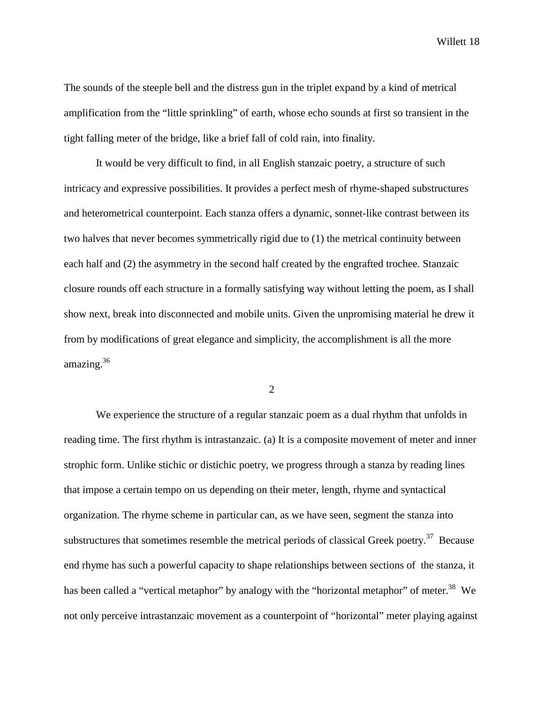The sounds of the steeple bell and the distress gun in the triplet expand by a kind of metrical amplification from the "little sprinkling" of earth, whose echo sounds at first so transient in the tight falling meter of the bridge, like a brief fall of cold rain, into finality.

It would be very difficult to find, in all English stanzaic poetry, a structure of such intricacy and expressive possibilities. It provides a perfect mesh of rhyme-shaped substructures and heterometrical counterpoint. Each stanza offers a dynamic, sonnet-like contrast between its two halves that never becomes symmetrically rigid due to (1) the metrical continuity between each half and (2) the asymmetry in the second half created by the engrafted trochee. Stanzaic closure rounds off each structure in a formally satisfying way without letting the poem, as I shall show next, break into disconnected and mobile units. Given the unpromising material he drew it from by modifications of great elegance and simplicity, the accomplishment is all the more amazing.<sup>36</sup>

2

We experience the structure of a regular stanzaic poem as a dual rhythm that unfolds in reading time. The first rhythm is intrastanzaic. (a) It is a composite movement of meter and inner strophic form. Unlike stichic or distichic poetry, we progress through a stanza by reading lines that impose a certain tempo on us depending on their meter, length, rhyme and syntactical organization. The rhyme scheme in particular can, as we have seen, segment the stanza into substructures that sometimes resemble the metrical periods of classical Greek poetry.<sup>37</sup> Because end rhyme has such a powerful capacity to shape relationships between sections of the stanza, it has been called a "vertical metaphor" by analogy with the "horizontal metaphor" of meter.<sup>38</sup> We not only perceive intrastanzaic movement as a counterpoint of "horizontal" meter playing against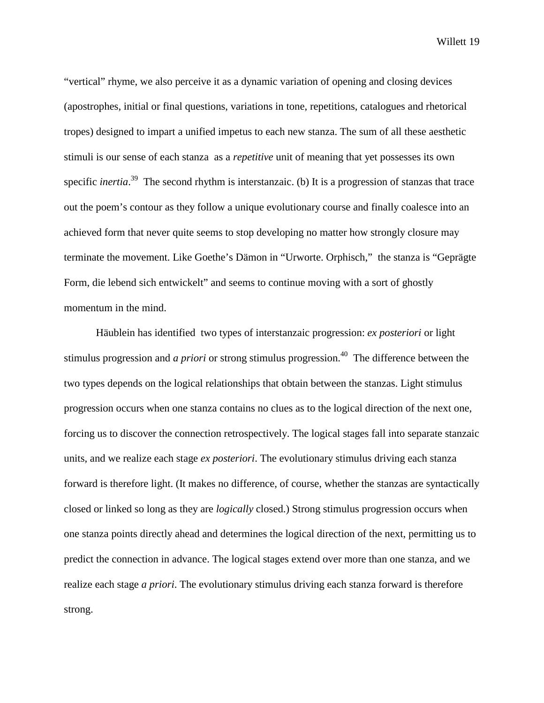"vertical" rhyme, we also perceive it as a dynamic variation of opening and closing devices (apostrophes, initial or final questions, variations in tone, repetitions, catalogues and rhetorical tropes) designed to impart a unified impetus to each new stanza. The sum of all these aesthetic stimuli is our sense of each stanza as a *repetitive* unit of meaning that yet possesses its own specific *inertia*. 39 The second rhythm is interstanzaic. (b) It is a progression of stanzas that trace out the poem's contour as they follow a unique evolutionary course and finally coalesce into an achieved form that never quite seems to stop developing no matter how strongly closure may terminate the movement. Like Goethe's Dämon in "Urworte. Orphisch," the stanza is "Geprägte Form, die lebend sich entwickelt" and seems to continue moving with a sort of ghostly momentum in the mind.

Häublein has identified two types of interstanzaic progression: *ex posteriori* or light stimulus progression and *a priori* or strong stimulus progression.<sup>40</sup> The difference between the two types depends on the logical relationships that obtain between the stanzas. Light stimulus progression occurs when one stanza contains no clues as to the logical direction of the next one, forcing us to discover the connection retrospectively. The logical stages fall into separate stanzaic units, and we realize each stage *ex posteriori*. The evolutionary stimulus driving each stanza forward is therefore light. (It makes no difference, of course, whether the stanzas are syntactically closed or linked so long as they are *logically* closed.) Strong stimulus progression occurs when one stanza points directly ahead and determines the logical direction of the next, permitting us to predict the connection in advance. The logical stages extend over more than one stanza, and we realize each stage *a priori*. The evolutionary stimulus driving each stanza forward is therefore strong.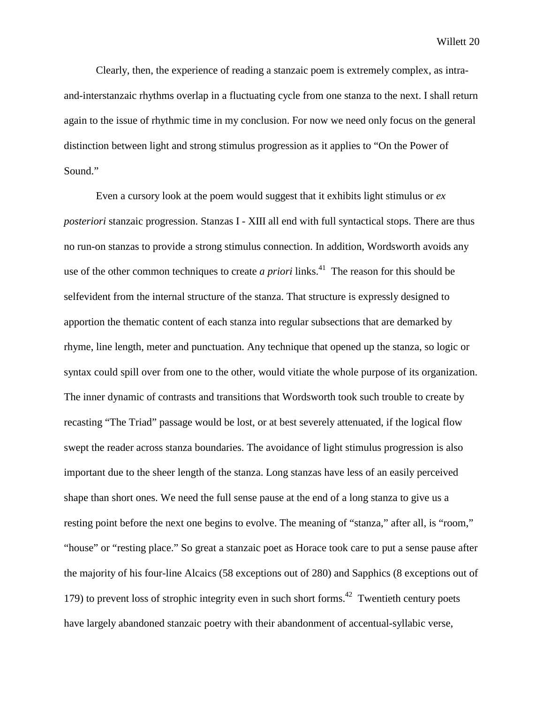Clearly, then, the experience of reading a stanzaic poem is extremely complex, as intraand-interstanzaic rhythms overlap in a fluctuating cycle from one stanza to the next. I shall return again to the issue of rhythmic time in my conclusion. For now we need only focus on the general distinction between light and strong stimulus progression as it applies to "On the Power of Sound."

Even a cursory look at the poem would suggest that it exhibits light stimulus or *ex posteriori* stanzaic progression. Stanzas I - XIII all end with full syntactical stops. There are thus no run-on stanzas to provide a strong stimulus connection. In addition, Wordsworth avoids any use of the other common techniques to create *a priori* links.<sup>41</sup> The reason for this should be selfevident from the internal structure of the stanza. That structure is expressly designed to apportion the thematic content of each stanza into regular subsections that are demarked by rhyme, line length, meter and punctuation. Any technique that opened up the stanza, so logic or syntax could spill over from one to the other, would vitiate the whole purpose of its organization. The inner dynamic of contrasts and transitions that Wordsworth took such trouble to create by recasting "The Triad" passage would be lost, or at best severely attenuated, if the logical flow swept the reader across stanza boundaries. The avoidance of light stimulus progression is also important due to the sheer length of the stanza. Long stanzas have less of an easily perceived shape than short ones. We need the full sense pause at the end of a long stanza to give us a resting point before the next one begins to evolve. The meaning of "stanza," after all, is "room," "house" or "resting place." So great a stanzaic poet as Horace took care to put a sense pause after the majority of his four-line Alcaics (58 exceptions out of 280) and Sapphics (8 exceptions out of 179) to prevent loss of strophic integrity even in such short forms.<sup>42</sup> Twentieth century poets have largely abandoned stanzaic poetry with their abandonment of accentual-syllabic verse,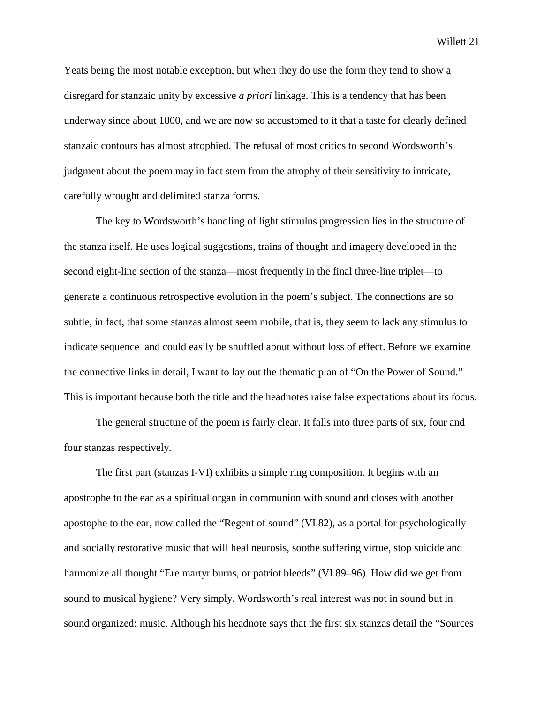Yeats being the most notable exception, but when they do use the form they tend to show a disregard for stanzaic unity by excessive *a priori* linkage. This is a tendency that has been underway since about 1800, and we are now so accustomed to it that a taste for clearly defined stanzaic contours has almost atrophied. The refusal of most critics to second Wordsworth's judgment about the poem may in fact stem from the atrophy of their sensitivity to intricate, carefully wrought and delimited stanza forms.

The key to Wordsworth's handling of light stimulus progression lies in the structure of the stanza itself. He uses logical suggestions, trains of thought and imagery developed in the second eight-line section of the stanza—most frequently in the final three-line triplet—to generate a continuous retrospective evolution in the poem's subject. The connections are so subtle, in fact, that some stanzas almost seem mobile, that is, they seem to lack any stimulus to indicate sequence and could easily be shuffled about without loss of effect. Before we examine the connective links in detail, I want to lay out the thematic plan of "On the Power of Sound." This is important because both the title and the headnotes raise false expectations about its focus.

The general structure of the poem is fairly clear. It falls into three parts of six, four and four stanzas respectively.

The first part (stanzas I-VI) exhibits a simple ring composition. It begins with an apostrophe to the ear as a spiritual organ in communion with sound and closes with another apostophe to the ear, now called the "Regent of sound" (VI.82), as a portal for psychologically and socially restorative music that will heal neurosis, soothe suffering virtue, stop suicide and harmonize all thought "Ere martyr burns, or patriot bleeds" (VI.89–96). How did we get from sound to musical hygiene? Very simply. Wordsworth's real interest was not in sound but in sound organized: music. Although his headnote says that the first six stanzas detail the "Sources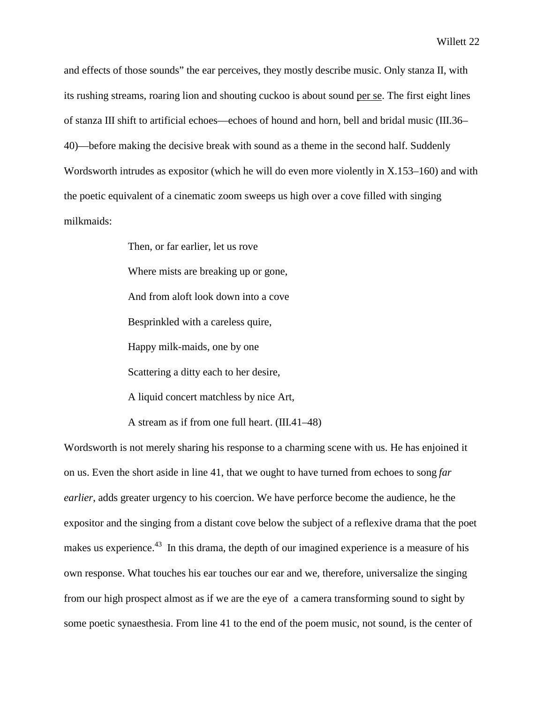and effects of those sounds" the ear perceives, they mostly describe music. Only stanza II, with its rushing streams, roaring lion and shouting cuckoo is about sound per se. The first eight lines of stanza III shift to artificial echoes—echoes of hound and horn, bell and bridal music (III.36– 40)—before making the decisive break with sound as a theme in the second half. Suddenly Wordsworth intrudes as expositor (which he will do even more violently in X.153–160) and with the poetic equivalent of a cinematic zoom sweeps us high over a cove filled with singing milkmaids:

> Then, or far earlier, let us rove Where mists are breaking up or gone, And from aloft look down into a cove Besprinkled with a careless quire, Happy milk-maids, one by one Scattering a ditty each to her desire, A liquid concert matchless by nice Art, A stream as if from one full heart. (III.41–48)

Wordsworth is not merely sharing his response to a charming scene with us. He has enjoined it on us. Even the short aside in line 41, that we ought to have turned from echoes to song *far earlier*, adds greater urgency to his coercion. We have perforce become the audience, he the expositor and the singing from a distant cove below the subject of a reflexive drama that the poet makes us experience.<sup>43</sup> In this drama, the depth of our imagined experience is a measure of his own response. What touches his ear touches our ear and we, therefore, universalize the singing from our high prospect almost as if we are the eye of a camera transforming sound to sight by some poetic synaesthesia. From line 41 to the end of the poem music, not sound, is the center of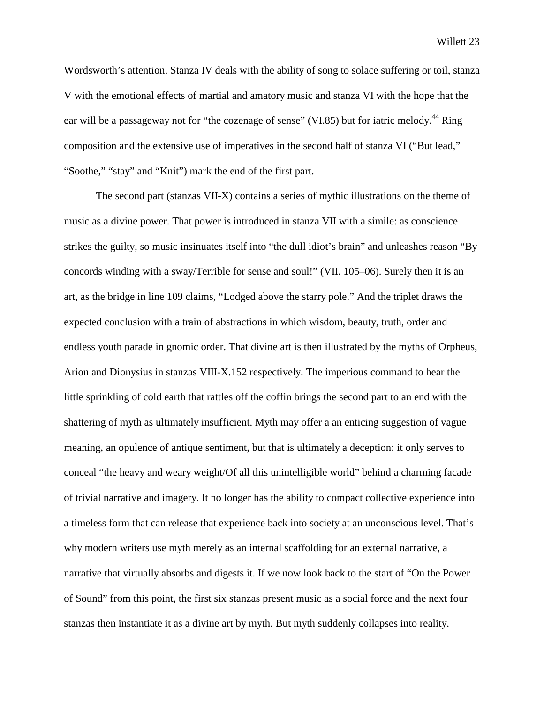Wordsworth's attention. Stanza IV deals with the ability of song to solace suffering or toil, stanza V with the emotional effects of martial and amatory music and stanza VI with the hope that the ear will be a passageway not for "the cozenage of sense" (VI.85) but for iatric melody.<sup>44</sup> Ring composition and the extensive use of imperatives in the second half of stanza VI ("But lead," "Soothe," "stay" and "Knit") mark the end of the first part.

The second part (stanzas VII-X) contains a series of mythic illustrations on the theme of music as a divine power. That power is introduced in stanza VII with a simile: as conscience strikes the guilty, so music insinuates itself into "the dull idiot's brain" and unleashes reason "By concords winding with a sway/Terrible for sense and soul!" (VII. 105–06). Surely then it is an art, as the bridge in line 109 claims, "Lodged above the starry pole." And the triplet draws the expected conclusion with a train of abstractions in which wisdom, beauty, truth, order and endless youth parade in gnomic order. That divine art is then illustrated by the myths of Orpheus, Arion and Dionysius in stanzas VIII-X.152 respectively. The imperious command to hear the little sprinkling of cold earth that rattles off the coffin brings the second part to an end with the shattering of myth as ultimately insufficient. Myth may offer a an enticing suggestion of vague meaning, an opulence of antique sentiment, but that is ultimately a deception: it only serves to conceal "the heavy and weary weight/Of all this unintelligible world" behind a charming facade of trivial narrative and imagery. It no longer has the ability to compact collective experience into a timeless form that can release that experience back into society at an unconscious level. That's why modern writers use myth merely as an internal scaffolding for an external narrative, a narrative that virtually absorbs and digests it. If we now look back to the start of "On the Power of Sound" from this point, the first six stanzas present music as a social force and the next four stanzas then instantiate it as a divine art by myth. But myth suddenly collapses into reality.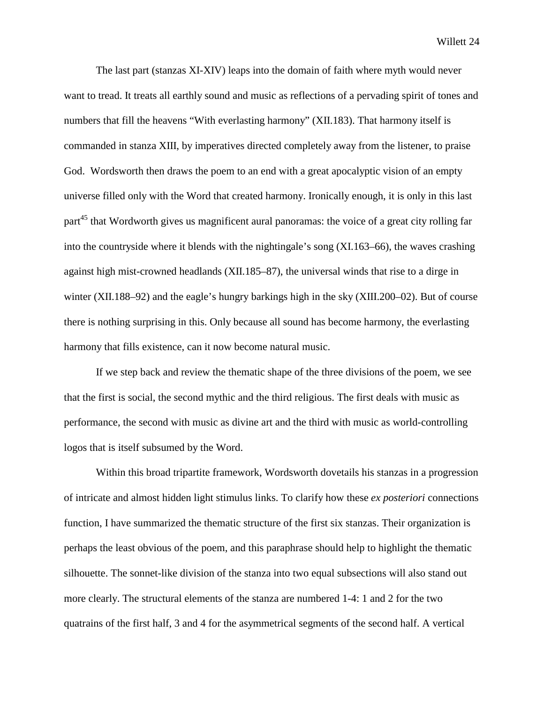The last part (stanzas XI-XIV) leaps into the domain of faith where myth would never want to tread. It treats all earthly sound and music as reflections of a pervading spirit of tones and numbers that fill the heavens "With everlasting harmony" (XII.183). That harmony itself is commanded in stanza XIII, by imperatives directed completely away from the listener, to praise God. Wordsworth then draws the poem to an end with a great apocalyptic vision of an empty universe filled only with the Word that created harmony. Ironically enough, it is only in this last part<sup>45</sup> that Wordworth gives us magnificent aural panoramas: the voice of a great city rolling far into the countryside where it blends with the nightingale's song (XI.163–66), the waves crashing against high mist-crowned headlands (XII.185–87), the universal winds that rise to a dirge in winter (XII.188–92) and the eagle's hungry barkings high in the sky (XIII.200–02). But of course there is nothing surprising in this. Only because all sound has become harmony, the everlasting harmony that fills existence, can it now become natural music.

If we step back and review the thematic shape of the three divisions of the poem, we see that the first is social, the second mythic and the third religious. The first deals with music as performance, the second with music as divine art and the third with music as world-controlling logos that is itself subsumed by the Word.

Within this broad tripartite framework, Wordsworth dovetails his stanzas in a progression of intricate and almost hidden light stimulus links. To clarify how these *ex posteriori* connections function, I have summarized the thematic structure of the first six stanzas. Their organization is perhaps the least obvious of the poem, and this paraphrase should help to highlight the thematic silhouette. The sonnet-like division of the stanza into two equal subsections will also stand out more clearly. The structural elements of the stanza are numbered 1-4: 1 and 2 for the two quatrains of the first half, 3 and 4 for the asymmetrical segments of the second half. A vertical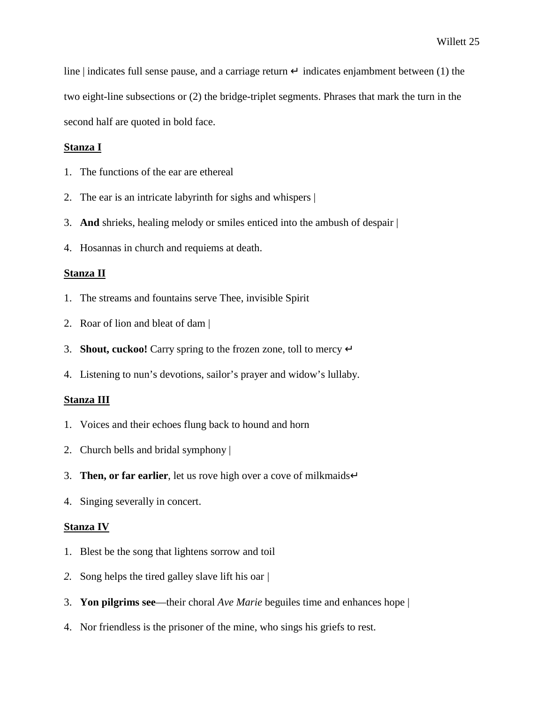line | indicates full sense pause, and a carriage return  $\perp$  indicates enjambment between (1) the two eight-line subsections or (2) the bridge-triplet segments. Phrases that mark the turn in the second half are quoted in bold face.

## **Stanza I**

- 1. The functions of the ear are ethereal
- 2. The ear is an intricate labyrinth for sighs and whispers |
- 3. **And** shrieks, healing melody or smiles enticed into the ambush of despair |
- 4. Hosannas in church and requiems at death.

## **Stanza II**

- 1. The streams and fountains serve Thee, invisible Spirit
- 2. Roar of lion and bleat of dam |
- 3. **Shout, cuckoo!** Carry spring to the frozen zone, toll to mercy ↵
- 4. Listening to nun's devotions, sailor's prayer and widow's lullaby.

### **Stanza III**

- 1. Voices and their echoes flung back to hound and horn
- 2. Church bells and bridal symphony |
- 3. **Then, or far earlier**, let us rove high over a cove of milkmaids→
- 4. Singing severally in concert.

#### **Stanza IV**

- 1. Blest be the song that lightens sorrow and toil
- *2.* Song helps the tired galley slave lift his oar *|*
- 3. **Yon pilgrims see**—their choral *Ave Marie* beguiles time and enhances hope |
- 4. Nor friendless is the prisoner of the mine, who sings his griefs to rest.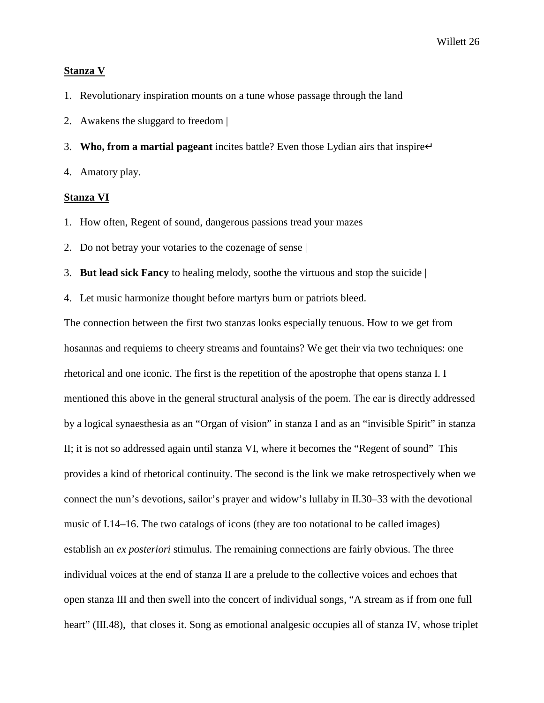#### **Stanza V**

1. Revolutionary inspiration mounts on a tune whose passage through the land

- 2. Awakens the sluggard to freedom |
- 3. **Who, from a martial pageant** incites battle? Even those Lydian airs that inspire<sup>⊥</sup>
- 4. Amatory play.

### **Stanza VI**

- 1. How often, Regent of sound, dangerous passions tread your mazes
- 2. Do not betray your votaries to the cozenage of sense |
- 3. **But lead sick Fancy** to healing melody, soothe the virtuous and stop the suicide |
- 4. Let music harmonize thought before martyrs burn or patriots bleed.

The connection between the first two stanzas looks especially tenuous. How to we get from hosannas and requiems to cheery streams and fountains? We get their via two techniques: one rhetorical and one iconic. The first is the repetition of the apostrophe that opens stanza I. I mentioned this above in the general structural analysis of the poem. The ear is directly addressed by a logical synaesthesia as an "Organ of vision" in stanza I and as an "invisible Spirit" in stanza II; it is not so addressed again until stanza VI, where it becomes the "Regent of sound" This provides a kind of rhetorical continuity. The second is the link we make retrospectively when we connect the nun's devotions, sailor's prayer and widow's lullaby in II.30–33 with the devotional music of I.14–16. The two catalogs of icons (they are too notational to be called images) establish an *ex posteriori* stimulus. The remaining connections are fairly obvious. The three individual voices at the end of stanza II are a prelude to the collective voices and echoes that open stanza III and then swell into the concert of individual songs, "A stream as if from one full heart" (III.48), that closes it. Song as emotional analgesic occupies all of stanza IV, whose triplet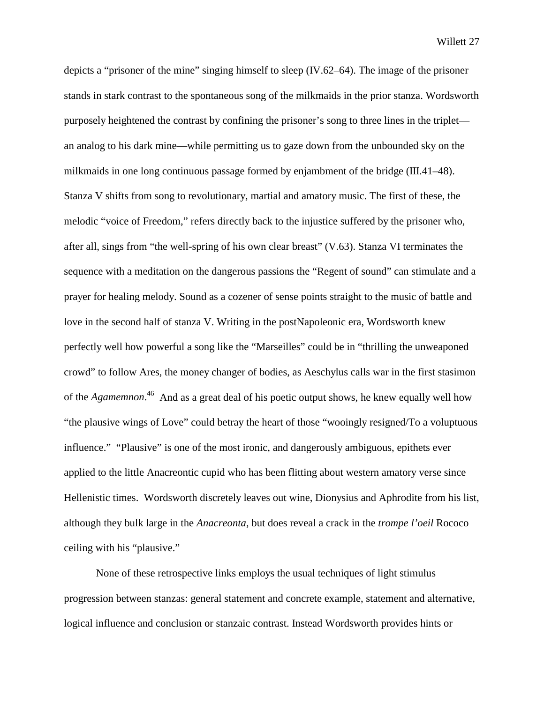depicts a "prisoner of the mine" singing himself to sleep (IV.62–64). The image of the prisoner stands in stark contrast to the spontaneous song of the milkmaids in the prior stanza. Wordsworth purposely heightened the contrast by confining the prisoner's song to three lines in the triplet an analog to his dark mine—while permitting us to gaze down from the unbounded sky on the milkmaids in one long continuous passage formed by enjambment of the bridge (III.41–48). Stanza V shifts from song to revolutionary, martial and amatory music. The first of these, the melodic "voice of Freedom," refers directly back to the injustice suffered by the prisoner who, after all, sings from "the well-spring of his own clear breast" (V.63). Stanza VI terminates the sequence with a meditation on the dangerous passions the "Regent of sound" can stimulate and a prayer for healing melody. Sound as a cozener of sense points straight to the music of battle and love in the second half of stanza V. Writing in the postNapoleonic era, Wordsworth knew perfectly well how powerful a song like the "Marseilles" could be in "thrilling the unweaponed crowd" to follow Ares, the money changer of bodies, as Aeschylus calls war in the first stasimon of the *Agamemnon*.<sup>46</sup> And as a great deal of his poetic output shows, he knew equally well how "the plausive wings of Love" could betray the heart of those "wooingly resigned/To a voluptuous influence." "Plausive" is one of the most ironic, and dangerously ambiguous, epithets ever applied to the little Anacreontic cupid who has been flitting about western amatory verse since Hellenistic times. Wordsworth discretely leaves out wine, Dionysius and Aphrodite from his list, although they bulk large in the *Anacreonta*, but does reveal a crack in the *trompe l'oeil* Rococo ceiling with his "plausive."

None of these retrospective links employs the usual techniques of light stimulus progression between stanzas: general statement and concrete example, statement and alternative, logical influence and conclusion or stanzaic contrast. Instead Wordsworth provides hints or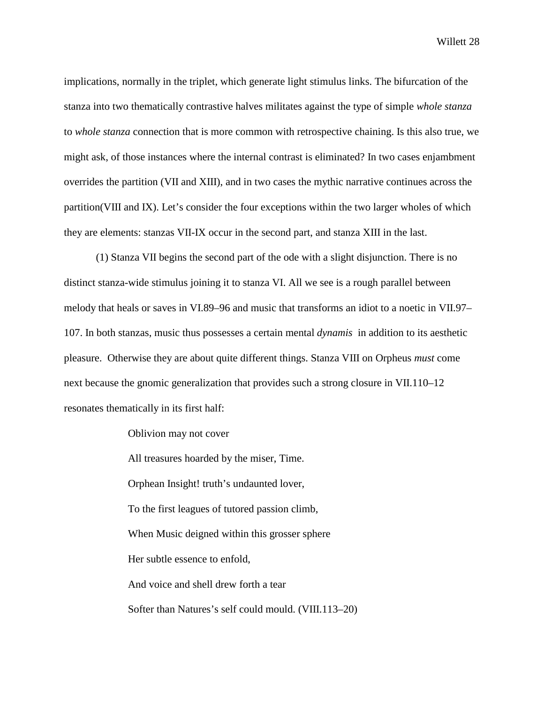implications, normally in the triplet, which generate light stimulus links. The bifurcation of the stanza into two thematically contrastive halves militates against the type of simple *whole stanza* to *whole stanza* connection that is more common with retrospective chaining. Is this also true, we might ask, of those instances where the internal contrast is eliminated? In two cases enjambment overrides the partition (VII and XIII), and in two cases the mythic narrative continues across the partition(VIII and IX). Let's consider the four exceptions within the two larger wholes of which they are elements: stanzas VII-IX occur in the second part, and stanza XIII in the last.

(1) Stanza VII begins the second part of the ode with a slight disjunction. There is no distinct stanza-wide stimulus joining it to stanza VI. All we see is a rough parallel between melody that heals or saves in VI.89–96 and music that transforms an idiot to a noetic in VII.97– 107. In both stanzas, music thus possesses a certain mental *dynamis* in addition to its aesthetic pleasure. Otherwise they are about quite different things. Stanza VIII on Orpheus *must* come next because the gnomic generalization that provides such a strong closure in VII.110–12 resonates thematically in its first half:

Oblivion may not cover

All treasures hoarded by the miser, Time. Orphean Insight! truth's undaunted lover, To the first leagues of tutored passion climb, When Music deigned within this grosser sphere Her subtle essence to enfold, And voice and shell drew forth a tear Softer than Natures's self could mould. (VIII.113–20)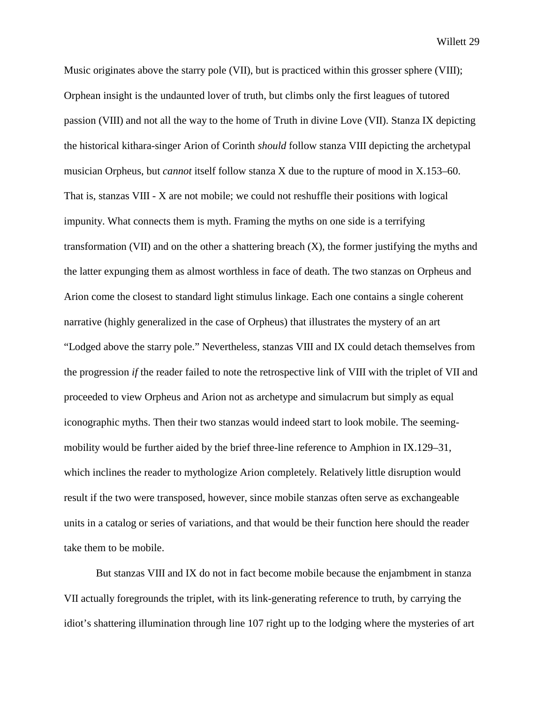Music originates above the starry pole (VII), but is practiced within this grosser sphere (VIII); Orphean insight is the undaunted lover of truth, but climbs only the first leagues of tutored passion (VIII) and not all the way to the home of Truth in divine Love (VII). Stanza IX depicting the historical kithara-singer Arion of Corinth *should* follow stanza VIII depicting the archetypal musician Orpheus, but *cannot* itself follow stanza X due to the rupture of mood in X.153–60. That is, stanzas VIII - X are not mobile; we could not reshuffle their positions with logical impunity. What connects them is myth. Framing the myths on one side is a terrifying transformation (VII) and on the other a shattering breach (X), the former justifying the myths and the latter expunging them as almost worthless in face of death. The two stanzas on Orpheus and Arion come the closest to standard light stimulus linkage. Each one contains a single coherent narrative (highly generalized in the case of Orpheus) that illustrates the mystery of an art "Lodged above the starry pole." Nevertheless, stanzas VIII and IX could detach themselves from the progression *if* the reader failed to note the retrospective link of VIII with the triplet of VII and proceeded to view Orpheus and Arion not as archetype and simulacrum but simply as equal iconographic myths. Then their two stanzas would indeed start to look mobile. The seemingmobility would be further aided by the brief three-line reference to Amphion in IX.129–31, which inclines the reader to mythologize Arion completely. Relatively little disruption would result if the two were transposed, however, since mobile stanzas often serve as exchangeable units in a catalog or series of variations, and that would be their function here should the reader take them to be mobile.

But stanzas VIII and IX do not in fact become mobile because the enjambment in stanza VII actually foregrounds the triplet, with its link-generating reference to truth, by carrying the idiot's shattering illumination through line 107 right up to the lodging where the mysteries of art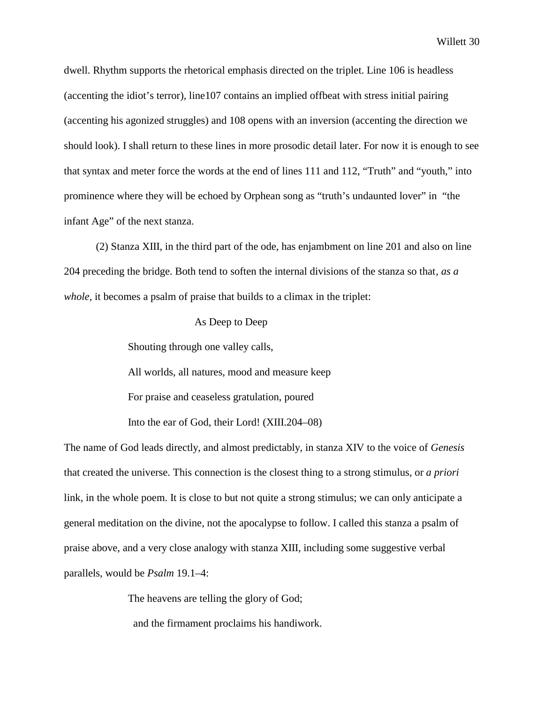dwell. Rhythm supports the rhetorical emphasis directed on the triplet. Line 106 is headless (accenting the idiot's terror), line107 contains an implied offbeat with stress initial pairing (accenting his agonized struggles) and 108 opens with an inversion (accenting the direction we should look). I shall return to these lines in more prosodic detail later. For now it is enough to see that syntax and meter force the words at the end of lines 111 and 112, "Truth" and "youth," into prominence where they will be echoed by Orphean song as "truth's undaunted lover" in "the infant Age" of the next stanza.

(2) Stanza XIII, in the third part of the ode, has enjambment on line 201 and also on line 204 preceding the bridge. Both tend to soften the internal divisions of the stanza so that*, as a whole*, it becomes a psalm of praise that builds to a climax in the triplet:

#### As Deep to Deep

Shouting through one valley calls,

All worlds, all natures, mood and measure keep

For praise and ceaseless gratulation, poured

Into the ear of God, their Lord! (XIII.204–08)

The name of God leads directly, and almost predictably, in stanza XIV to the voice of *Genesis* that created the universe. This connection is the closest thing to a strong stimulus, or *a priori* link, in the whole poem. It is close to but not quite a strong stimulus; we can only anticipate a general meditation on the divine, not the apocalypse to follow. I called this stanza a psalm of praise above, and a very close analogy with stanza XIII, including some suggestive verbal parallels, would be *Psalm* 19.1–4:

The heavens are telling the glory of God;

and the firmament proclaims his handiwork.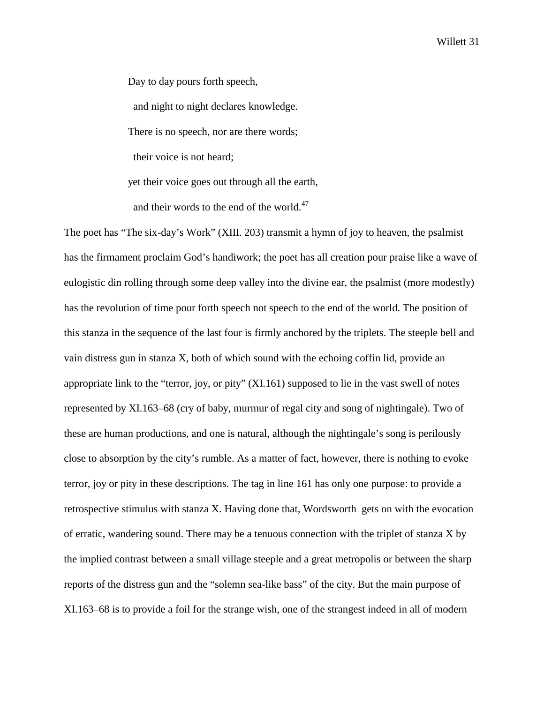Day to day pours forth speech,

and night to night declares knowledge.

There is no speech, nor are there words;

their voice is not heard;

yet their voice goes out through all the earth,

and their words to the end of the world. $47$ 

The poet has "The six-day's Work" (XIII. 203) transmit a hymn of joy to heaven, the psalmist has the firmament proclaim God's handiwork; the poet has all creation pour praise like a wave of eulogistic din rolling through some deep valley into the divine ear, the psalmist (more modestly) has the revolution of time pour forth speech not speech to the end of the world. The position of this stanza in the sequence of the last four is firmly anchored by the triplets. The steeple bell and vain distress gun in stanza X, both of which sound with the echoing coffin lid, provide an appropriate link to the "terror, joy, or pity" (XI.161) supposed to lie in the vast swell of notes represented by XI.163–68 (cry of baby, murmur of regal city and song of nightingale). Two of these are human productions, and one is natural, although the nightingale's song is perilously close to absorption by the city's rumble. As a matter of fact, however, there is nothing to evoke terror, joy or pity in these descriptions. The tag in line 161 has only one purpose: to provide a retrospective stimulus with stanza X. Having done that, Wordsworth gets on with the evocation of erratic, wandering sound. There may be a tenuous connection with the triplet of stanza X by the implied contrast between a small village steeple and a great metropolis or between the sharp reports of the distress gun and the "solemn sea-like bass" of the city. But the main purpose of XI.163–68 is to provide a foil for the strange wish, one of the strangest indeed in all of modern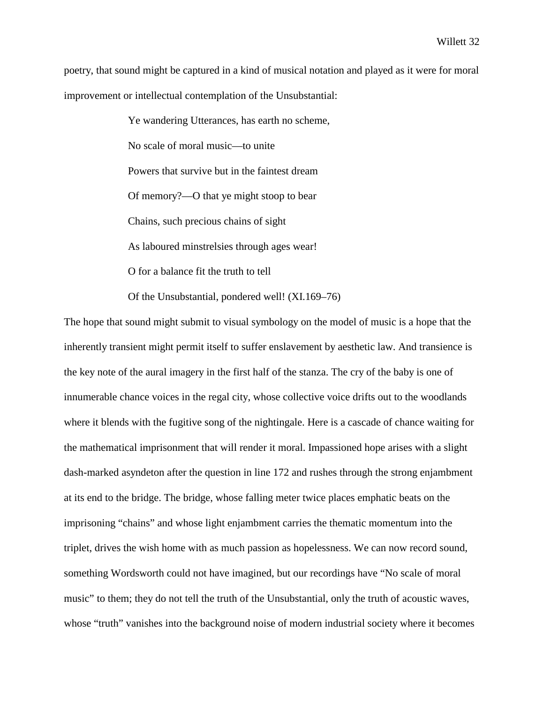poetry, that sound might be captured in a kind of musical notation and played as it were for moral improvement or intellectual contemplation of the Unsubstantial:

> Ye wandering Utterances, has earth no scheme, No scale of moral music—to unite Powers that survive but in the faintest dream Of memory?—O that ye might stoop to bear Chains, such precious chains of sight As laboured minstrelsies through ages wear! O for a balance fit the truth to tell

Of the Unsubstantial, pondered well! (XI.169–76)

The hope that sound might submit to visual symbology on the model of music is a hope that the inherently transient might permit itself to suffer enslavement by aesthetic law. And transience is the key note of the aural imagery in the first half of the stanza. The cry of the baby is one of innumerable chance voices in the regal city, whose collective voice drifts out to the woodlands where it blends with the fugitive song of the nightingale. Here is a cascade of chance waiting for the mathematical imprisonment that will render it moral. Impassioned hope arises with a slight dash-marked asyndeton after the question in line 172 and rushes through the strong enjambment at its end to the bridge. The bridge, whose falling meter twice places emphatic beats on the imprisoning "chains" and whose light enjambment carries the thematic momentum into the triplet, drives the wish home with as much passion as hopelessness. We can now record sound, something Wordsworth could not have imagined, but our recordings have "No scale of moral music" to them; they do not tell the truth of the Unsubstantial, only the truth of acoustic waves, whose "truth" vanishes into the background noise of modern industrial society where it becomes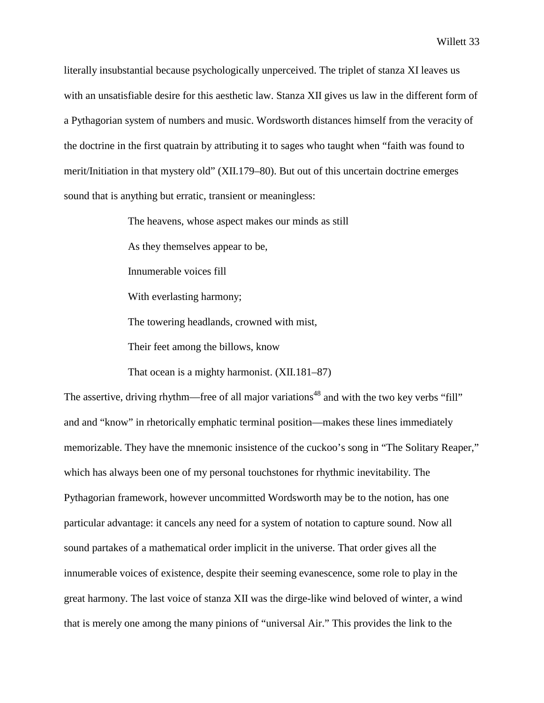literally insubstantial because psychologically unperceived. The triplet of stanza XI leaves us with an unsatisfiable desire for this aesthetic law. Stanza XII gives us law in the different form of a Pythagorian system of numbers and music. Wordsworth distances himself from the veracity of the doctrine in the first quatrain by attributing it to sages who taught when "faith was found to merit/Initiation in that mystery old" (XII.179–80). But out of this uncertain doctrine emerges sound that is anything but erratic, transient or meaningless:

> The heavens, whose aspect makes our minds as still As they themselves appear to be, Innumerable voices fill With everlasting harmony; The towering headlands, crowned with mist, Their feet among the billows, know

That ocean is a mighty harmonist. (XII.181–87)

The assertive, driving rhythm—free of all major variations<sup>48</sup> and with the two key verbs "fill" and and "know" in rhetorically emphatic terminal position—makes these lines immediately memorizable. They have the mnemonic insistence of the cuckoo's song in "The Solitary Reaper," which has always been one of my personal touchstones for rhythmic inevitability. The Pythagorian framework, however uncommitted Wordsworth may be to the notion, has one particular advantage: it cancels any need for a system of notation to capture sound. Now all sound partakes of a mathematical order implicit in the universe. That order gives all the innumerable voices of existence, despite their seeming evanescence, some role to play in the great harmony. The last voice of stanza XII was the dirge-like wind beloved of winter, a wind that is merely one among the many pinions of "universal Air." This provides the link to the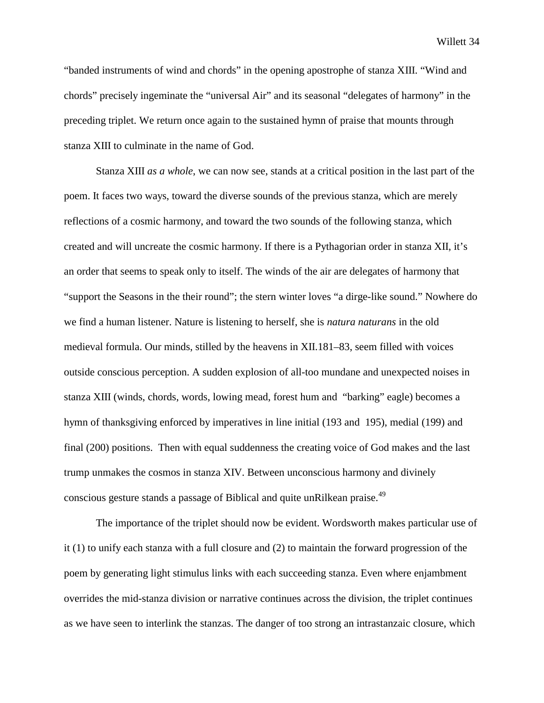"banded instruments of wind and chords" in the opening apostrophe of stanza XIII. "Wind and chords" precisely ingeminate the "universal Air" and its seasonal "delegates of harmony" in the preceding triplet. We return once again to the sustained hymn of praise that mounts through stanza XIII to culminate in the name of God.

Stanza XIII *as a whole*, we can now see, stands at a critical position in the last part of the poem. It faces two ways, toward the diverse sounds of the previous stanza, which are merely reflections of a cosmic harmony, and toward the two sounds of the following stanza, which created and will uncreate the cosmic harmony. If there is a Pythagorian order in stanza XII, it's an order that seems to speak only to itself. The winds of the air are delegates of harmony that "support the Seasons in the their round"; the stern winter loves "a dirge-like sound." Nowhere do we find a human listener. Nature is listening to herself, she is *natura naturans* in the old medieval formula. Our minds, stilled by the heavens in XII.181–83, seem filled with voices outside conscious perception. A sudden explosion of all-too mundane and unexpected noises in stanza XIII (winds, chords, words, lowing mead, forest hum and "barking" eagle) becomes a hymn of thanksgiving enforced by imperatives in line initial (193 and 195), medial (199) and final (200) positions. Then with equal suddenness the creating voice of God makes and the last trump unmakes the cosmos in stanza XIV. Between unconscious harmony and divinely conscious gesture stands a passage of Biblical and quite unRilkean praise.<sup>49</sup>

The importance of the triplet should now be evident. Wordsworth makes particular use of it (1) to unify each stanza with a full closure and (2) to maintain the forward progression of the poem by generating light stimulus links with each succeeding stanza. Even where enjambment overrides the mid-stanza division or narrative continues across the division, the triplet continues as we have seen to interlink the stanzas. The danger of too strong an intrastanzaic closure, which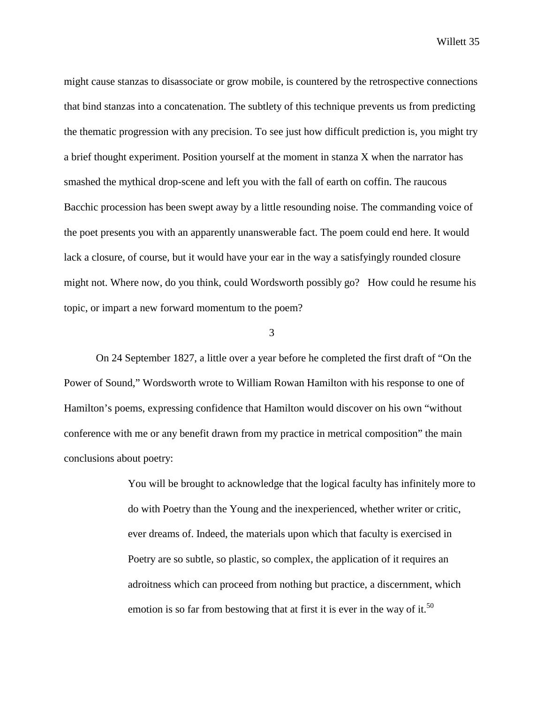might cause stanzas to disassociate or grow mobile, is countered by the retrospective connections that bind stanzas into a concatenation. The subtlety of this technique prevents us from predicting the thematic progression with any precision. To see just how difficult prediction is, you might try a brief thought experiment. Position yourself at the moment in stanza X when the narrator has smashed the mythical drop-scene and left you with the fall of earth on coffin. The raucous Bacchic procession has been swept away by a little resounding noise. The commanding voice of the poet presents you with an apparently unanswerable fact. The poem could end here. It would lack a closure, of course, but it would have your ear in the way a satisfyingly rounded closure might not. Where now, do you think, could Wordsworth possibly go? How could he resume his topic, or impart a new forward momentum to the poem?

3

On 24 September 1827, a little over a year before he completed the first draft of "On the Power of Sound," Wordsworth wrote to William Rowan Hamilton with his response to one of Hamilton's poems, expressing confidence that Hamilton would discover on his own "without conference with me or any benefit drawn from my practice in metrical composition" the main conclusions about poetry:

> You will be brought to acknowledge that the logical faculty has infinitely more to do with Poetry than the Young and the inexperienced, whether writer or critic, ever dreams of. Indeed, the materials upon which that faculty is exercised in Poetry are so subtle, so plastic, so complex, the application of it requires an adroitness which can proceed from nothing but practice, a discernment, which emotion is so far from bestowing that at first it is ever in the way of it.<sup>50</sup>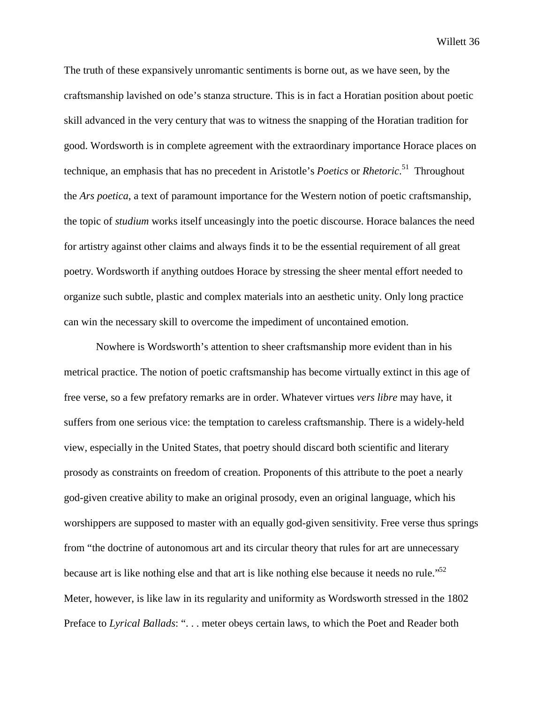The truth of these expansively unromantic sentiments is borne out, as we have seen, by the craftsmanship lavished on ode's stanza structure. This is in fact a Horatian position about poetic skill advanced in the very century that was to witness the snapping of the Horatian tradition for good. Wordsworth is in complete agreement with the extraordinary importance Horace places on technique, an emphasis that has no precedent in Aristotle's *Poetics* or *Rhetoric*. 51 Throughout the *Ars poetica*, a text of paramount importance for the Western notion of poetic craftsmanship, the topic of *studium* works itself unceasingly into the poetic discourse. Horace balances the need for artistry against other claims and always finds it to be the essential requirement of all great poetry. Wordsworth if anything outdoes Horace by stressing the sheer mental effort needed to organize such subtle, plastic and complex materials into an aesthetic unity. Only long practice can win the necessary skill to overcome the impediment of uncontained emotion.

Nowhere is Wordsworth's attention to sheer craftsmanship more evident than in his metrical practice. The notion of poetic craftsmanship has become virtually extinct in this age of free verse, so a few prefatory remarks are in order. Whatever virtues *vers libre* may have, it suffers from one serious vice: the temptation to careless craftsmanship. There is a widely-held view, especially in the United States, that poetry should discard both scientific and literary prosody as constraints on freedom of creation. Proponents of this attribute to the poet a nearly god-given creative ability to make an original prosody, even an original language, which his worshippers are supposed to master with an equally god-given sensitivity. Free verse thus springs from "the doctrine of autonomous art and its circular theory that rules for art are unnecessary because art is like nothing else and that art is like nothing else because it needs no rule."<sup>52</sup> Meter, however, is like law in its regularity and uniformity as Wordsworth stressed in the 1802 Preface to *Lyrical Ballads*: ". . . meter obeys certain laws, to which the Poet and Reader both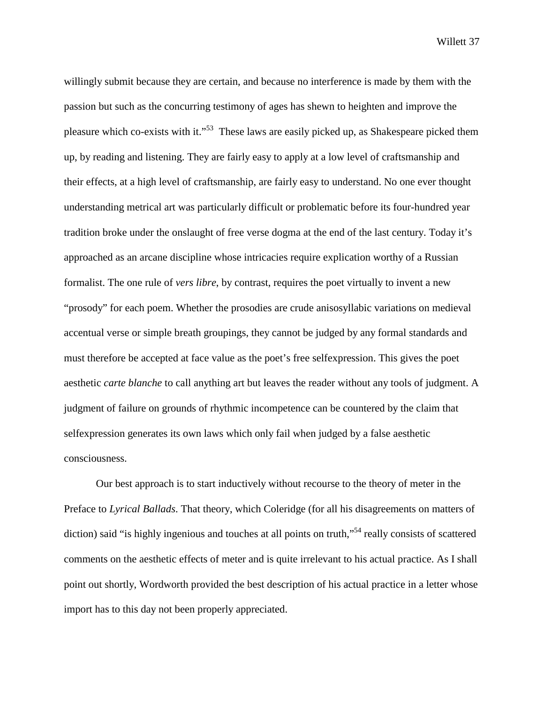willingly submit because they are certain, and because no interference is made by them with the passion but such as the concurring testimony of ages has shewn to heighten and improve the pleasure which co-exists with it."53 These laws are easily picked up, as Shakespeare picked them up, by reading and listening. They are fairly easy to apply at a low level of craftsmanship and their effects, at a high level of craftsmanship, are fairly easy to understand. No one ever thought understanding metrical art was particularly difficult or problematic before its four-hundred year tradition broke under the onslaught of free verse dogma at the end of the last century. Today it's approached as an arcane discipline whose intricacies require explication worthy of a Russian formalist. The one rule of *vers libre*, by contrast, requires the poet virtually to invent a new "prosody" for each poem. Whether the prosodies are crude anisosyllabic variations on medieval accentual verse or simple breath groupings, they cannot be judged by any formal standards and must therefore be accepted at face value as the poet's free selfexpression. This gives the poet aesthetic *carte blanche* to call anything art but leaves the reader without any tools of judgment. A judgment of failure on grounds of rhythmic incompetence can be countered by the claim that selfexpression generates its own laws which only fail when judged by a false aesthetic consciousness.

Our best approach is to start inductively without recourse to the theory of meter in the Preface to *Lyrical Ballads*. That theory, which Coleridge (for all his disagreements on matters of diction) said "is highly ingenious and touches at all points on truth,"<sup>54</sup> really consists of scattered comments on the aesthetic effects of meter and is quite irrelevant to his actual practice. As I shall point out shortly, Wordworth provided the best description of his actual practice in a letter whose import has to this day not been properly appreciated.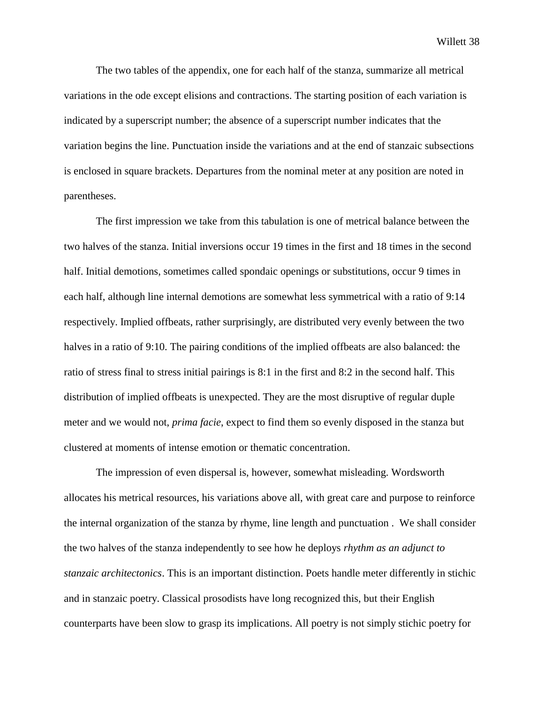The two tables of the appendix, one for each half of the stanza, summarize all metrical variations in the ode except elisions and contractions. The starting position of each variation is indicated by a superscript number; the absence of a superscript number indicates that the variation begins the line. Punctuation inside the variations and at the end of stanzaic subsections is enclosed in square brackets. Departures from the nominal meter at any position are noted in parentheses.

The first impression we take from this tabulation is one of metrical balance between the two halves of the stanza. Initial inversions occur 19 times in the first and 18 times in the second half. Initial demotions, sometimes called spondaic openings or substitutions, occur 9 times in each half, although line internal demotions are somewhat less symmetrical with a ratio of 9:14 respectively. Implied offbeats, rather surprisingly, are distributed very evenly between the two halves in a ratio of 9:10. The pairing conditions of the implied offbeats are also balanced: the ratio of stress final to stress initial pairings is 8:1 in the first and 8:2 in the second half. This distribution of implied offbeats is unexpected. They are the most disruptive of regular duple meter and we would not, *prima facie*, expect to find them so evenly disposed in the stanza but clustered at moments of intense emotion or thematic concentration.

The impression of even dispersal is, however, somewhat misleading. Wordsworth allocates his metrical resources, his variations above all, with great care and purpose to reinforce the internal organization of the stanza by rhyme, line length and punctuation . We shall consider the two halves of the stanza independently to see how he deploys *rhythm as an adjunct to stanzaic architectonics*. This is an important distinction. Poets handle meter differently in stichic and in stanzaic poetry. Classical prosodists have long recognized this, but their English counterparts have been slow to grasp its implications. All poetry is not simply stichic poetry for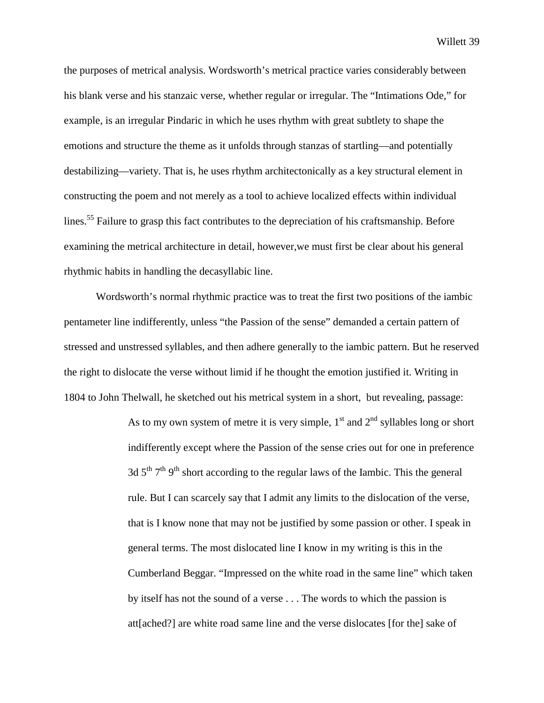the purposes of metrical analysis. Wordsworth's metrical practice varies considerably between his blank verse and his stanzaic verse, whether regular or irregular. The "Intimations Ode," for example, is an irregular Pindaric in which he uses rhythm with great subtlety to shape the emotions and structure the theme as it unfolds through stanzas of startling—and potentially destabilizing—variety. That is, he uses rhythm architectonically as a key structural element in constructing the poem and not merely as a tool to achieve localized effects within individual lines.55 Failure to grasp this fact contributes to the depreciation of his craftsmanship. Before examining the metrical architecture in detail, however,we must first be clear about his general rhythmic habits in handling the decasyllabic line.

 Wordsworth's normal rhythmic practice was to treat the first two positions of the iambic pentameter line indifferently, unless "the Passion of the sense" demanded a certain pattern of stressed and unstressed syllables, and then adhere generally to the iambic pattern. But he reserved the right to dislocate the verse without limid if he thought the emotion justified it. Writing in 1804 to John Thelwall, he sketched out his metrical system in a short, but revealing, passage:

> As to my own system of metre it is very simple,  $1<sup>st</sup>$  and  $2<sup>nd</sup>$  syllables long or short indifferently except where the Passion of the sense cries out for one in preference 3d  $5<sup>th</sup> 7<sup>th</sup> 9<sup>th</sup>$  short according to the regular laws of the Iambic. This the general rule. But I can scarcely say that I admit any limits to the dislocation of the verse, that is I know none that may not be justified by some passion or other. I speak in general terms. The most dislocated line I know in my writing is this in the Cumberland Beggar. "Impressed on the white road in the same line" which taken by itself has not the sound of a verse . . . The words to which the passion is att[ached?] are white road same line and the verse dislocates [for the] sake of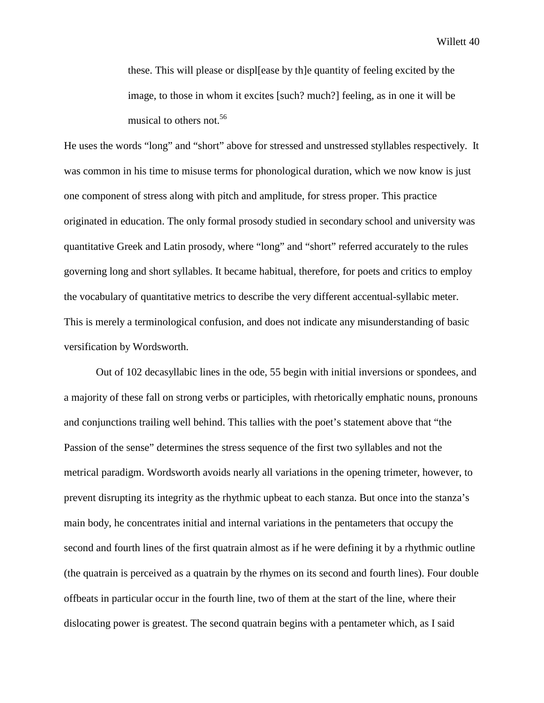these. This will please or displ[ease by th]e quantity of feeling excited by the image, to those in whom it excites [such? much?] feeling, as in one it will be musical to others not.<sup>56</sup>

He uses the words "long" and "short" above for stressed and unstressed styllables respectively. It was common in his time to misuse terms for phonological duration, which we now know is just one component of stress along with pitch and amplitude, for stress proper. This practice originated in education. The only formal prosody studied in secondary school and university was quantitative Greek and Latin prosody, where "long" and "short" referred accurately to the rules governing long and short syllables. It became habitual, therefore, for poets and critics to employ the vocabulary of quantitative metrics to describe the very different accentual-syllabic meter. This is merely a terminological confusion, and does not indicate any misunderstanding of basic versification by Wordsworth.

Out of 102 decasyllabic lines in the ode, 55 begin with initial inversions or spondees, and a majority of these fall on strong verbs or participles, with rhetorically emphatic nouns, pronouns and conjunctions trailing well behind. This tallies with the poet's statement above that "the Passion of the sense" determines the stress sequence of the first two syllables and not the metrical paradigm. Wordsworth avoids nearly all variations in the opening trimeter, however, to prevent disrupting its integrity as the rhythmic upbeat to each stanza. But once into the stanza's main body, he concentrates initial and internal variations in the pentameters that occupy the second and fourth lines of the first quatrain almost as if he were defining it by a rhythmic outline (the quatrain is perceived as a quatrain by the rhymes on its second and fourth lines). Four double offbeats in particular occur in the fourth line, two of them at the start of the line, where their dislocating power is greatest. The second quatrain begins with a pentameter which, as I said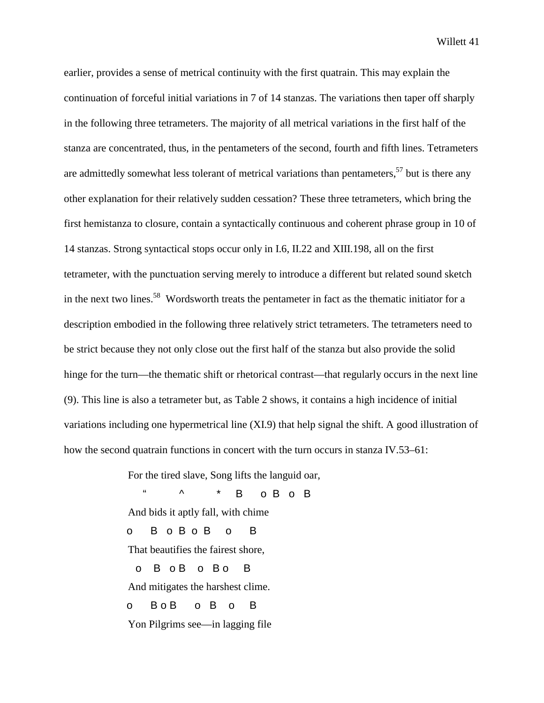earlier, provides a sense of metrical continuity with the first quatrain. This may explain the continuation of forceful initial variations in 7 of 14 stanzas. The variations then taper off sharply in the following three tetrameters. The majority of all metrical variations in the first half of the stanza are concentrated, thus, in the pentameters of the second, fourth and fifth lines. Tetrameters are admittedly somewhat less tolerant of metrical variations than pentameters,  $57$  but is there any other explanation for their relatively sudden cessation? These three tetrameters, which bring the first hemistanza to closure, contain a syntactically continuous and coherent phrase group in 10 of 14 stanzas. Strong syntactical stops occur only in I.6, II.22 and XIII.198, all on the first tetrameter, with the punctuation serving merely to introduce a different but related sound sketch in the next two lines.<sup>58</sup> Wordsworth treats the pentameter in fact as the thematic initiator for a description embodied in the following three relatively strict tetrameters. The tetrameters need to be strict because they not only close out the first half of the stanza but also provide the solid hinge for the turn—the thematic shift or rhetorical contrast—that regularly occurs in the next line (9). This line is also a tetrameter but, as Table 2 shows, it contains a high incidence of initial variations including one hypermetrical line (XI.9) that help signal the shift. A good illustration of how the second quatrain functions in concert with the turn occurs in stanza IV.53–61:

For the tired slave, Song lifts the languid oar,

 $\text{``} \quad \text{''} \quad \text{''} \quad \text{B} \quad \text{o} \text{B} \quad \text{o} \text{B}$ And bids it aptly fall, with chime o B o B o B o B That beautifies the fairest shore, o B o B o B o B And mitigates the harshest clime. o BoB o B o B Yon Pilgrims see—in lagging file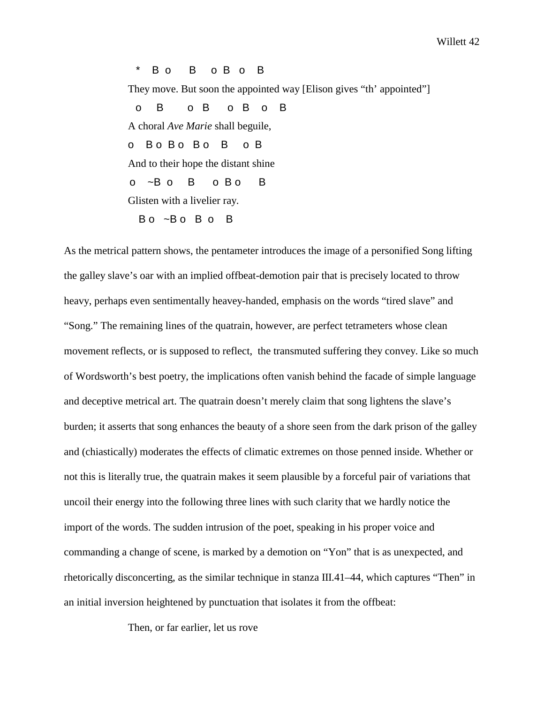\* B o B o B o B

They move. But soon the appointed way [Elison gives "th' appointed"]

 o B o B o B o B A choral *Ave Marie* shall beguile, o Bo Bo Bo Bo B And to their hope the distant shine  $O^{-1}$ B  $O$  B  $O$  B  $O$  B  $O$  B  $O$  B  $O$  B  $O$  B  $O$  B  $O$  B  $O$  B  $O$  B  $O$  B  $O$  B  $O$  B  $O$  B  $O$  B  $O$  B  $O$  B  $O$  B  $O$  B  $O$  B  $O$  B  $O$  B  $O$  B  $O$  B  $O$  B  $O$  B  $O$  B  $O$  B  $O$  B  $O$  B  $O$  B  $O$  B  $O$  B  $O$  B  $O$ Glisten with a livelier ray. Bo ~Bo Bo B

As the metrical pattern shows, the pentameter introduces the image of a personified Song lifting the galley slave's oar with an implied offbeat-demotion pair that is precisely located to throw heavy, perhaps even sentimentally heavey-handed, emphasis on the words "tired slave" and "Song." The remaining lines of the quatrain, however, are perfect tetrameters whose clean movement reflects, or is supposed to reflect, the transmuted suffering they convey. Like so much of Wordsworth's best poetry, the implications often vanish behind the facade of simple language and deceptive metrical art. The quatrain doesn't merely claim that song lightens the slave's burden; it asserts that song enhances the beauty of a shore seen from the dark prison of the galley and (chiastically) moderates the effects of climatic extremes on those penned inside. Whether or not this is literally true, the quatrain makes it seem plausible by a forceful pair of variations that uncoil their energy into the following three lines with such clarity that we hardly notice the import of the words. The sudden intrusion of the poet, speaking in his proper voice and commanding a change of scene, is marked by a demotion on "Yon" that is as unexpected, and rhetorically disconcerting, as the similar technique in stanza III.41–44, which captures "Then" in an initial inversion heightened by punctuation that isolates it from the offbeat:

Then, or far earlier, let us rove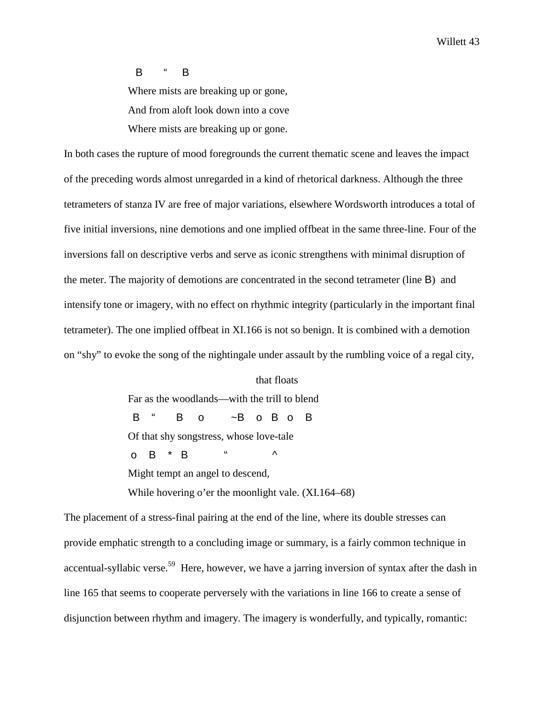## B " B

Where mists are breaking up or gone, And from aloft look down into a cove Where mists are breaking up or gone.

In both cases the rupture of mood foregrounds the current thematic scene and leaves the impact of the preceding words almost unregarded in a kind of rhetorical darkness. Although the three tetrameters of stanza IV are free of major variations, elsewhere Wordsworth introduces a total of five initial inversions, nine demotions and one implied offbeat in the same three-line. Four of the inversions fall on descriptive verbs and serve as iconic strengthens with minimal disruption of the meter. The majority of demotions are concentrated in the second tetrameter (line B) and intensify tone or imagery, with no effect on rhythmic integrity (particularly in the important final tetrameter). The one implied offbeat in XI.166 is not so benign. It is combined with a demotion on "shy" to evoke the song of the nightingale under assault by the rumbling voice of a regal city,

## that floats Far as the woodlands—with the trill to blend B " B o ~B o B o B Of that shy songstress, whose love-tale o B \* B  $\cdot$  " ^ Might tempt an angel to descend, While hovering o'er the moonlight vale. (XI.164–68)

The placement of a stress-final pairing at the end of the line, where its double stresses can provide emphatic strength to a concluding image or summary, is a fairly common technique in accentual-syllabic verse.<sup>59</sup> Here, however, we have a jarring inversion of syntax after the dash in line 165 that seems to cooperate perversely with the variations in line 166 to create a sense of disjunction between rhythm and imagery. The imagery is wonderfully, and typically, romantic: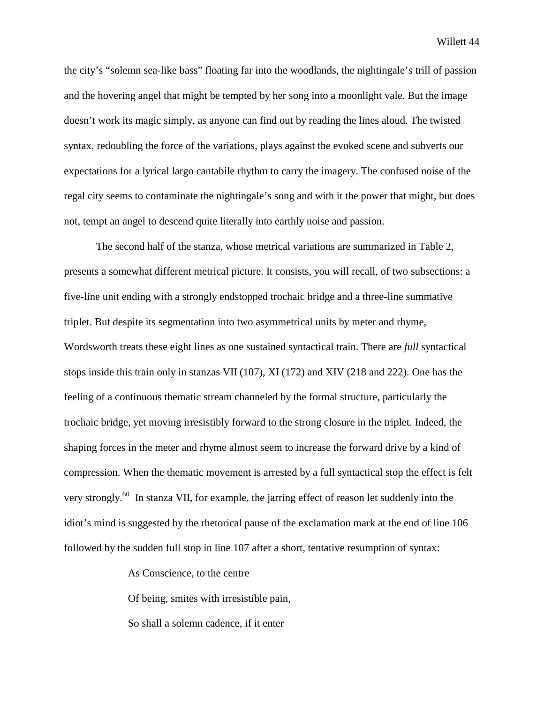the city's "solemn sea-like bass" floating far into the woodlands, the nightingale's trill of passion and the hovering angel that might be tempted by her song into a moonlight vale. But the image doesn't work its magic simply, as anyone can find out by reading the lines aloud. The twisted syntax, redoubling the force of the variations, plays against the evoked scene and subverts our expectations for a lyrical largo cantabile rhythm to carry the imagery. The confused noise of the regal city seems to contaminate the nightingale's song and with it the power that might, but does not, tempt an angel to descend quite literally into earthly noise and passion.

The second half of the stanza, whose metrical variations are summarized in Table 2, presents a somewhat different metrical picture. It consists, you will recall, of two subsections: a five-line unit ending with a strongly endstopped trochaic bridge and a three-line summative triplet. But despite its segmentation into two asymmetrical units by meter and rhyme, Wordsworth treats these eight lines as one sustained syntactical train. There are *full* syntactical stops inside this train only in stanzas VII (107), XI (172) and XIV (218 and 222). One has the feeling of a continuous thematic stream channeled by the formal structure, particularly the trochaic bridge, yet moving irresistibly forward to the strong closure in the triplet. Indeed, the shaping forces in the meter and rhyme almost seem to increase the forward drive by a kind of compression. When the thematic movement is arrested by a full syntactical stop the effect is felt very strongly.<sup>60</sup> In stanza VII, for example, the jarring effect of reason let suddenly into the idiot's mind is suggested by the rhetorical pause of the exclamation mark at the end of line 106 followed by the sudden full stop in line 107 after a short, tentative resumption of syntax:

As Conscience, to the centre

Of being, smites with irresistible pain,

So shall a solemn cadence, if it enter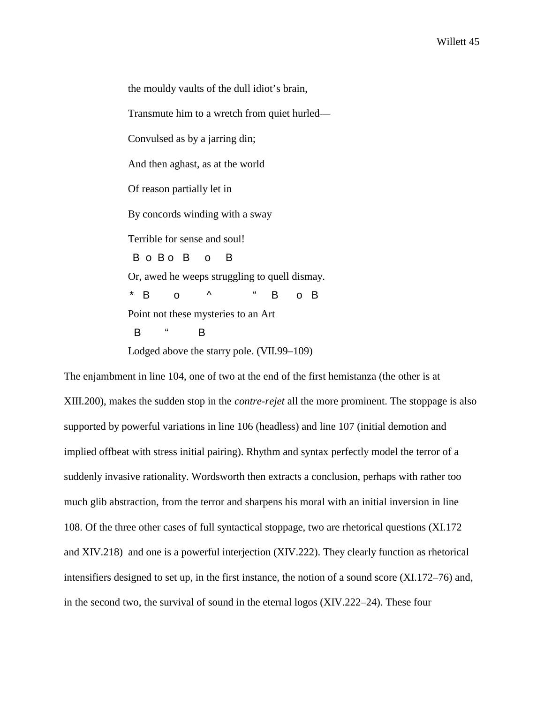the mouldy vaults of the dull idiot's brain, Transmute him to a wretch from quiet hurled— Convulsed as by a jarring din; And then aghast, as at the world Of reason partially let in By concords winding with a sway Terrible for sense and soul! B o B o B o B Or, awed he weeps struggling to quell dismay. \* B o ^ " B o B Point not these mysteries to an Art B " B Lodged above the starry pole. (VII.99–109)

The enjambment in line 104, one of two at the end of the first hemistanza (the other is at XIII.200), makes the sudden stop in the *contre-rejet* all the more prominent. The stoppage is also supported by powerful variations in line 106 (headless) and line 107 (initial demotion and implied offbeat with stress initial pairing). Rhythm and syntax perfectly model the terror of a suddenly invasive rationality. Wordsworth then extracts a conclusion, perhaps with rather too much glib abstraction, from the terror and sharpens his moral with an initial inversion in line 108. Of the three other cases of full syntactical stoppage, two are rhetorical questions (XI.172 and XIV.218) and one is a powerful interjection (XIV.222). They clearly function as rhetorical intensifiers designed to set up, in the first instance, the notion of a sound score (XI.172–76) and, in the second two, the survival of sound in the eternal logos (XIV.222–24). These four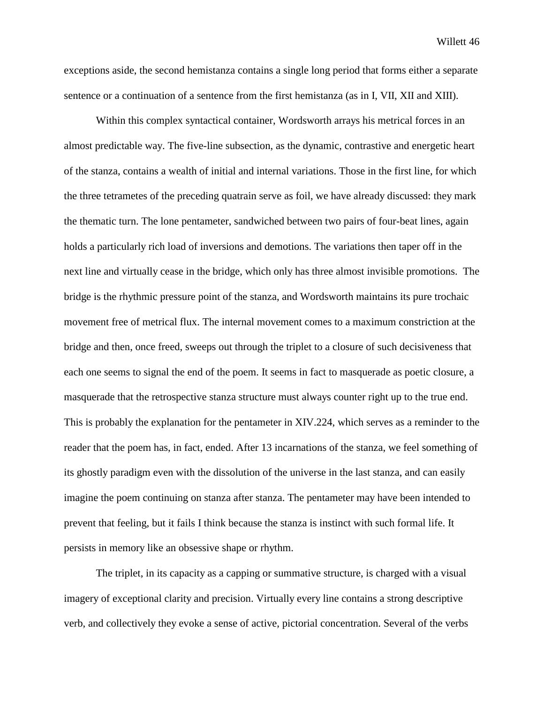exceptions aside, the second hemistanza contains a single long period that forms either a separate sentence or a continuation of a sentence from the first hemistanza (as in I, VII, XII and XIII).

Within this complex syntactical container, Wordsworth arrays his metrical forces in an almost predictable way. The five-line subsection, as the dynamic, contrastive and energetic heart of the stanza, contains a wealth of initial and internal variations. Those in the first line, for which the three tetrametes of the preceding quatrain serve as foil, we have already discussed: they mark the thematic turn. The lone pentameter, sandwiched between two pairs of four-beat lines, again holds a particularly rich load of inversions and demotions. The variations then taper off in the next line and virtually cease in the bridge, which only has three almost invisible promotions. The bridge is the rhythmic pressure point of the stanza, and Wordsworth maintains its pure trochaic movement free of metrical flux. The internal movement comes to a maximum constriction at the bridge and then, once freed, sweeps out through the triplet to a closure of such decisiveness that each one seems to signal the end of the poem. It seems in fact to masquerade as poetic closure, a masquerade that the retrospective stanza structure must always counter right up to the true end. This is probably the explanation for the pentameter in XIV.224, which serves as a reminder to the reader that the poem has, in fact, ended. After 13 incarnations of the stanza, we feel something of its ghostly paradigm even with the dissolution of the universe in the last stanza, and can easily imagine the poem continuing on stanza after stanza. The pentameter may have been intended to prevent that feeling, but it fails I think because the stanza is instinct with such formal life. It persists in memory like an obsessive shape or rhythm.

The triplet, in its capacity as a capping or summative structure, is charged with a visual imagery of exceptional clarity and precision. Virtually every line contains a strong descriptive verb, and collectively they evoke a sense of active, pictorial concentration. Several of the verbs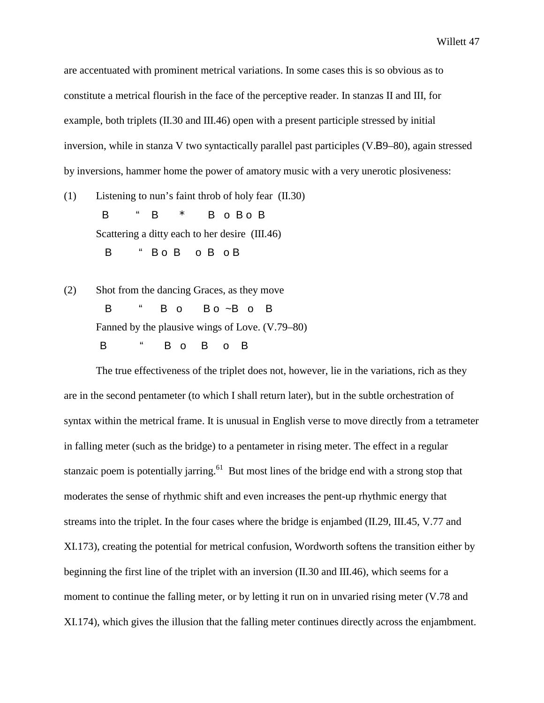are accentuated with prominent metrical variations. In some cases this is so obvious as to constitute a metrical flourish in the face of the perceptive reader. In stanzas II and III, for example, both triplets (II.30 and III.46) open with a present participle stressed by initial inversion, while in stanza V two syntactically parallel past participles (V.B9–80), again stressed by inversions, hammer home the power of amatory music with a very unerotic plosiveness:

(1) Listening to nun's faint throb of holy fear (II.30) B " B \* B o B o B Scattering a ditty each to her desire (III.46) B " Bo B o B o B

(2) Shot from the dancing Graces, as they move B " B o B o ~B o B Fanned by the plausive wings of Love. (V.79–80) B " B o B o B

The true effectiveness of the triplet does not, however, lie in the variations, rich as they are in the second pentameter (to which I shall return later), but in the subtle orchestration of syntax within the metrical frame. It is unusual in English verse to move directly from a tetrameter in falling meter (such as the bridge) to a pentameter in rising meter. The effect in a regular stanzaic poem is potentially jarring.<sup>61</sup> But most lines of the bridge end with a strong stop that moderates the sense of rhythmic shift and even increases the pent-up rhythmic energy that streams into the triplet. In the four cases where the bridge is enjambed (II.29, III.45, V.77 and XI.173), creating the potential for metrical confusion, Wordworth softens the transition either by beginning the first line of the triplet with an inversion (II.30 and III.46), which seems for a moment to continue the falling meter, or by letting it run on in unvaried rising meter (V.78 and XI.174), which gives the illusion that the falling meter continues directly across the enjambment.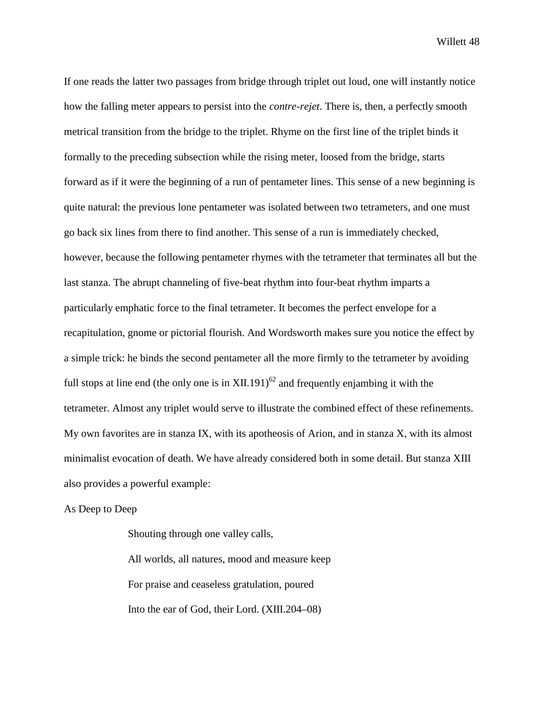If one reads the latter two passages from bridge through triplet out loud, one will instantly notice how the falling meter appears to persist into the *contre-rejet*. There is, then, a perfectly smooth metrical transition from the bridge to the triplet. Rhyme on the first line of the triplet binds it formally to the preceding subsection while the rising meter, loosed from the bridge, starts forward as if it were the beginning of a run of pentameter lines. This sense of a new beginning is quite natural: the previous lone pentameter was isolated between two tetrameters, and one must go back six lines from there to find another. This sense of a run is immediately checked, however, because the following pentameter rhymes with the tetrameter that terminates all but the last stanza. The abrupt channeling of five-beat rhythm into four-beat rhythm imparts a particularly emphatic force to the final tetrameter. It becomes the perfect envelope for a recapitulation, gnome or pictorial flourish. And Wordsworth makes sure you notice the effect by a simple trick: he binds the second pentameter all the more firmly to the tetrameter by avoiding full stops at line end (the only one is in  $XII.191$ )<sup>62</sup> and frequently enjambing it with the tetrameter. Almost any triplet would serve to illustrate the combined effect of these refinements. My own favorites are in stanza IX, with its apotheosis of Arion, and in stanza X, with its almost minimalist evocation of death. We have already considered both in some detail. But stanza XIII also provides a powerful example:

As Deep to Deep

Shouting through one valley calls, All worlds, all natures, mood and measure keep For praise and ceaseless gratulation, poured Into the ear of God, their Lord. (XIII.204–08)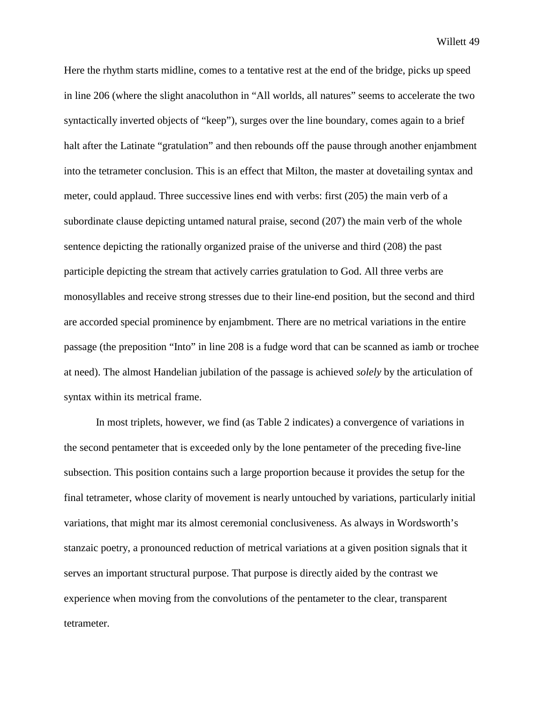Here the rhythm starts midline, comes to a tentative rest at the end of the bridge, picks up speed in line 206 (where the slight anacoluthon in "All worlds, all natures" seems to accelerate the two syntactically inverted objects of "keep"), surges over the line boundary, comes again to a brief halt after the Latinate "gratulation" and then rebounds off the pause through another enjambment into the tetrameter conclusion. This is an effect that Milton, the master at dovetailing syntax and meter, could applaud. Three successive lines end with verbs: first (205) the main verb of a subordinate clause depicting untamed natural praise, second (207) the main verb of the whole sentence depicting the rationally organized praise of the universe and third (208) the past participle depicting the stream that actively carries gratulation to God. All three verbs are monosyllables and receive strong stresses due to their line-end position, but the second and third are accorded special prominence by enjambment. There are no metrical variations in the entire passage (the preposition "Into" in line 208 is a fudge word that can be scanned as iamb or trochee at need). The almost Handelian jubilation of the passage is achieved *solely* by the articulation of syntax within its metrical frame.

In most triplets, however, we find (as Table 2 indicates) a convergence of variations in the second pentameter that is exceeded only by the lone pentameter of the preceding five-line subsection. This position contains such a large proportion because it provides the setup for the final tetrameter, whose clarity of movement is nearly untouched by variations, particularly initial variations, that might mar its almost ceremonial conclusiveness. As always in Wordsworth's stanzaic poetry, a pronounced reduction of metrical variations at a given position signals that it serves an important structural purpose. That purpose is directly aided by the contrast we experience when moving from the convolutions of the pentameter to the clear, transparent tetrameter.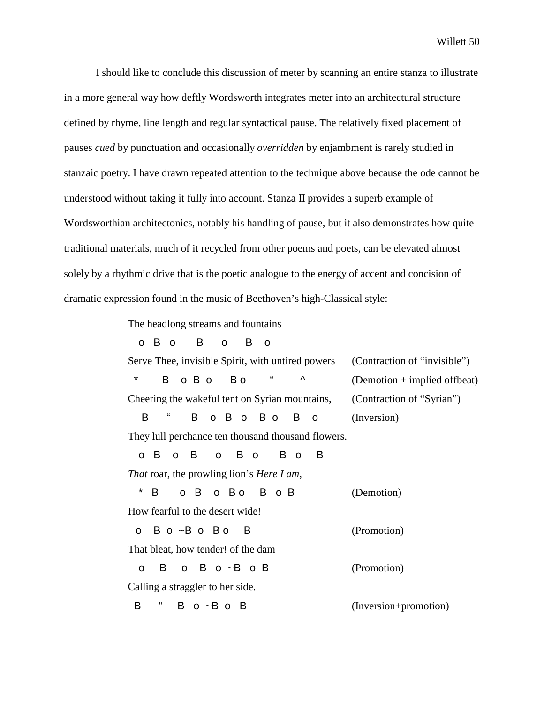I should like to conclude this discussion of meter by scanning an entire stanza to illustrate in a more general way how deftly Wordsworth integrates meter into an architectural structure defined by rhyme, line length and regular syntactical pause. The relatively fixed placement of pauses *cued* by punctuation and occasionally *overridden* by enjambment is rarely studied in stanzaic poetry. I have drawn repeated attention to the technique above because the ode cannot be understood without taking it fully into account. Stanza II provides a superb example of Wordsworthian architectonics, notably his handling of pause, but it also demonstrates how quite traditional materials, much of it recycled from other poems and poets, can be elevated almost solely by a rhythmic drive that is the poetic analogue to the energy of accent and concision of dramatic expression found in the music of Beethoven's high-Classical style:

The headlong streams and fountains

| B<br>o B<br>B<br>$\overline{O}$<br>$\mathsf{o}$<br><b>O</b> |                                |
|-------------------------------------------------------------|--------------------------------|
| Serve Thee, invisible Spirit, with untired powers           | (Contraction of "invisible")   |
| $\star$<br>"<br>Λ<br>В<br>$O$ B $O$<br>B o                  | $(Demotion + implied offbeat)$ |
| Cheering the wakeful tent on Syrian mountains,              | (Contraction of "Syrian")      |
| B<br>B<br>o B o B o<br>B o                                  | (Inversion)                    |
| They lull perchance ten thousand thousand flowers.          |                                |
| B o<br>B<br>o B<br>B<br>B o<br>$\Omega$<br>$\mathsf{o}$     |                                |
| <i>That</i> roar, the prowling lion's <i>Here I am</i> ,    |                                |
| *<br>B<br>o Bo<br>o B<br>B o B                              | (Demotion)                     |
| How fearful to the desert wide!                             |                                |
| o Bo~Bo Bo<br>- B                                           | (Promotion)                    |
| That bleat, how tender! of the dam                          |                                |
| $O$ B $O \sim B$ $O$ B<br>B<br>$\Omega$                     | (Promotion)                    |
| Calling a straggler to her side.                            |                                |
| "<br>В<br>B o ~B o B                                        | (Inversion+promotion)          |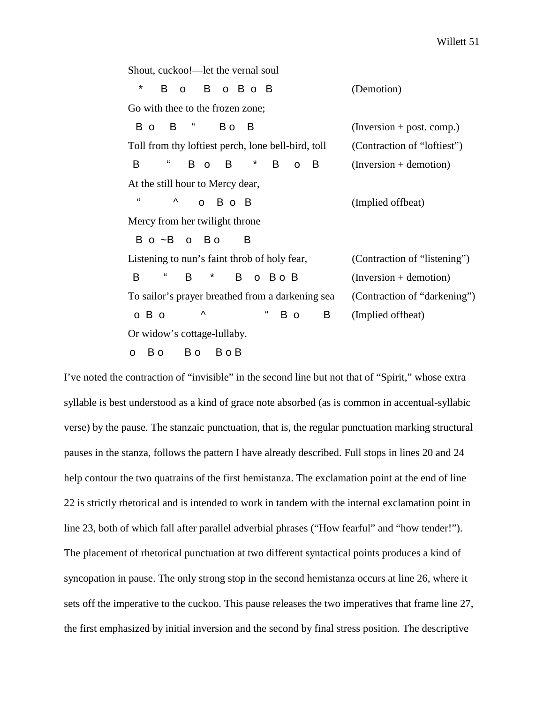Shout, cuckoo!—let the vernal soul B o B o B o B (Demotion) Go with thee to the frozen zone;  $\overline{B}$  o  $\overline{B}$  "  $\overline{B}$  o  $\overline{B}$   $\overline{B}$  (Inversion + post. comp.) Toll from thy loftiest perch, lone bell-bird, toll (Contraction of "loftiest")  $\mathsf{B}$  "  $\mathsf{B}$  o  $\mathsf{B}$  \*  $\mathsf{B}$  o  $\mathsf{B}$  (Inversion + demotion) At the still hour to Mercy dear, "  $\wedge$  o B o B (Implied offbeat) Mercy from her twilight throne B o ~B o B o B Listening to nun's faint throb of holy fear, (Contraction of "listening")  $\mathsf{B}$  "  $\mathsf{B}$  \*  $\mathsf{B}$  o  $\mathsf{B}$  o  $\mathsf{B}$  (Inversion + demotion) To sailor's prayer breathed from a darkening sea (Contraction of "darkening") o B o  $\land$  " B o B (Implied offbeat) Or widow's cottage-lullaby. o Bo Bo Bo B

I've noted the contraction of "invisible" in the second line but not that of "Spirit," whose extra syllable is best understood as a kind of grace note absorbed (as is common in accentual-syllabic verse) by the pause. The stanzaic punctuation, that is, the regular punctuation marking structural pauses in the stanza, follows the pattern I have already described. Full stops in lines 20 and 24 help contour the two quatrains of the first hemistanza. The exclamation point at the end of line 22 is strictly rhetorical and is intended to work in tandem with the internal exclamation point in line 23, both of which fall after parallel adverbial phrases ("How fearful" and "how tender!"). The placement of rhetorical punctuation at two different syntactical points produces a kind of syncopation in pause. The only strong stop in the second hemistanza occurs at line 26, where it sets off the imperative to the cuckoo. This pause releases the two imperatives that frame line 27, the first emphasized by initial inversion and the second by final stress position. The descriptive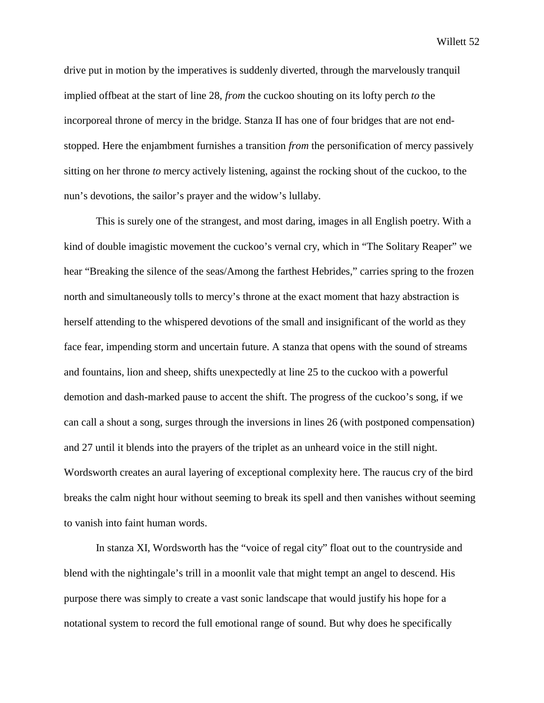drive put in motion by the imperatives is suddenly diverted, through the marvelously tranquil implied offbeat at the start of line 28, *from* the cuckoo shouting on its lofty perch *to* the incorporeal throne of mercy in the bridge. Stanza II has one of four bridges that are not endstopped. Here the enjambment furnishes a transition *from* the personification of mercy passively sitting on her throne *to* mercy actively listening, against the rocking shout of the cuckoo, to the nun's devotions, the sailor's prayer and the widow's lullaby.

This is surely one of the strangest, and most daring, images in all English poetry. With a kind of double imagistic movement the cuckoo's vernal cry, which in "The Solitary Reaper" we hear "Breaking the silence of the seas/Among the farthest Hebrides," carries spring to the frozen north and simultaneously tolls to mercy's throne at the exact moment that hazy abstraction is herself attending to the whispered devotions of the small and insignificant of the world as they face fear, impending storm and uncertain future. A stanza that opens with the sound of streams and fountains, lion and sheep, shifts unexpectedly at line 25 to the cuckoo with a powerful demotion and dash-marked pause to accent the shift. The progress of the cuckoo's song, if we can call a shout a song, surges through the inversions in lines 26 (with postponed compensation) and 27 until it blends into the prayers of the triplet as an unheard voice in the still night. Wordsworth creates an aural layering of exceptional complexity here. The raucus cry of the bird breaks the calm night hour without seeming to break its spell and then vanishes without seeming to vanish into faint human words.

In stanza XI, Wordsworth has the "voice of regal city" float out to the countryside and blend with the nightingale's trill in a moonlit vale that might tempt an angel to descend. His purpose there was simply to create a vast sonic landscape that would justify his hope for a notational system to record the full emotional range of sound. But why does he specifically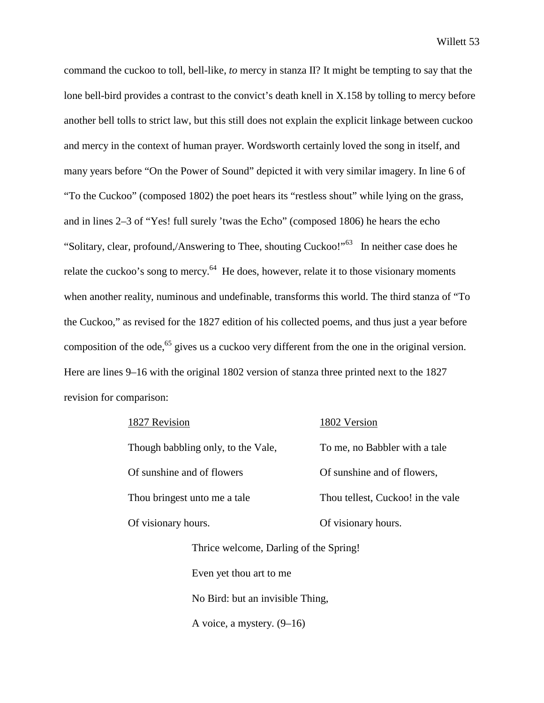command the cuckoo to toll, bell-like, *to* mercy in stanza II? It might be tempting to say that the lone bell-bird provides a contrast to the convict's death knell in X.158 by tolling to mercy before another bell tolls to strict law, but this still does not explain the explicit linkage between cuckoo and mercy in the context of human prayer. Wordsworth certainly loved the song in itself, and many years before "On the Power of Sound" depicted it with very similar imagery. In line 6 of "To the Cuckoo" (composed 1802) the poet hears its "restless shout" while lying on the grass, and in lines 2–3 of "Yes! full surely 'twas the Echo" (composed 1806) he hears the echo "Solitary, clear, profound,/Answering to Thee, shouting Cuckoo!"<sup>63</sup> In neither case does he relate the cuckoo's song to mercy.<sup>64</sup> He does, however, relate it to those visionary moments when another reality, numinous and undefinable, transforms this world. The third stanza of "To the Cuckoo," as revised for the 1827 edition of his collected poems, and thus just a year before composition of the ode,<sup>65</sup> gives us a cuckoo very different from the one in the original version. Here are lines 9–16 with the original 1802 version of stanza three printed next to the 1827 revision for comparison:

| 1827 Revision                          | 1802 Version                      |  |  |  |
|----------------------------------------|-----------------------------------|--|--|--|
| Though babbling only, to the Vale,     | To me, no Babbler with a tale     |  |  |  |
| Of sunshine and of flowers             | Of sunshine and of flowers,       |  |  |  |
| Thou bringest unto me a tale.          | Thou tellest, Cuckoo! in the vale |  |  |  |
| Of visionary hours.                    | Of visionary hours.               |  |  |  |
| Thrice welcome, Darling of the Spring! |                                   |  |  |  |
| Even yet thou art to me                |                                   |  |  |  |
|                                        |                                   |  |  |  |

No Bird: but an invisible Thing,

A voice, a mystery. (9–16)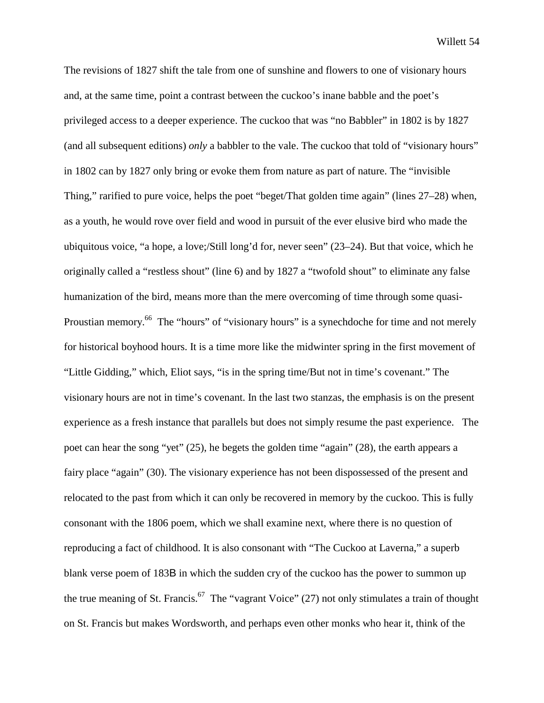The revisions of 1827 shift the tale from one of sunshine and flowers to one of visionary hours and, at the same time, point a contrast between the cuckoo's inane babble and the poet's privileged access to a deeper experience. The cuckoo that was "no Babbler" in 1802 is by 1827 (and all subsequent editions) *only* a babbler to the vale. The cuckoo that told of "visionary hours" in 1802 can by 1827 only bring or evoke them from nature as part of nature. The "invisible Thing," rarified to pure voice, helps the poet "beget/That golden time again" (lines 27–28) when, as a youth, he would rove over field and wood in pursuit of the ever elusive bird who made the ubiquitous voice, "a hope, a love;/Still long'd for, never seen" (23–24). But that voice, which he originally called a "restless shout" (line 6) and by 1827 a "twofold shout" to eliminate any false humanization of the bird, means more than the mere overcoming of time through some quasi-Proustian memory.<sup>66</sup> The "hours" of "visionary hours" is a synechdoche for time and not merely for historical boyhood hours. It is a time more like the midwinter spring in the first movement of "Little Gidding," which, Eliot says, "is in the spring time/But not in time's covenant." The visionary hours are not in time's covenant. In the last two stanzas, the emphasis is on the present experience as a fresh instance that parallels but does not simply resume the past experience. The poet can hear the song "yet" (25), he begets the golden time "again" (28), the earth appears a fairy place "again" (30). The visionary experience has not been dispossessed of the present and relocated to the past from which it can only be recovered in memory by the cuckoo. This is fully consonant with the 1806 poem, which we shall examine next, where there is no question of reproducing a fact of childhood. It is also consonant with "The Cuckoo at Laverna," a superb blank verse poem of 183B in which the sudden cry of the cuckoo has the power to summon up the true meaning of St. Francis.<sup>67</sup> The "vagrant Voice" (27) not only stimulates a train of thought on St. Francis but makes Wordsworth, and perhaps even other monks who hear it, think of the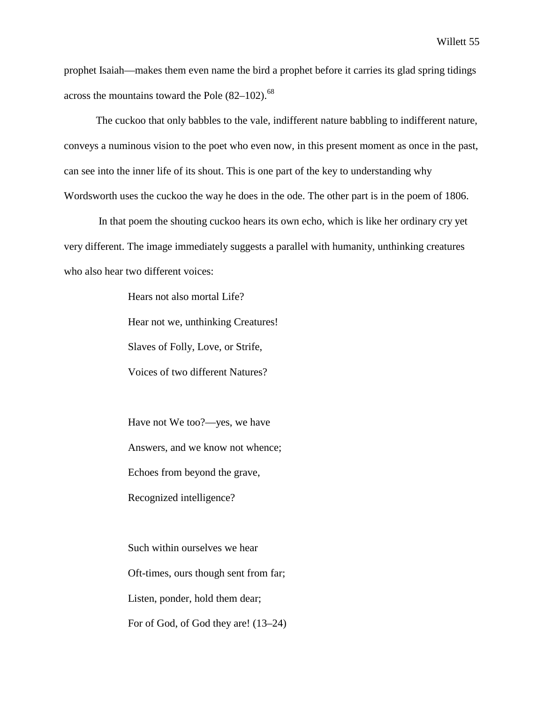prophet Isaiah—makes them even name the bird a prophet before it carries its glad spring tidings across the mountains toward the Pole  $(82-102)$ .<sup>68</sup>

The cuckoo that only babbles to the vale, indifferent nature babbling to indifferent nature, conveys a numinous vision to the poet who even now, in this present moment as once in the past, can see into the inner life of its shout. This is one part of the key to understanding why Wordsworth uses the cuckoo the way he does in the ode. The other part is in the poem of 1806.

 In that poem the shouting cuckoo hears its own echo, which is like her ordinary cry yet very different. The image immediately suggests a parallel with humanity, unthinking creatures who also hear two different voices:

> Hears not also mortal Life? Hear not we, unthinking Creatures! Slaves of Folly, Love, or Strife, Voices of two different Natures?

Have not We too?—yes, we have Answers, and we know not whence; Echoes from beyond the grave, Recognized intelligence?

Such within ourselves we hear Oft-times, ours though sent from far; Listen, ponder, hold them dear; For of God, of God they are! (13–24)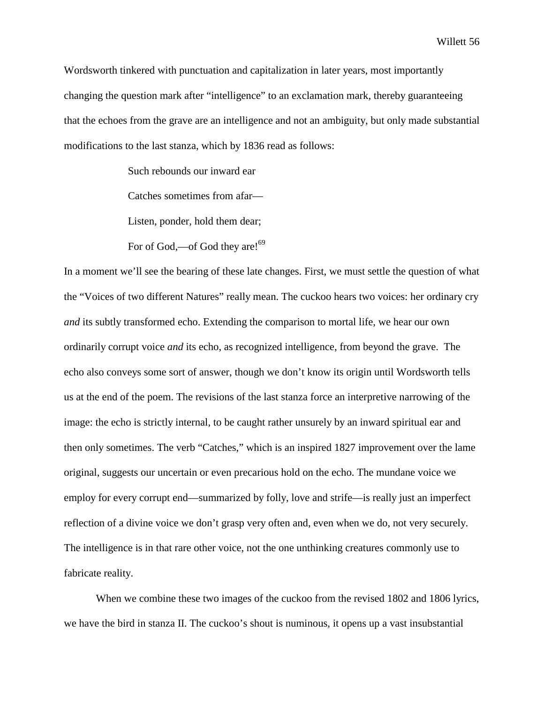Wordsworth tinkered with punctuation and capitalization in later years, most importantly changing the question mark after "intelligence" to an exclamation mark, thereby guaranteeing that the echoes from the grave are an intelligence and not an ambiguity, but only made substantial modifications to the last stanza, which by 1836 read as follows:

Such rebounds our inward ear

Catches sometimes from afar—

Listen, ponder, hold them dear;

For of God,—of God they are! $^{69}$ 

In a moment we'll see the bearing of these late changes. First, we must settle the question of what the "Voices of two different Natures" really mean. The cuckoo hears two voices: her ordinary cry *and* its subtly transformed echo. Extending the comparison to mortal life, we hear our own ordinarily corrupt voice *and* its echo, as recognized intelligence, from beyond the grave. The echo also conveys some sort of answer, though we don't know its origin until Wordsworth tells us at the end of the poem. The revisions of the last stanza force an interpretive narrowing of the image: the echo is strictly internal, to be caught rather unsurely by an inward spiritual ear and then only sometimes. The verb "Catches," which is an inspired 1827 improvement over the lame original, suggests our uncertain or even precarious hold on the echo. The mundane voice we employ for every corrupt end—summarized by folly, love and strife—is really just an imperfect reflection of a divine voice we don't grasp very often and, even when we do, not very securely. The intelligence is in that rare other voice, not the one unthinking creatures commonly use to fabricate reality.

When we combine these two images of the cuckoo from the revised 1802 and 1806 lyrics, we have the bird in stanza II. The cuckoo's shout is numinous, it opens up a vast insubstantial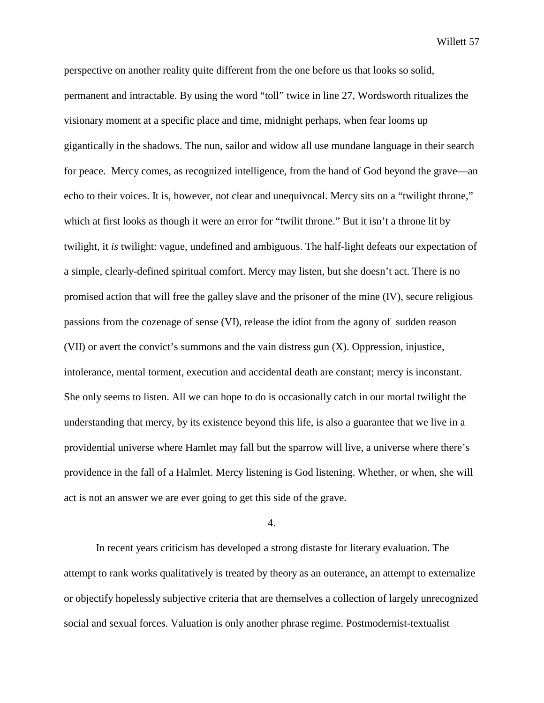perspective on another reality quite different from the one before us that looks so solid, permanent and intractable. By using the word "toll" twice in line 27, Wordsworth ritualizes the visionary moment at a specific place and time, midnight perhaps, when fear looms up gigantically in the shadows. The nun, sailor and widow all use mundane language in their search for peace. Mercy comes, as recognized intelligence, from the hand of God beyond the grave—an echo to their voices. It is, however, not clear and unequivocal. Mercy sits on a "twilight throne," which at first looks as though it were an error for "twilit throne." But it isn't a throne lit by twilight, it *is* twilight: vague, undefined and ambiguous. The half-light defeats our expectation of a simple, clearly-defined spiritual comfort. Mercy may listen, but she doesn't act. There is no promised action that will free the galley slave and the prisoner of the mine (IV), secure religious passions from the cozenage of sense (VI), release the idiot from the agony of sudden reason (VII) or avert the convict's summons and the vain distress gun (X). Oppression, injustice, intolerance, mental torment, execution and accidental death are constant; mercy is inconstant. She only seems to listen. All we can hope to do is occasionally catch in our mortal twilight the understanding that mercy, by its existence beyond this life, is also a guarantee that we live in a providential universe where Hamlet may fall but the sparrow will live, a universe where there's providence in the fall of a Halmlet. Mercy listening is God listening. Whether, or when, she will act is not an answer we are ever going to get this side of the grave.

4.

In recent years criticism has developed a strong distaste for literary evaluation. The attempt to rank works qualitatively is treated by theory as an outerance, an attempt to externalize or objectify hopelessly subjective criteria that are themselves a collection of largely unrecognized social and sexual forces. Valuation is only another phrase regime. Postmodernist-textualist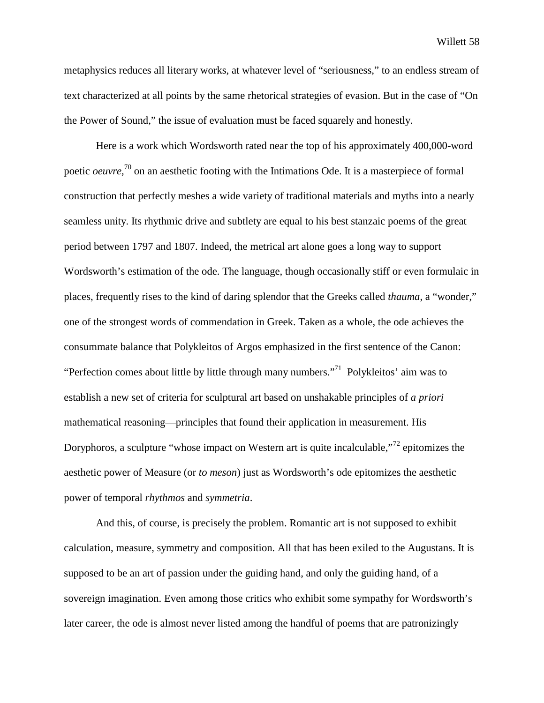metaphysics reduces all literary works, at whatever level of "seriousness," to an endless stream of text characterized at all points by the same rhetorical strategies of evasion. But in the case of "On the Power of Sound," the issue of evaluation must be faced squarely and honestly.

Here is a work which Wordsworth rated near the top of his approximately 400,000-word poetic *oeuvre*,<sup>70</sup> on an aesthetic footing with the Intimations Ode. It is a masterpiece of formal construction that perfectly meshes a wide variety of traditional materials and myths into a nearly seamless unity. Its rhythmic drive and subtlety are equal to his best stanzaic poems of the great period between 1797 and 1807. Indeed, the metrical art alone goes a long way to support Wordsworth's estimation of the ode. The language, though occasionally stiff or even formulaic in places, frequently rises to the kind of daring splendor that the Greeks called *thauma*, a "wonder," one of the strongest words of commendation in Greek. Taken as a whole, the ode achieves the consummate balance that Polykleitos of Argos emphasized in the first sentence of the Canon: "Perfection comes about little by little through many numbers."<sup>71</sup> Polykleitos' aim was to establish a new set of criteria for sculptural art based on unshakable principles of *a priori* mathematical reasoning—principles that found their application in measurement. His Doryphoros, a sculpture "whose impact on Western art is quite incalculable,"<sup>72</sup> epitomizes the aesthetic power of Measure (or *to meson*) just as Wordsworth's ode epitomizes the aesthetic power of temporal *rhythmos* and *symmetria*.

And this, of course, is precisely the problem. Romantic art is not supposed to exhibit calculation, measure, symmetry and composition. All that has been exiled to the Augustans. It is supposed to be an art of passion under the guiding hand, and only the guiding hand, of a sovereign imagination. Even among those critics who exhibit some sympathy for Wordsworth's later career, the ode is almost never listed among the handful of poems that are patronizingly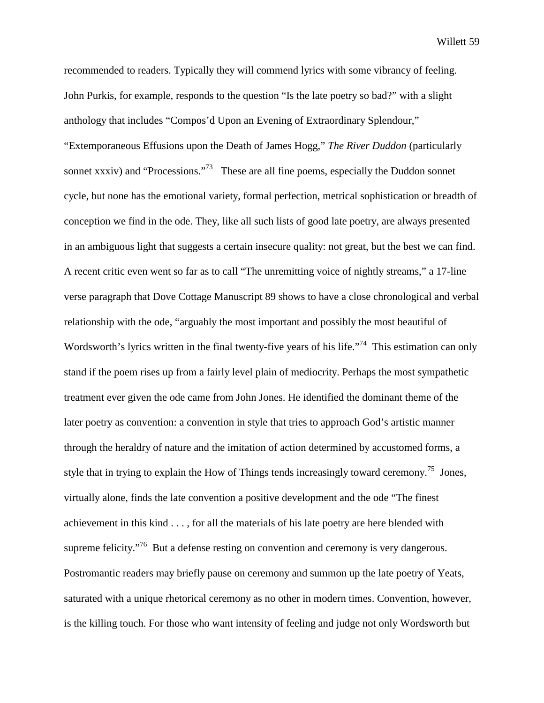recommended to readers. Typically they will commend lyrics with some vibrancy of feeling. John Purkis, for example, responds to the question "Is the late poetry so bad?" with a slight anthology that includes "Compos'd Upon an Evening of Extraordinary Splendour," "Extemporaneous Effusions upon the Death of James Hogg," *The River Duddon* (particularly sonnet xxxiv) and "Processions."<sup>73</sup> These are all fine poems, especially the Duddon sonnet cycle, but none has the emotional variety, formal perfection, metrical sophistication or breadth of conception we find in the ode. They, like all such lists of good late poetry, are always presented in an ambiguous light that suggests a certain insecure quality: not great, but the best we can find. A recent critic even went so far as to call "The unremitting voice of nightly streams," a 17-line verse paragraph that Dove Cottage Manuscript 89 shows to have a close chronological and verbal relationship with the ode, "arguably the most important and possibly the most beautiful of Wordsworth's lyrics written in the final twenty-five years of his life."<sup>74</sup> This estimation can only stand if the poem rises up from a fairly level plain of mediocrity. Perhaps the most sympathetic treatment ever given the ode came from John Jones. He identified the dominant theme of the later poetry as convention: a convention in style that tries to approach God's artistic manner through the heraldry of nature and the imitation of action determined by accustomed forms, a style that in trying to explain the How of Things tends increasingly toward ceremony.<sup>75</sup> Jones, virtually alone, finds the late convention a positive development and the ode "The finest achievement in this kind . . . , for all the materials of his late poetry are here blended with supreme felicity."<sup>76</sup> But a defense resting on convention and ceremony is very dangerous. Postromantic readers may briefly pause on ceremony and summon up the late poetry of Yeats, saturated with a unique rhetorical ceremony as no other in modern times. Convention, however, is the killing touch. For those who want intensity of feeling and judge not only Wordsworth but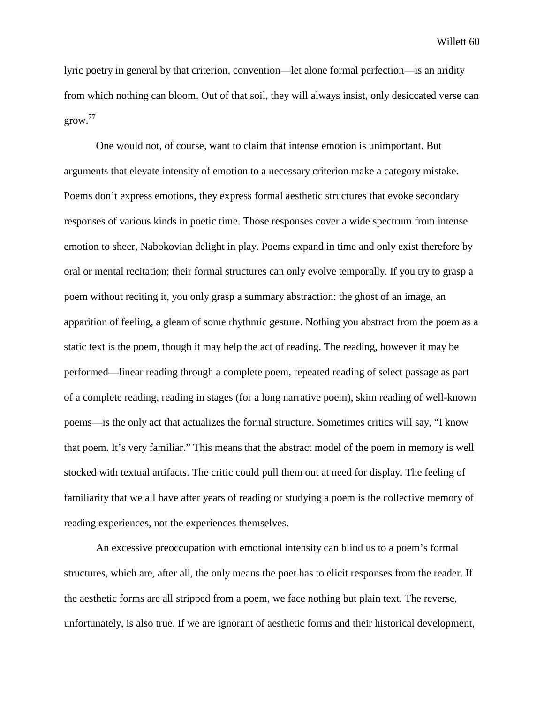lyric poetry in general by that criterion, convention—let alone formal perfection—is an aridity from which nothing can bloom. Out of that soil, they will always insist, only desiccated verse can grow.<sup>77</sup>

One would not, of course, want to claim that intense emotion is unimportant. But arguments that elevate intensity of emotion to a necessary criterion make a category mistake. Poems don't express emotions, they express formal aesthetic structures that evoke secondary responses of various kinds in poetic time. Those responses cover a wide spectrum from intense emotion to sheer, Nabokovian delight in play. Poems expand in time and only exist therefore by oral or mental recitation; their formal structures can only evolve temporally. If you try to grasp a poem without reciting it, you only grasp a summary abstraction: the ghost of an image, an apparition of feeling, a gleam of some rhythmic gesture. Nothing you abstract from the poem as a static text is the poem, though it may help the act of reading. The reading, however it may be performed—linear reading through a complete poem, repeated reading of select passage as part of a complete reading, reading in stages (for a long narrative poem), skim reading of well-known poems—is the only act that actualizes the formal structure. Sometimes critics will say, "I know that poem. It's very familiar." This means that the abstract model of the poem in memory is well stocked with textual artifacts. The critic could pull them out at need for display. The feeling of familiarity that we all have after years of reading or studying a poem is the collective memory of reading experiences, not the experiences themselves.

An excessive preoccupation with emotional intensity can blind us to a poem's formal structures, which are, after all, the only means the poet has to elicit responses from the reader. If the aesthetic forms are all stripped from a poem, we face nothing but plain text. The reverse, unfortunately, is also true. If we are ignorant of aesthetic forms and their historical development,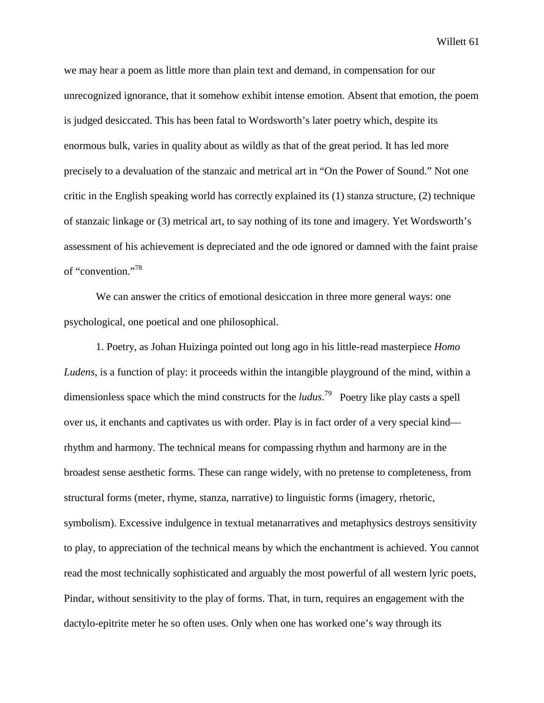we may hear a poem as little more than plain text and demand, in compensation for our unrecognized ignorance, that it somehow exhibit intense emotion. Absent that emotion, the poem is judged desiccated. This has been fatal to Wordsworth's later poetry which, despite its enormous bulk, varies in quality about as wildly as that of the great period. It has led more precisely to a devaluation of the stanzaic and metrical art in "On the Power of Sound." Not one critic in the English speaking world has correctly explained its (1) stanza structure, (2) technique of stanzaic linkage or (3) metrical art, to say nothing of its tone and imagery. Yet Wordsworth's assessment of his achievement is depreciated and the ode ignored or damned with the faint praise of "convention."78

We can answer the critics of emotional desiccation in three more general ways: one psychological, one poetical and one philosophical.

1. Poetry, as Johan Huizinga pointed out long ago in his little-read masterpiece *Homo Ludens*, is a function of play: it proceeds within the intangible playground of the mind, within a dimensionless space which the mind constructs for the *ludus*. 79 Poetry like play casts a spell over us, it enchants and captivates us with order. Play is in fact order of a very special kind rhythm and harmony. The technical means for compassing rhythm and harmony are in the broadest sense aesthetic forms. These can range widely, with no pretense to completeness, from structural forms (meter, rhyme, stanza, narrative) to linguistic forms (imagery, rhetoric, symbolism). Excessive indulgence in textual metanarratives and metaphysics destroys sensitivity to play, to appreciation of the technical means by which the enchantment is achieved. You cannot read the most technically sophisticated and arguably the most powerful of all western lyric poets, Pindar, without sensitivity to the play of forms. That, in turn, requires an engagement with the dactylo-epitrite meter he so often uses. Only when one has worked one's way through its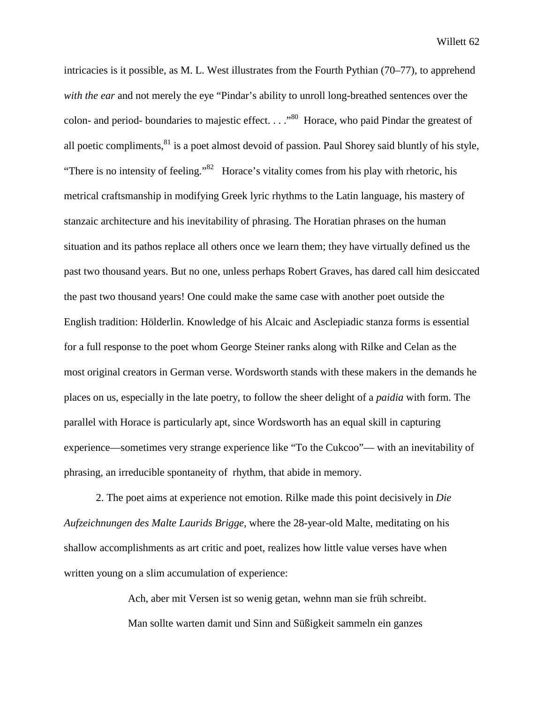intricacies is it possible, as M. L. West illustrates from the Fourth Pythian (70–77), to apprehend *with the ear* and not merely the eye "Pindar's ability to unroll long-breathed sentences over the colon- and period- boundaries to majestic effect.  $\ldots$ <sup>80</sup> Horace, who paid Pindar the greatest of all poetic compliments, $81$  is a poet almost devoid of passion. Paul Shorey said bluntly of his style, "There is no intensity of feeling."<sup>82</sup> Horace's vitality comes from his play with rhetoric, his metrical craftsmanship in modifying Greek lyric rhythms to the Latin language, his mastery of stanzaic architecture and his inevitability of phrasing. The Horatian phrases on the human situation and its pathos replace all others once we learn them; they have virtually defined us the past two thousand years. But no one, unless perhaps Robert Graves, has dared call him desiccated the past two thousand years! One could make the same case with another poet outside the English tradition: Hölderlin. Knowledge of his Alcaic and Asclepiadic stanza forms is essential for a full response to the poet whom George Steiner ranks along with Rilke and Celan as the most original creators in German verse. Wordsworth stands with these makers in the demands he places on us, especially in the late poetry, to follow the sheer delight of a *paidia* with form. The parallel with Horace is particularly apt, since Wordsworth has an equal skill in capturing experience—sometimes very strange experience like "To the Cukcoo"— with an inevitability of phrasing, an irreducible spontaneity of rhythm, that abide in memory.

2. The poet aims at experience not emotion. Rilke made this point decisively in *Die Aufzeichnungen des Malte Laurids Brigge*, where the 28-year-old Malte, meditating on his shallow accomplishments as art critic and poet, realizes how little value verses have when written young on a slim accumulation of experience:

> Ach, aber mit Versen ist so wenig getan, wehnn man sie früh schreibt. Man sollte warten damit und Sinn and Süßigkeit sammeln ein ganzes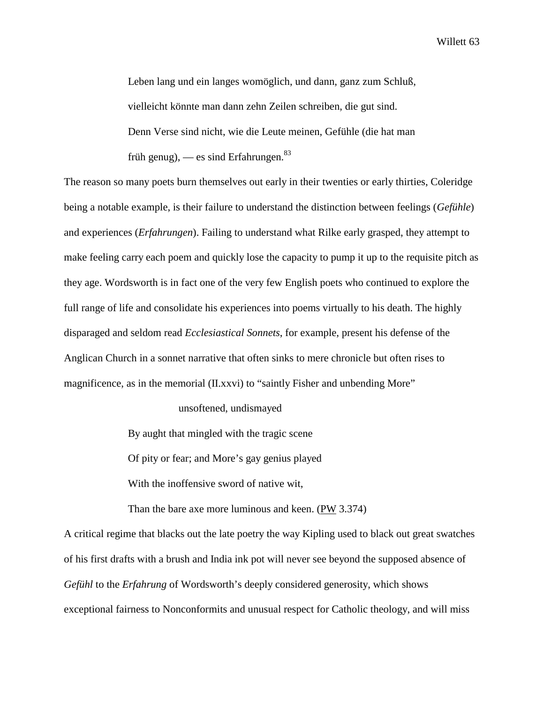Leben lang und ein langes womöglich, und dann, ganz zum Schluß, vielleicht könnte man dann zehn Zeilen schreiben, die gut sind. Denn Verse sind nicht, wie die Leute meinen, Gefühle (die hat man früh genug), — es sind Erfahrungen. $83$ 

The reason so many poets burn themselves out early in their twenties or early thirties, Coleridge being a notable example, is their failure to understand the distinction between feelings (*Gefühle*) and experiences (*Erfahrungen*). Failing to understand what Rilke early grasped, they attempt to make feeling carry each poem and quickly lose the capacity to pump it up to the requisite pitch as they age. Wordsworth is in fact one of the very few English poets who continued to explore the full range of life and consolidate his experiences into poems virtually to his death. The highly disparaged and seldom read *Ecclesiastical Sonnets*, for example, present his defense of the Anglican Church in a sonnet narrative that often sinks to mere chronicle but often rises to magnificence, as in the memorial (II.xxvi) to "saintly Fisher and unbending More"

unsoftened, undismayed

By aught that mingled with the tragic scene

Of pity or fear; and More's gay genius played

With the inoffensive sword of native wit,

Than the bare axe more luminous and keen. (PW 3.374)

A critical regime that blacks out the late poetry the way Kipling used to black out great swatches of his first drafts with a brush and India ink pot will never see beyond the supposed absence of *Gefühl* to the *Erfahrung* of Wordsworth's deeply considered generosity, which shows exceptional fairness to Nonconformits and unusual respect for Catholic theology, and will miss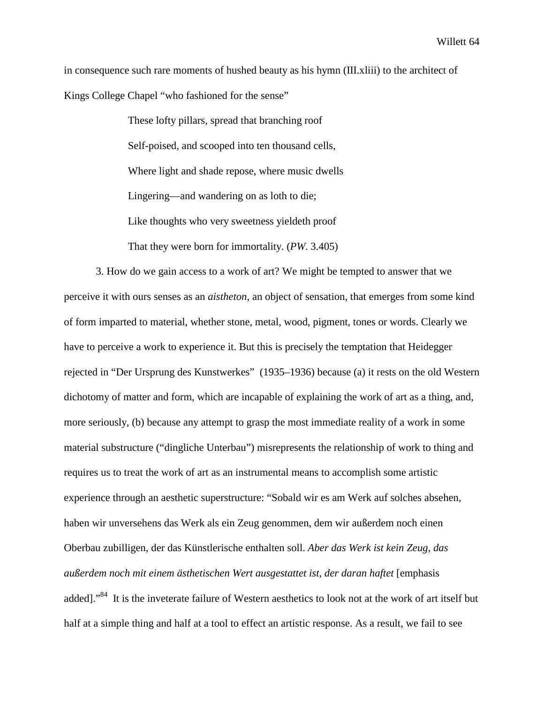in consequence such rare moments of hushed beauty as his hymn (III.xliii) to the architect of Kings College Chapel "who fashioned for the sense"

> These lofty pillars, spread that branching roof Self-poised, and scooped into ten thousand cells, Where light and shade repose, where music dwells Lingering—and wandering on as loth to die; Like thoughts who very sweetness yieldeth proof That they were born for immortality. (*PW*. 3.405)

3. How do we gain access to a work of art? We might be tempted to answer that we perceive it with ours senses as an *aistheton*, an object of sensation, that emerges from some kind of form imparted to material, whether stone, metal, wood, pigment, tones or words. Clearly we have to perceive a work to experience it. But this is precisely the temptation that Heidegger rejected in "Der Ursprung des Kunstwerkes" (1935–1936) because (a) it rests on the old Western dichotomy of matter and form, which are incapable of explaining the work of art as a thing, and, more seriously, (b) because any attempt to grasp the most immediate reality of a work in some material substructure ("dingliche Unterbau") misrepresents the relationship of work to thing and requires us to treat the work of art as an instrumental means to accomplish some artistic experience through an aesthetic superstructure: "Sobald wir es am Werk auf solches absehen, haben wir unversehens das Werk als ein Zeug genommen, dem wir außerdem noch einen Oberbau zubilligen, der das Künstlerische enthalten soll. *Aber das Werk ist kein Zeug, das außerdem noch mit einem ästhetischen Wert ausgestattet ist, der daran haftet* [emphasis added]."84 It is the inveterate failure of Western aesthetics to look not at the work of art itself but half at a simple thing and half at a tool to effect an artistic response. As a result, we fail to see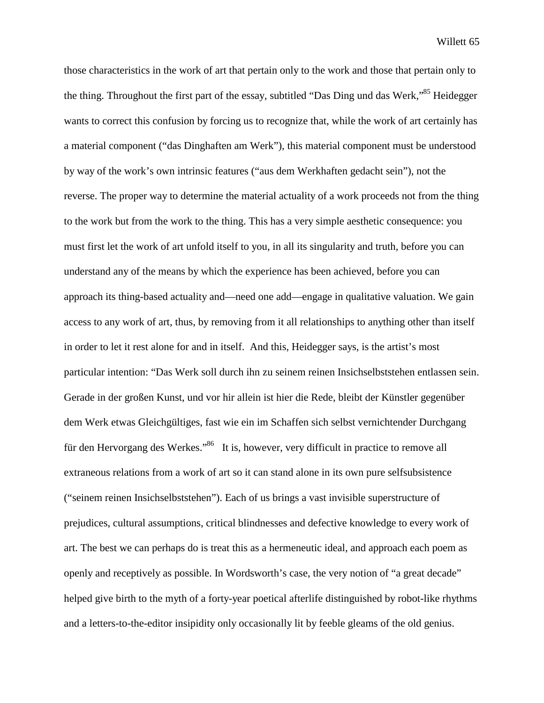those characteristics in the work of art that pertain only to the work and those that pertain only to the thing. Throughout the first part of the essay, subtitled "Das Ding und das Werk,"<sup>85</sup> Heidegger wants to correct this confusion by forcing us to recognize that, while the work of art certainly has a material component ("das Dinghaften am Werk"), this material component must be understood by way of the work's own intrinsic features ("aus dem Werkhaften gedacht sein"), not the reverse. The proper way to determine the material actuality of a work proceeds not from the thing to the work but from the work to the thing. This has a very simple aesthetic consequence: you must first let the work of art unfold itself to you, in all its singularity and truth, before you can understand any of the means by which the experience has been achieved, before you can approach its thing-based actuality and—need one add—engage in qualitative valuation. We gain access to any work of art, thus, by removing from it all relationships to anything other than itself in order to let it rest alone for and in itself. And this, Heidegger says, is the artist's most particular intention: "Das Werk soll durch ihn zu seinem reinen Insichselbststehen entlassen sein. Gerade in der großen Kunst, und vor hir allein ist hier die Rede, bleibt der Künstler gegenüber dem Werk etwas Gleichgültiges, fast wie ein im Schaffen sich selbst vernichtender Durchgang für den Hervorgang des Werkes."<sup>86</sup> It is, however, very difficult in practice to remove all extraneous relations from a work of art so it can stand alone in its own pure selfsubsistence ("seinem reinen Insichselbststehen"). Each of us brings a vast invisible superstructure of prejudices, cultural assumptions, critical blindnesses and defective knowledge to every work of art. The best we can perhaps do is treat this as a hermeneutic ideal, and approach each poem as openly and receptively as possible. In Wordsworth's case, the very notion of "a great decade" helped give birth to the myth of a forty-year poetical afterlife distinguished by robot-like rhythms and a letters-to-the-editor insipidity only occasionally lit by feeble gleams of the old genius.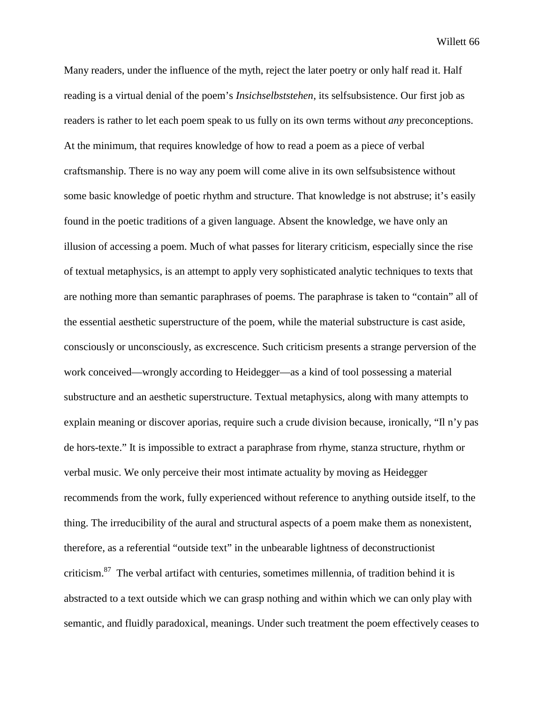Many readers, under the influence of the myth, reject the later poetry or only half read it. Half reading is a virtual denial of the poem's *Insichselbststehen*, its selfsubsistence. Our first job as readers is rather to let each poem speak to us fully on its own terms without *any* preconceptions. At the minimum, that requires knowledge of how to read a poem as a piece of verbal craftsmanship. There is no way any poem will come alive in its own selfsubsistence without some basic knowledge of poetic rhythm and structure. That knowledge is not abstruse; it's easily found in the poetic traditions of a given language. Absent the knowledge, we have only an illusion of accessing a poem. Much of what passes for literary criticism, especially since the rise of textual metaphysics, is an attempt to apply very sophisticated analytic techniques to texts that are nothing more than semantic paraphrases of poems. The paraphrase is taken to "contain" all of the essential aesthetic superstructure of the poem, while the material substructure is cast aside, consciously or unconsciously, as excrescence. Such criticism presents a strange perversion of the work conceived—wrongly according to Heidegger—as a kind of tool possessing a material substructure and an aesthetic superstructure. Textual metaphysics, along with many attempts to explain meaning or discover aporias, require such a crude division because, ironically, "Il n'y pas de hors-texte." It is impossible to extract a paraphrase from rhyme, stanza structure, rhythm or verbal music. We only perceive their most intimate actuality by moving as Heidegger recommends from the work, fully experienced without reference to anything outside itself, to the thing. The irreducibility of the aural and structural aspects of a poem make them as nonexistent, therefore, as a referential "outside text" in the unbearable lightness of deconstructionist criticism.87 The verbal artifact with centuries, sometimes millennia, of tradition behind it is abstracted to a text outside which we can grasp nothing and within which we can only play with semantic, and fluidly paradoxical, meanings. Under such treatment the poem effectively ceases to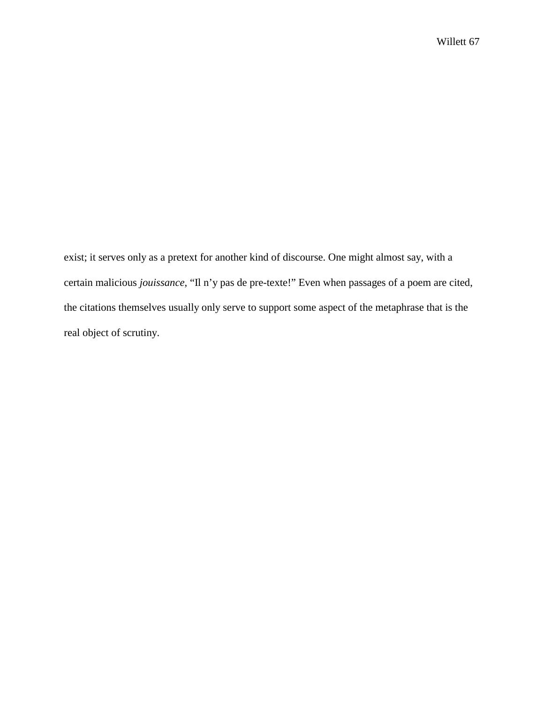exist; it serves only as a pretext for another kind of discourse. One might almost say, with a certain malicious *jouissance*, "Il n'y pas de pre-texte!" Even when passages of a poem are cited, the citations themselves usually only serve to support some aspect of the metaphrase that is the real object of scrutiny.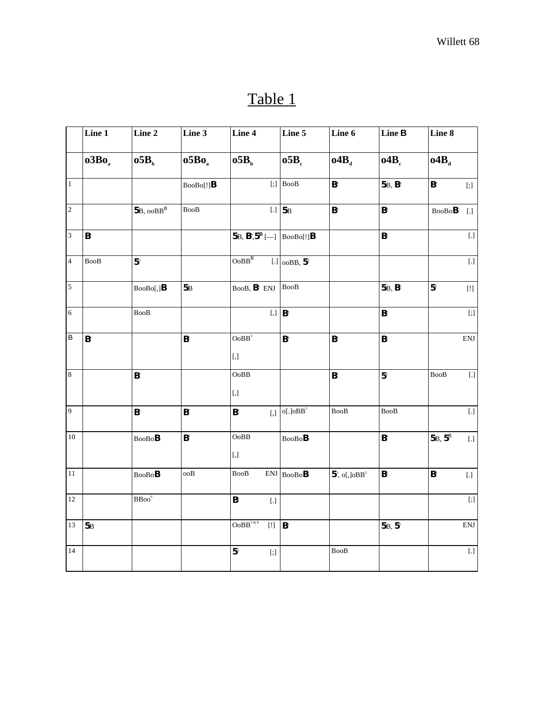## Table 1

|                         | $\mathop{\mathsf{Line}} 1$           | Line 2                            | Line 3                               | Line 4                                                                                                                                                                                                     | Line 5                               | Line 6                               | Line <b>B</b>                        | Line 8                                                                                                                                                                                                                                                                                                                                                                                                                                                                                                                                                                                                                                                                                                                                                                                                                                                                                                                              |
|-------------------------|--------------------------------------|-----------------------------------|--------------------------------------|------------------------------------------------------------------------------------------------------------------------------------------------------------------------------------------------------------|--------------------------------------|--------------------------------------|--------------------------------------|-------------------------------------------------------------------------------------------------------------------------------------------------------------------------------------------------------------------------------------------------------------------------------------------------------------------------------------------------------------------------------------------------------------------------------------------------------------------------------------------------------------------------------------------------------------------------------------------------------------------------------------------------------------------------------------------------------------------------------------------------------------------------------------------------------------------------------------------------------------------------------------------------------------------------------------|
|                         | o3Bo <sub>a</sub>                    | o5B <sub>b</sub>                  | o5Bo <sub>a</sub>                    | o5B <sub>b</sub>                                                                                                                                                                                           | o5B <sub>c</sub>                     | o4B <sub>a</sub>                     | o4B <sub>c</sub>                     | o4B <sub>d</sub>                                                                                                                                                                                                                                                                                                                                                                                                                                                                                                                                                                                                                                                                                                                                                                                                                                                                                                                    |
| $\overline{1}$          |                                      |                                   | $Boobo[!]$ <b>B</b>                  |                                                                                                                                                                                                            | $[:]$ BooB                           | $\mathsf{B}^{\scriptscriptstyle{4}}$ | 5B, B <sup>4</sup>                   | $\mathsf{B}^{\scriptscriptstyle{4}}$<br>$[$                                                                                                                                                                                                                                                                                                                                                                                                                                                                                                                                                                                                                                                                                                                                                                                                                                                                                         |
| $\overline{2}$          |                                      | $5B$ , $ooBB^B$                   | BooB                                 |                                                                                                                                                                                                            | $[.]$ 5 $B$                          | $\mathsf{B}^{\scriptscriptstyle{4}}$ | $\mathsf{B}^\mathsf{c}$              | $\text{BooBoB}$<br>$[.]$                                                                                                                                                                                                                                                                                                                                                                                                                                                                                                                                                                                                                                                                                                                                                                                                                                                                                                            |
| $\overline{3}$          | $\mathsf{B}^{\scriptscriptstyle{4}}$ |                                   |                                      | $5B, B^4, 5^B$ [-] $\Big $ BooBo[!] <b>B</b>                                                                                                                                                               |                                      |                                      | $\mathsf{B}^\circ$                   | $[.]% \centering \includegraphics[width=0.9\columnwidth]{figures/fig_10.pdf} \caption{The average number of times on the left and right. The number of times on the right, the number of times on the right, the number of times on the right, the number of times on the right, the number of times on the right, the number of times on the right, the number of times on the right, the number of times on the right, the number of times on the right, the number of times on the right, the number of times on the right, the number of times on the right, the number of times on the right, the number of times on the right, the number of times on the right, the number of times on the right, the number of times on the right, the number of times on the right, the number of times on the right, the number of times on the right, the number of times on the right, the number of times on the right, the number of$ |
| $\overline{4}$          | BooB                                 | 5 <sup>3</sup>                    |                                      | $\text{OoBB}^{\text{B}}$                                                                                                                                                                                   | $[.] $ 00BB, $5^{\circ}$             |                                      |                                      | $\left[ . \right]$                                                                                                                                                                                                                                                                                                                                                                                                                                                                                                                                                                                                                                                                                                                                                                                                                                                                                                                  |
| $\overline{5}$          |                                      | $\text{BooBo}[,]B$                | 5B                                   | BooB, $B^s$ ENJ BooB                                                                                                                                                                                       |                                      |                                      | 5B, B <sup>6</sup>                   | 5 <sup>5</sup><br>$[!!] % \begin{center} % \includegraphics[width=\linewidth]{imagesSupplemental_3.png} % \end{center} % \caption { % Our method can be used for the use of the image. % Note that the \emph{DefNet}~\cite{bib33} as a function of the \emph{DefNet}~\cite{bib33} as a function of the \emph{DefNet}~\cite{bib33} as a function of the \emph{DefNet}~\cite{bib33} as a function of the \emph{DefNet}~\cite{bib33} as a function of the \emph{DefNet}~\cite{bib33} as a function of the \emph{DefNet}~\cite{bib33} as a function of the \emph{DefNet}~\cite{bib33} as a function of the \emph{DefNet}$                                                                                                                                                                                                                                                                                                               |
| $\sqrt{6}$              |                                      | BooB                              |                                      |                                                                                                                                                                                                            | $[$ , $]$ $B$ <sup>4</sup>           |                                      | $\mathbf{B}^{\scriptscriptstyle{2}}$ | $[;] % \begin{center} % \includegraphics[width=\linewidth]{imagesSupplemental_3.png} % \end{center} % \caption { % \textit{DefNet} of \textit{DefNet} and \textit{DefNet} of \textit{DefNet} and \textit{DefNet} of \textit{DefNet} and \textit{DefNet} of \textit{DefNet} and \textit{DefNet} of \textit{DefNet} and \textit{DefNet} of \textit{DefNet} and \textit{DefNet} of \textit{DefNet} and \textit{DefNet} of \textit{DefNet} and \textit{DefNet} of \textit{DefNet} and \textit{DefNet} of \textit{DefNet} and \textit{DefNet} of \textit{DefNet} and \textit{DefNet}$                                                                                                                                                                                                                                                                                                                                                    |
| $\overline{\mathsf{B}}$ | $\mathsf{B}^{\scriptscriptstyle{4}}$ |                                   | $\mathsf{B}^{\mathrm{s}}$            | $\mathbf{OoBB}^5$<br>$[ , ]$                                                                                                                                                                               | $\mathsf{B}^{\scriptscriptstyle{4}}$ | $\mathsf{B}^{\scriptscriptstyle{4}}$ | $\mathsf{B}^\circ$                   | $\mathop{\rm ENJ}\nolimits$                                                                                                                                                                                                                                                                                                                                                                                                                                                                                                                                                                                                                                                                                                                                                                                                                                                                                                         |
| $\bf 8$                 |                                      | $\mathsf{B}^\circ$                |                                      | OoBB<br>$\left[ ,\right]$                                                                                                                                                                                  |                                      | $\mathsf{B}^\circ$                   | 5 <sup>5</sup>                       | <b>BooB</b><br>$\left[ . \right]$                                                                                                                                                                                                                                                                                                                                                                                                                                                                                                                                                                                                                                                                                                                                                                                                                                                                                                   |
| $\overline{9}$          |                                      | $\mathsf{B}^\circ$                | $\mathbf{B}^{\scriptscriptstyle{2}}$ | $B^s$                                                                                                                                                                                                      | [,] $o[.]oBB^5$                      | BooB                                 | BooB                                 | $[.]$                                                                                                                                                                                                                                                                                                                                                                                                                                                                                                                                                                                                                                                                                                                                                                                                                                                                                                                               |
| $10\,$                  |                                      | $\text{BooBo}\textbf{B}$          | $\mathbf{B}^{\rm s}$                 | $\bf{OoBB}$<br>$\left[ ,\right]$                                                                                                                                                                           | $\text{BooBo}\textbf{B}$             |                                      | $\mathsf{B}^{\scriptscriptstyle{4}}$ | 5B, 5BB<br>$\left[ . \right]$                                                                                                                                                                                                                                                                                                                                                                                                                                                                                                                                                                                                                                                                                                                                                                                                                                                                                                       |
| $11\,$                  |                                      | $\text{BooBo}\textbf{B}$          | ooB                                  | $\operatorname{Bool}$                                                                                                                                                                                      | $ENJ$ BooBoB                         | $5^{\degree}$ , o[,]oBB <sup>5</sup> | $\mathsf{B}^\circ$                   | $\mathsf{B}^{\scriptscriptstyle{4}}$<br>$[.]$                                                                                                                                                                                                                                                                                                                                                                                                                                                                                                                                                                                                                                                                                                                                                                                                                                                                                       |
| $12\,$                  |                                      | $\overline{\text{BBoo}}^\text{o}$ |                                      | $\mathbf{B}^\circ$<br>$[.]$                                                                                                                                                                                |                                      |                                      |                                      | $[ ; ]% \caption{The graph $\mathcal{N}_0$ is a function of the function $\mathcal{N}_0$. The graph $\mathcal{N}_0$ is a function of the function $\mathcal{N}_0$.} \label{eq:1}$                                                                                                                                                                                                                                                                                                                                                                                                                                                                                                                                                                                                                                                                                                                                                   |
| $13\,$                  | 5B                                   |                                   |                                      | $OoBB^{5 k 8}$                                                                                                                                                                                             | B <sup>6</sup>                       |                                      | 5B, 5 <sup>5</sup>                   | $\mathop{\rm ENJ}\nolimits$                                                                                                                                                                                                                                                                                                                                                                                                                                                                                                                                                                                                                                                                                                                                                                                                                                                                                                         |
| 14                      |                                      |                                   |                                      | ${\bf 5}^{\rm s}$<br>$[ ; ]% \caption{The graph $\mathcal{N}_0$ is a function of the function $\mathcal{N}_0$. The graph $\mathcal{N}_0$ is a function of the function $\mathcal{N}_0$.} \label{fig:main}$ |                                      | <b>BooB</b>                          |                                      | $\boxed{.}$                                                                                                                                                                                                                                                                                                                                                                                                                                                                                                                                                                                                                                                                                                                                                                                                                                                                                                                         |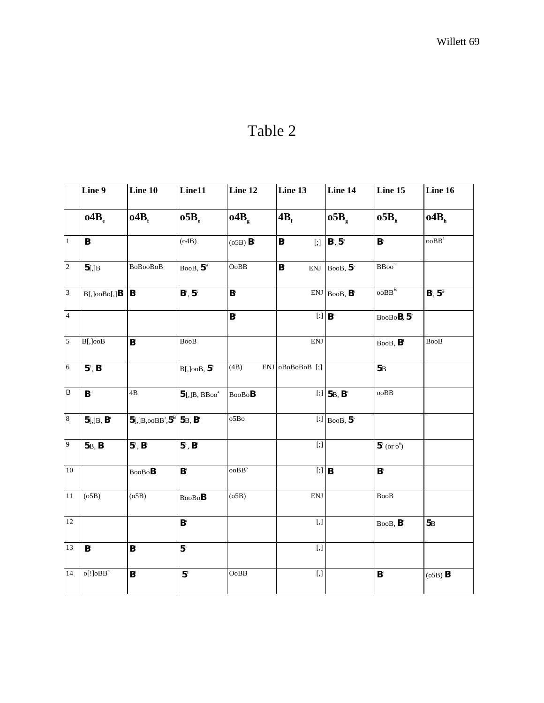## Table 2

|                             | Line 9                                 | Line 10                                                       | Line11                               | Line 12                              | Line 13                                                                                                                                                                                                                                                    | Line 14                                                           | Line 15                              | Line 16         |
|-----------------------------|----------------------------------------|---------------------------------------------------------------|--------------------------------------|--------------------------------------|------------------------------------------------------------------------------------------------------------------------------------------------------------------------------------------------------------------------------------------------------------|-------------------------------------------------------------------|--------------------------------------|-----------------|
|                             | 04B <sub>e</sub>                       | o4B <sub>r</sub>                                              | 05B <sub>e</sub>                     | $04B_{\rm g}$                        | 4B <sub>r</sub>                                                                                                                                                                                                                                            | $05B_{\rm g}$                                                     | o5B <sub>h</sub>                     | $o4B_h$         |
| $\,1$                       | $\mathsf{B}^\circ$                     |                                                               | (04B)                                | (05B) B <sup>6</sup>                 | $\mathsf{B}^\circ$<br>$[$                                                                                                                                                                                                                                  | $B^{\circ}, 5^{\circ}$                                            | $\mathsf{B}^\circ$                   | $\text{ooBB}^3$ |
| $\overline{c}$              | $5$ [,]B                               | BoBooBoB                                                      | $BooB, 5^B$                          | OoBB                                 | $\mathsf{B}^{\scriptscriptstyle 3}$<br><b>ENJ</b>                                                                                                                                                                                                          | BooB, $5^{\circ}$                                                 | $\mathbf{B}\mathbf{Boo}^5$           |                 |
| $\ensuremath{\mathfrak{Z}}$ | $B[$ , $]$ oo $B$ o $[$ , $]$ <b>B</b> | $\mathbf{B}^\circ$                                            | $B^2, 5^5$                           | $\mathsf{B}^{\scriptscriptstyle{4}}$ |                                                                                                                                                                                                                                                            | $ENJ$ BooB, $B^s$                                                 | $00BB^B$                             | $B^4, 5^B$      |
| $\overline{4}$              |                                        |                                                               |                                      | $\mathbf{B}^{\scriptscriptstyle{2}}$ |                                                                                                                                                                                                                                                            | $[$ : $]$ $B^s$                                                   | BooBoB, 5°                           |                 |
| $\sqrt{5}$                  | B[,]ooB                                | B <sup>4</sup>                                                | <b>BooB</b>                          |                                      | <b>ENJ</b>                                                                                                                                                                                                                                                 |                                                                   | $BooB, B^*$                          | <b>BooB</b>     |
| $\sqrt{6}$                  | $5^\circ$ , $B^\circ$                  |                                                               | $B[$ , JooB, $5^{\circ}$             | (4B)                                 | ENJ oBoBoBoB [;]                                                                                                                                                                                                                                           |                                                                   | 5B                                   |                 |
| $\overline{B}$              | $\mathsf{B}^\circ$                     | 4B                                                            | $5$ [,]B, BBoo <sup>4</sup>          | $\text{BooBo}\textbf{B}$             |                                                                                                                                                                                                                                                            | [;] $5B, B^s$                                                     | $\rm ooBB$                           |                 |
| $\bf 8$                     | $5[,]B, B^4$                           | $5$ [,]B,ooBB <sup>3</sup> ,5 <sup>B</sup> 5B, B <sup>4</sup> |                                      | o5Bo                                 |                                                                                                                                                                                                                                                            | [:] $\overline{\text{BooB}}$ , $\overline{\text{5}}$ <sup>5</sup> |                                      |                 |
| $\boldsymbol{9}$            | 5B, B <sup>4</sup>                     | $5^\circ$ , $B^\circ$                                         | $5^\circ$ , $B^\circ$                |                                      | $[ ; ]% \caption{The graph $\mathcal{N}_0$ is a function of the function $\mathcal{N}_0$. The graph $\mathcal{N}_0$ is a function of the function $\mathcal{N}_0$. The graph $\mathcal{N}_0$ is a function of the function $\mathcal{N}_0$.} \label{eq:1}$ |                                                                   | $5^{\circ}$ (or $o^{\circ}$ )        |                 |
| 10                          |                                        | $\text{BooBo}\textbf{B}$                                      | $\mathsf{B}^{\scriptscriptstyle{4}}$ | ooBB <sup>5</sup>                    | $[$ ;] $\vert$ <b>B</b>                                                                                                                                                                                                                                    |                                                                   | $\mathsf{B}^\circ$                   |                 |
| 11                          | (o5B)                                  | (05B)                                                         | BooBoB                               | (05B)                                | <b>ENJ</b>                                                                                                                                                                                                                                                 |                                                                   | <b>BooB</b>                          |                 |
| 12                          |                                        |                                                               | $\mathsf{B}^{\scriptscriptstyle{4}}$ |                                      | $[ , ]$                                                                                                                                                                                                                                                    |                                                                   | BooB, B <sup>s</sup>                 | 5B              |
| 13                          | B <sup>6</sup>                         | $\mathsf{B}^{\scriptscriptstyle{4}}$                          | 5 <sup>3</sup>                       |                                      | $[ , ]$                                                                                                                                                                                                                                                    |                                                                   |                                      |                 |
| 14                          | $o[!]oBB^3$                            | $\mathsf{B}^\circ$                                            | 5 <sup>5</sup>                       | OoBB                                 | $[ , ]$                                                                                                                                                                                                                                                    |                                                                   | $\mathsf{B}^{\scriptscriptstyle{4}}$ | $(05B)$ $B^2$   |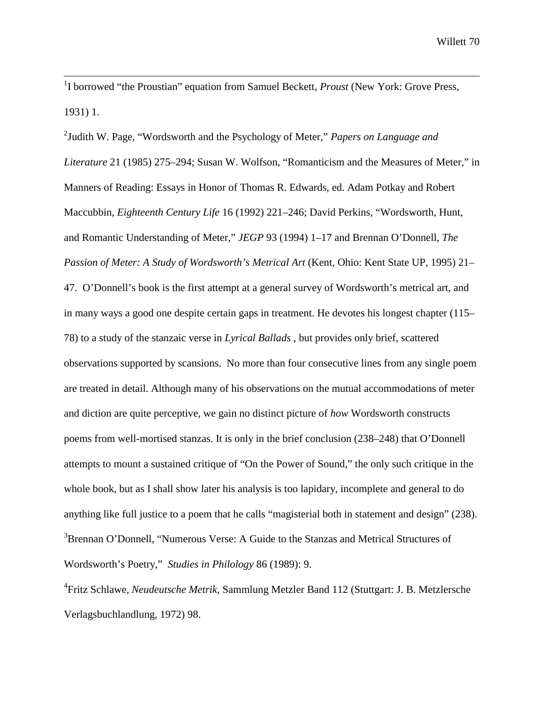<sup>1</sup>I borrowed "the Proustian" equation from Samuel Beckett, *Proust* (New York: Grove Press, 1931) 1.

2 Judith W. Page, "Wordsworth and the Psychology of Meter," *Papers on Language and Literature* 21 (1985) 275–294; Susan W. Wolfson, "Romanticism and the Measures of Meter," in Manners of Reading: Essays in Honor of Thomas R. Edwards, ed. Adam Potkay and Robert Maccubbin, *Eighteenth Century Life* 16 (1992) 221–246; David Perkins, "Wordsworth, Hunt, and Romantic Understanding of Meter," *JEGP* 93 (1994) 1–17 and Brennan O'Donnell, *The Passion of Meter: A Study of Wordsworth's Metrical Art* (Kent, Ohio: Kent State UP, 1995) 21– 47. O'Donnell's book is the first attempt at a general survey of Wordsworth's metrical art, and in many ways a good one despite certain gaps in treatment. He devotes his longest chapter (115– 78) to a study of the stanzaic verse in *Lyrical Ballads* , but provides only brief, scattered observations supported by scansions. No more than four consecutive lines from any single poem are treated in detail. Although many of his observations on the mutual accommodations of meter and diction are quite perceptive, we gain no distinct picture of *how* Wordsworth constructs poems from well-mortised stanzas. It is only in the brief conclusion (238–248) that O'Donnell attempts to mount a sustained critique of "On the Power of Sound," the only such critique in the whole book, but as I shall show later his analysis is too lapidary, incomplete and general to do anything like full justice to a poem that he calls "magisterial both in statement and design" (238). <sup>3</sup>Brennan O'Donnell, "Numerous Verse: A Guide to the Stanzas and Metrical Structures of Wordsworth's Poetry," *Studies in Philology* 86 (1989): 9.

4 Fritz Schlawe, *Neudeutsche Metrik*, Sammlung Metzler Band 112 (Stuttgart: J. B. Metzlersche Verlagsbuchlandlung, 1972) 98.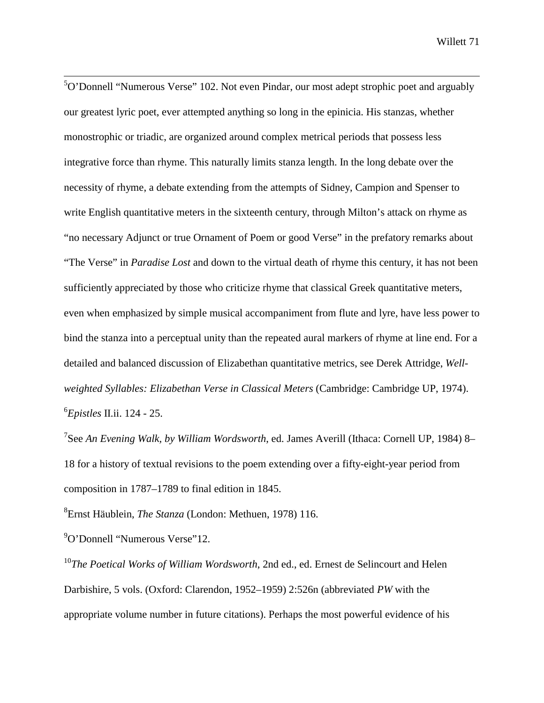<sup>5</sup>O'Donnell "Numerous Verse" 102. Not even Pindar, our most adept strophic poet and arguably our greatest lyric poet, ever attempted anything so long in the epinicia. His stanzas, whether monostrophic or triadic, are organized around complex metrical periods that possess less integrative force than rhyme. This naturally limits stanza length. In the long debate over the necessity of rhyme, a debate extending from the attempts of Sidney, Campion and Spenser to write English quantitative meters in the sixteenth century, through Milton's attack on rhyme as "no necessary Adjunct or true Ornament of Poem or good Verse" in the prefatory remarks about "The Verse" in *Paradise Lost* and down to the virtual death of rhyme this century, it has not been sufficiently appreciated by those who criticize rhyme that classical Greek quantitative meters, even when emphasized by simple musical accompaniment from flute and lyre, have less power to bind the stanza into a perceptual unity than the repeated aural markers of rhyme at line end. For a detailed and balanced discussion of Elizabethan quantitative metrics, see Derek Attridge, *Wellweighted Syllables: Elizabethan Verse in Classical Meters* (Cambridge: Cambridge UP, 1974). 6 *Epistles* II.ii. 124 - 25.

7 See *An Evening Walk, by William Wordsworth*, ed. James Averill (Ithaca: Cornell UP, 1984) 8– 18 for a history of textual revisions to the poem extending over a fifty-eight-year period from composition in 1787–1789 to final edition in 1845.

8 Ernst Häublein, *The Stanza* (London: Methuen, 1978) 116.

9 O'Donnell "Numerous Verse"12.

<sup>10</sup>*The Poetical Works of William Wordsworth*, 2nd ed., ed. Ernest de Selincourt and Helen Darbishire, 5 vols. (Oxford: Clarendon, 1952–1959) 2:526n (abbreviated *PW* with the appropriate volume number in future citations). Perhaps the most powerful evidence of his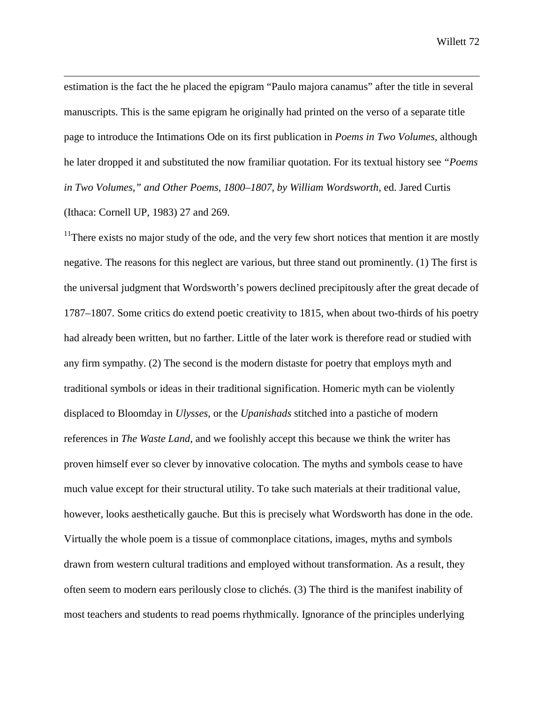estimation is the fact the he placed the epigram "Paulo majora canamus" after the title in several manuscripts. This is the same epigram he originally had printed on the verso of a separate title page to introduce the Intimations Ode on its first publication in *Poems in Two Volumes*, although he later dropped it and substituted the now framiliar quotation. For its textual history see *"Poems in Two Volumes," and Other Poems, 1800–1807, by William Wordsworth*, ed. Jared Curtis (Ithaca: Cornell UP, 1983) 27 and 269.

 $\overline{a}$ 

 $11$ There exists no major study of the ode, and the very few short notices that mention it are mostly negative. The reasons for this neglect are various, but three stand out prominently. (1) The first is the universal judgment that Wordsworth's powers declined precipitously after the great decade of 1787–1807. Some critics do extend poetic creativity to 1815, when about two-thirds of his poetry had already been written, but no farther. Little of the later work is therefore read or studied with any firm sympathy. (2) The second is the modern distaste for poetry that employs myth and traditional symbols or ideas in their traditional signification. Homeric myth can be violently displaced to Bloomday in *Ulysses*, or the *Upanishads* stitched into a pastiche of modern references in *The Waste Land*, and we foolishly accept this because we think the writer has proven himself ever so clever by innovative colocation. The myths and symbols cease to have much value except for their structural utility. To take such materials at their traditional value, however, looks aesthetically gauche. But this is precisely what Wordsworth has done in the ode. Virtually the whole poem is a tissue of commonplace citations, images, myths and symbols drawn from western cultural traditions and employed without transformation. As a result, they often seem to modern ears perilously close to clichés. (3) The third is the manifest inability of most teachers and students to read poems rhythmically. Ignorance of the principles underlying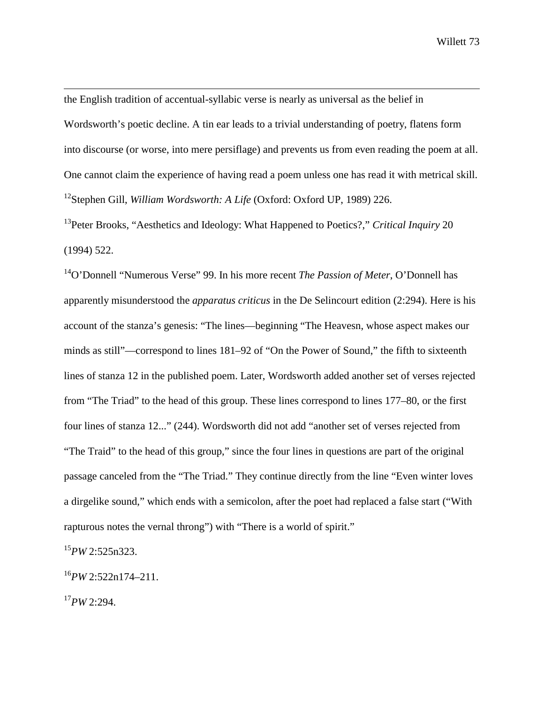the English tradition of accentual-syllabic verse is nearly as universal as the belief in Wordsworth's poetic decline. A tin ear leads to a trivial understanding of poetry, flatens form into discourse (or worse, into mere persiflage) and prevents us from even reading the poem at all. One cannot claim the experience of having read a poem unless one has read it with metrical skill. 12Stephen Gill, *William Wordsworth: A Life* (Oxford: Oxford UP, 1989) 226.

13Peter Brooks, "Aesthetics and Ideology: What Happened to Poetics?," *Critical Inquiry* 20 (1994) 522.

14O'Donnell "Numerous Verse" 99. In his more recent *The Passion of Meter*, O'Donnell has apparently misunderstood the *apparatus criticus* in the De Selincourt edition (2:294). Here is his account of the stanza's genesis: "The lines—beginning "The Heavesn, whose aspect makes our minds as still"—correspond to lines 181–92 of "On the Power of Sound," the fifth to sixteenth lines of stanza 12 in the published poem. Later, Wordsworth added another set of verses rejected from "The Triad" to the head of this group. These lines correspond to lines 177–80, or the first four lines of stanza 12..." (244). Wordsworth did not add "another set of verses rejected from "The Traid" to the head of this group," since the four lines in questions are part of the original passage canceled from the "The Triad." They continue directly from the line "Even winter loves a dirgelike sound," which ends with a semicolon, after the poet had replaced a false start ("With rapturous notes the vernal throng") with "There is a world of spirit."

<sup>15</sup>*PW* 2:525n323.

<sup>16</sup>*PW* 2:522n174–211.

<sup>17</sup>*PW* 2:294.

 $\overline{a}$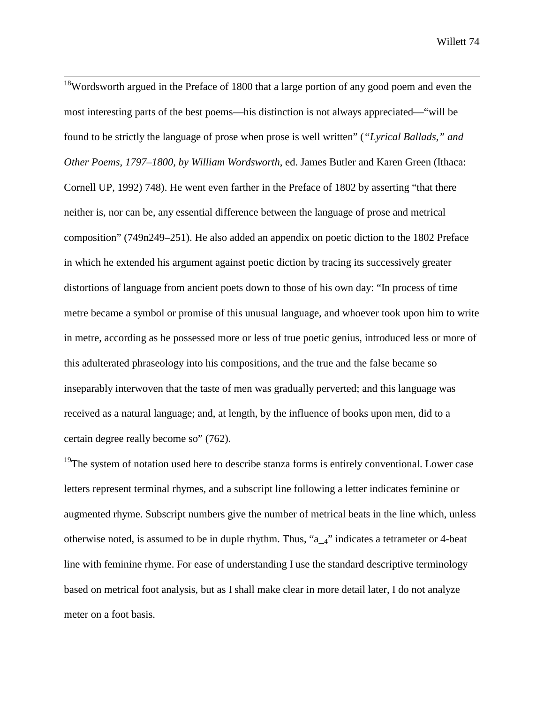<sup>18</sup>Wordsworth argued in the Preface of 1800 that a large portion of any good poem and even the most interesting parts of the best poems—his distinction is not always appreciated—"will be found to be strictly the language of prose when prose is well written" (*"Lyrical Ballads," and Other Poems, 1797–1800, by William Wordsworth*, ed. James Butler and Karen Green (Ithaca: Cornell UP, 1992) 748). He went even farther in the Preface of 1802 by asserting "that there neither is, nor can be, any essential difference between the language of prose and metrical composition" (749n249–251). He also added an appendix on poetic diction to the 1802 Preface in which he extended his argument against poetic diction by tracing its successively greater distortions of language from ancient poets down to those of his own day: "In process of time metre became a symbol or promise of this unusual language, and whoever took upon him to write in metre, according as he possessed more or less of true poetic genius, introduced less or more of this adulterated phraseology into his compositions, and the true and the false became so inseparably interwoven that the taste of men was gradually perverted; and this language was received as a natural language; and, at length, by the influence of books upon men, did to a certain degree really become so" (762).

<sup>19</sup>The system of notation used here to describe stanza forms is entirely conventional. Lower case letters represent terminal rhymes, and a subscript line following a letter indicates feminine or augmented rhyme. Subscript numbers give the number of metrical beats in the line which, unless otherwise noted, is assumed to be in duple rhythm. Thus, "a\_4" indicates a tetrameter or 4-beat line with feminine rhyme. For ease of understanding I use the standard descriptive terminology based on metrical foot analysis, but as I shall make clear in more detail later, I do not analyze meter on a foot basis.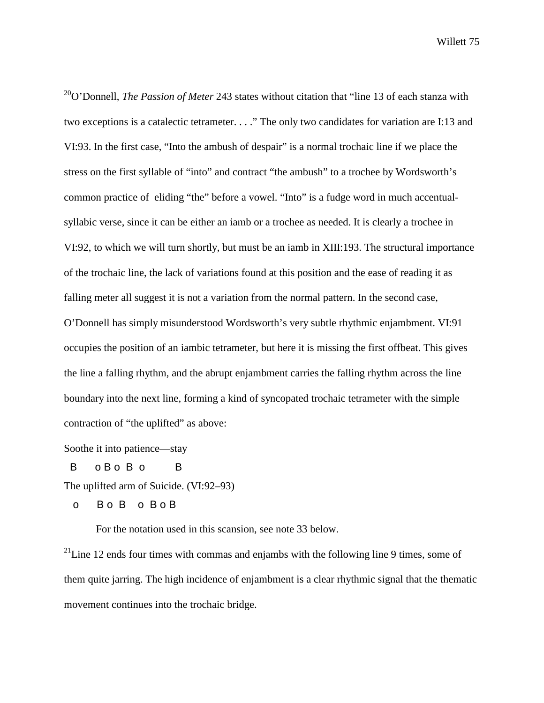<sup>20</sup>O'Donnell, *The Passion of Meter* 243 states without citation that "line 13 of each stanza with two exceptions is a catalectic tetrameter. . . ." The only two candidates for variation are I:13 and VI:93. In the first case, "Into the ambush of despair" is a normal trochaic line if we place the stress on the first syllable of "into" and contract "the ambush" to a trochee by Wordsworth's common practice of eliding "the" before a vowel. "Into" is a fudge word in much accentualsyllabic verse, since it can be either an iamb or a trochee as needed. It is clearly a trochee in VI:92, to which we will turn shortly, but must be an iamb in XIII:193. The structural importance of the trochaic line, the lack of variations found at this position and the ease of reading it as falling meter all suggest it is not a variation from the normal pattern. In the second case, O'Donnell has simply misunderstood Wordsworth's very subtle rhythmic enjambment. VI:91 occupies the position of an iambic tetrameter, but here it is missing the first offbeat. This gives the line a falling rhythm, and the abrupt enjambment carries the falling rhythm across the line boundary into the next line, forming a kind of syncopated trochaic tetrameter with the simple contraction of "the uplifted" as above:

Soothe it into patience—stay

B  $0$  B  $0$  B  $0$  B  $0$  B  $0$  B  $0$  B  $0$  B  $0$  B  $0$  B  $0$  B  $0$  B  $0$  B  $0$  B  $0$  B  $0$  B  $0$  B  $0$  B  $0$  B  $0$  B  $0$  B  $0$  B  $0$  B  $0$  B  $0$  B  $0$  B  $0$  B  $0$  B  $0$  B  $0$  B  $0$  B  $0$  B  $0$  B  $0$  B  $0$  B  $0$  B  $0$  B  $0$ 

The uplifted arm of Suicide. (VI:92–93)

o B o B o B o B

For the notation used in this scansion, see note 33 below.

 $^{21}$ Line 12 ends four times with commas and enjambs with the following line 9 times, some of them quite jarring. The high incidence of enjambment is a clear rhythmic signal that the thematic movement continues into the trochaic bridge.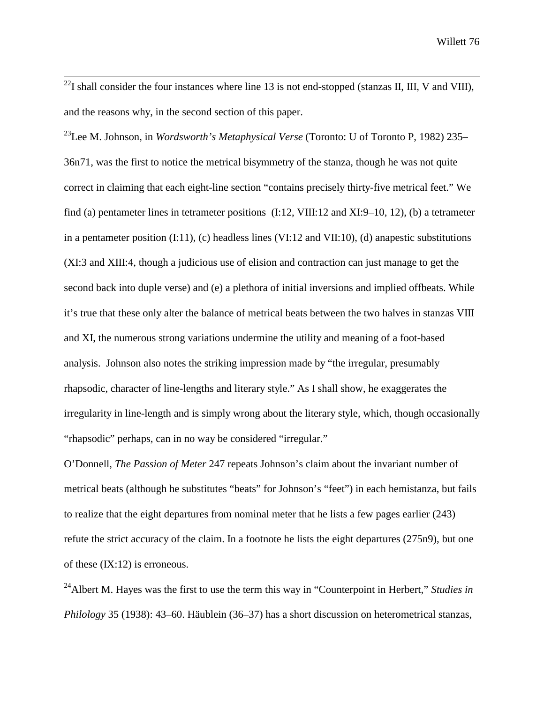$^{22}$ I shall consider the four instances where line 13 is not end-stopped (stanzas II, III, V and VIII), and the reasons why, in the second section of this paper.

23Lee M. Johnson, in *Wordsworth's Metaphysical Verse* (Toronto: U of Toronto P, 1982) 235– 36n71, was the first to notice the metrical bisymmetry of the stanza, though he was not quite correct in claiming that each eight-line section "contains precisely thirty-five metrical feet." We find (a) pentameter lines in tetrameter positions (I:12, VIII:12 and XI:9–10, 12), (b) a tetrameter in a pentameter position (I:11), (c) headless lines (VI:12 and VII:10), (d) anapestic substitutions (XI:3 and XIII:4, though a judicious use of elision and contraction can just manage to get the second back into duple verse) and (e) a plethora of initial inversions and implied offbeats. While it's true that these only alter the balance of metrical beats between the two halves in stanzas VIII and XI, the numerous strong variations undermine the utility and meaning of a foot-based analysis. Johnson also notes the striking impression made by "the irregular, presumably rhapsodic, character of line-lengths and literary style." As I shall show, he exaggerates the irregularity in line-length and is simply wrong about the literary style, which, though occasionally "rhapsodic" perhaps, can in no way be considered "irregular."

O'Donnell, *The Passion of Meter* 247 repeats Johnson's claim about the invariant number of metrical beats (although he substitutes "beats" for Johnson's "feet") in each hemistanza, but fails to realize that the eight departures from nominal meter that he lists a few pages earlier (243) refute the strict accuracy of the claim. In a footnote he lists the eight departures (275n9), but one of these  $(IX:12)$  is erroneous.

24Albert M. Hayes was the first to use the term this way in "Counterpoint in Herbert," *Studies in Philology* 35 (1938): 43–60. Häublein (36–37) has a short discussion on heterometrical stanzas,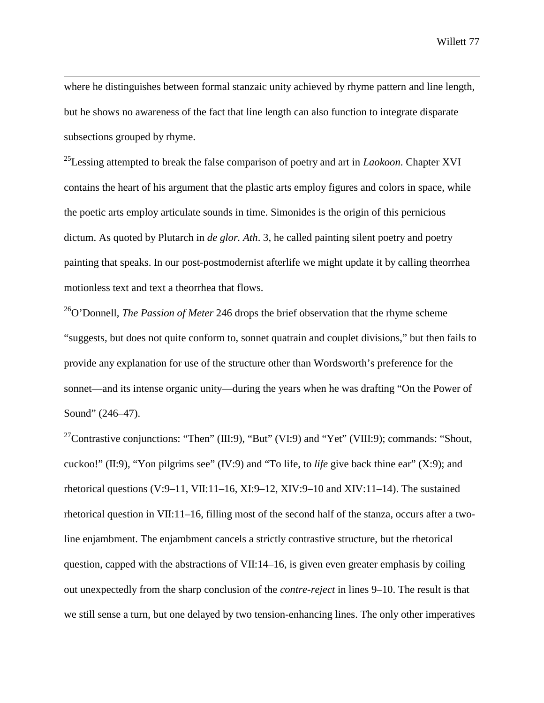where he distinguishes between formal stanzaic unity achieved by rhyme pattern and line length, but he shows no awareness of the fact that line length can also function to integrate disparate subsections grouped by rhyme.

 $\overline{a}$ 

25Lessing attempted to break the false comparison of poetry and art in *Laokoon*. Chapter XVI contains the heart of his argument that the plastic arts employ figures and colors in space, while the poetic arts employ articulate sounds in time. Simonides is the origin of this pernicious dictum. As quoted by Plutarch in *de glor. Ath*. 3, he called painting silent poetry and poetry painting that speaks. In our post-postmodernist afterlife we might update it by calling theorrhea motionless text and text a theorrhea that flows.

26O'Donnell, *The Passion of Meter* 246 drops the brief observation that the rhyme scheme "suggests, but does not quite conform to, sonnet quatrain and couplet divisions," but then fails to provide any explanation for use of the structure other than Wordsworth's preference for the sonnet—and its intense organic unity—during the years when he was drafting "On the Power of Sound" (246–47).

<sup>27</sup>Contrastive conjunctions: "Then" (III:9), "But" (VI:9) and "Yet" (VIII:9); commands: "Shout, cuckoo!" (II:9), "Yon pilgrims see" (IV:9) and "To life, to *life* give back thine ear" (X:9); and rhetorical questions (V:9–11, VII:11–16, XI:9–12, XIV:9–10 and XIV:11–14). The sustained rhetorical question in VII:11–16, filling most of the second half of the stanza, occurs after a twoline enjambment. The enjambment cancels a strictly contrastive structure, but the rhetorical question, capped with the abstractions of VII:14–16, is given even greater emphasis by coiling out unexpectedly from the sharp conclusion of the *contre-reject* in lines 9–10. The result is that we still sense a turn, but one delayed by two tension-enhancing lines. The only other imperatives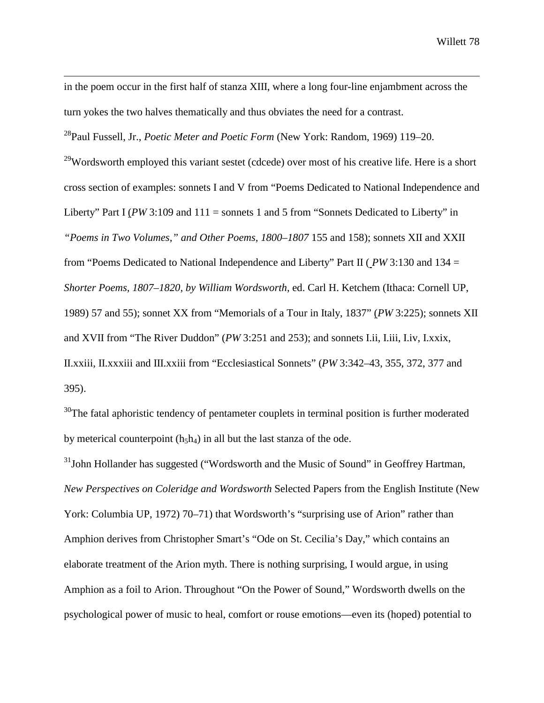in the poem occur in the first half of stanza XIII, where a long four-line enjambment across the turn yokes the two halves thematically and thus obviates the need for a contrast.

28Paul Fussell, Jr., *Poetic Meter and Poetic Form* (New York: Random, 1969) 119–20.

 $\overline{a}$ 

<sup>29</sup>Wordsworth employed this variant sestet (cdcede) over most of his creative life. Here is a short cross section of examples: sonnets I and V from "Poems Dedicated to National Independence and Liberty" Part I ( $PW3:109$  and  $111 =$  sonnets 1 and 5 from "Sonnets Dedicated to Liberty" in *"Poems in Two Volumes," and Other Poems, 1800–1807* 155 and 158); sonnets XII and XXII from "Poems Dedicated to National Independence and Liberty" Part II ( *PW* 3:130 and 134 = *Shorter Poems, 1807–1820, by William Wordsworth*, ed. Carl H. Ketchem (Ithaca: Cornell UP, 1989) 57 and 55); sonnet XX from "Memorials of a Tour in Italy, 1837" (*PW* 3:225); sonnets XII and XVII from "The River Duddon" (*PW* 3:251 and 253); and sonnets I.ii, I.iii, I.iv, I.xxix, II.xxiii, II.xxxiii and III.xxiii from "Ecclesiastical Sonnets" (*PW* 3:342–43, 355, 372, 377 and 395).

 $30$ The fatal aphoristic tendency of pentameter couplets in terminal position is further moderated by meterical counterpoint  $(h_5h_4)$  in all but the last stanza of the ode.

<sup>31</sup>John Hollander has suggested ("Wordsworth and the Music of Sound" in Geoffrey Hartman, *New Perspectives on Coleridge and Wordsworth* Selected Papers from the English Institute (New York: Columbia UP, 1972) 70–71) that Wordsworth's "surprising use of Arion" rather than Amphion derives from Christopher Smart's "Ode on St. Cecilia's Day," which contains an elaborate treatment of the Arion myth. There is nothing surprising, I would argue, in using Amphion as a foil to Arion. Throughout "On the Power of Sound," Wordsworth dwells on the psychological power of music to heal, comfort or rouse emotions—even its (hoped) potential to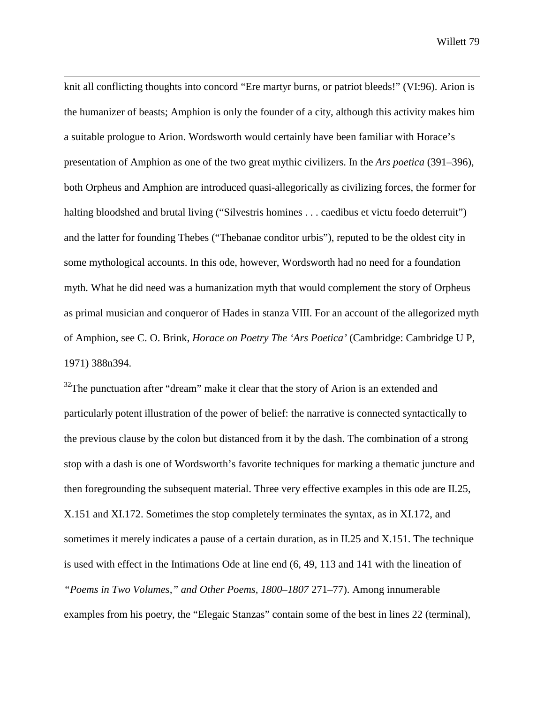knit all conflicting thoughts into concord "Ere martyr burns, or patriot bleeds!" (VI:96). Arion is the humanizer of beasts; Amphion is only the founder of a city, although this activity makes him a suitable prologue to Arion. Wordsworth would certainly have been familiar with Horace's presentation of Amphion as one of the two great mythic civilizers. In the *Ars poetica* (391–396), both Orpheus and Amphion are introduced quasi-allegorically as civilizing forces, the former for halting bloodshed and brutal living ("Silvestris homines . . . caedibus et victu foedo deterruit") and the latter for founding Thebes ("Thebanae conditor urbis"), reputed to be the oldest city in some mythological accounts. In this ode, however, Wordsworth had no need for a foundation myth. What he did need was a humanization myth that would complement the story of Orpheus as primal musician and conqueror of Hades in stanza VIII. For an account of the allegorized myth of Amphion, see C. O. Brink, *Horace on Poetry The 'Ars Poetica'* (Cambridge: Cambridge U P, 1971) 388n394.

 $\overline{a}$ 

 $32$ The punctuation after "dream" make it clear that the story of Arion is an extended and particularly potent illustration of the power of belief: the narrative is connected syntactically to the previous clause by the colon but distanced from it by the dash. The combination of a strong stop with a dash is one of Wordsworth's favorite techniques for marking a thematic juncture and then foregrounding the subsequent material. Three very effective examples in this ode are II.25, X.151 and XI.172. Sometimes the stop completely terminates the syntax, as in XI.172, and sometimes it merely indicates a pause of a certain duration, as in II.25 and X.151. The technique is used with effect in the Intimations Ode at line end (6, 49, 113 and 141 with the lineation of *"Poems in Two Volumes," and Other Poems, 1800–1807* 271–77). Among innumerable examples from his poetry, the "Elegaic Stanzas" contain some of the best in lines 22 (terminal),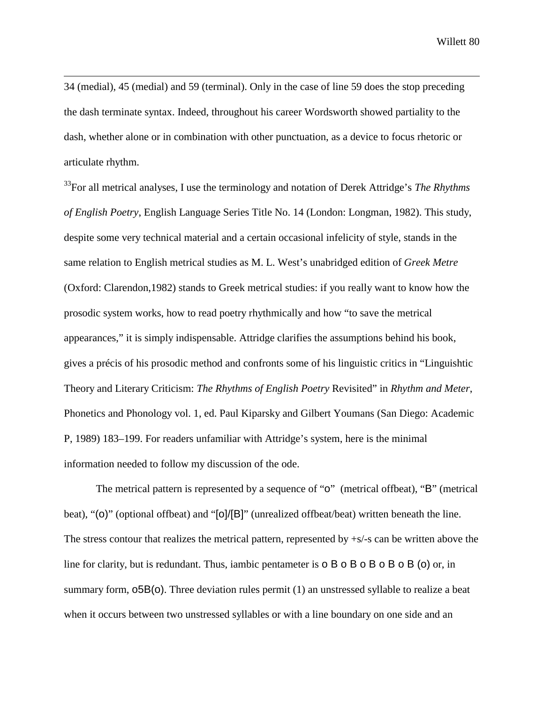34 (medial), 45 (medial) and 59 (terminal). Only in the case of line 59 does the stop preceding the dash terminate syntax. Indeed, throughout his career Wordsworth showed partiality to the dash, whether alone or in combination with other punctuation, as a device to focus rhetoric or articulate rhythm.

 $\overline{a}$ 

33For all metrical analyses, I use the terminology and notation of Derek Attridge's *The Rhythms of English Poetry*, English Language Series Title No. 14 (London: Longman, 1982). This study, despite some very technical material and a certain occasional infelicity of style, stands in the same relation to English metrical studies as M. L. West's unabridged edition of *Greek Metre* (Oxford: Clarendon,1982) stands to Greek metrical studies: if you really want to know how the prosodic system works, how to read poetry rhythmically and how "to save the metrical appearances," it is simply indispensable. Attridge clarifies the assumptions behind his book, gives a précis of his prosodic method and confronts some of his linguistic critics in "Linguishtic Theory and Literary Criticism: *The Rhythms of English Poetry* Revisited" in *Rhythm and Meter*, Phonetics and Phonology vol. 1, ed. Paul Kiparsky and Gilbert Youmans (San Diego: Academic P, 1989) 183–199. For readers unfamiliar with Attridge's system, here is the minimal information needed to follow my discussion of the ode.

The metrical pattern is represented by a sequence of "o" (metrical offbeat), "B" (metrical beat), "(o)" (optional offbeat) and "[o]/[B]" (unrealized offbeat/beat) written beneath the line. The stress contour that realizes the metrical pattern, represented by +s/-s can be written above the line for clarity, but is redundant. Thus, iambic pentameter is **o** B **o** B **o** B **o** B **o** B **o** B (**o**) or, in summary form,  $\sigma$ 5B( $\sigma$ ). Three deviation rules permit (1) an unstressed syllable to realize a beat when it occurs between two unstressed syllables or with a line boundary on one side and an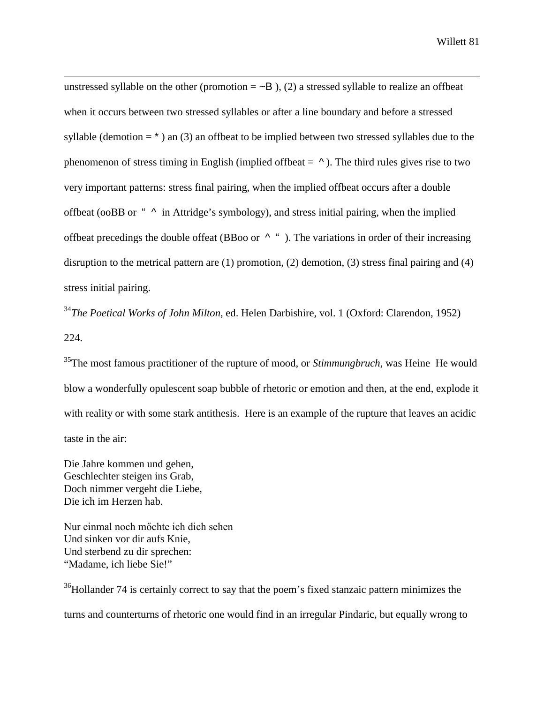unstressed syllable on the other (promotion  $= \sim B$ ), (2) a stressed syllable to realize an offbeat when it occurs between two stressed syllables or after a line boundary and before a stressed syllable (demotion  $=$   $*$ ) an (3) an offbeat to be implied between two stressed syllables due to the phenomenon of stress timing in English (implied offbeat  $= \lambda$ ). The third rules gives rise to two very important patterns: stress final pairing, when the implied offbeat occurs after a double offbeat (ooBB or "  $\land$  in Attridge's symbology), and stress initial pairing, when the implied offbeat precedings the double offeat (BBoo or  $\wedge$  "). The variations in order of their increasing disruption to the metrical pattern are (1) promotion, (2) demotion, (3) stress final pairing and (4) stress initial pairing.

<sup>34</sup>*The Poetical Works of John Milton*, ed. Helen Darbishire, vol. 1 (Oxford: Clarendon, 1952) 224.

35The most famous practitioner of the rupture of mood, or *Stimmungbruch*, was Heine He would blow a wonderfully opulescent soap bubble of rhetoric or emotion and then, at the end, explode it with reality or with some stark antithesis. Here is an example of the rupture that leaves an acidic taste in the air:

Die Jahre kommen und gehen, Geschlechter steigen ins Grab, Doch nimmer vergeht die Liebe, Die ich im Herzen hab.

 $\overline{a}$ 

Nur einmal noch möchte ich dich sehen Und sinken vor dir aufs Knie, Und sterbend zu dir sprechen: "Madame, ich liebe Sie!"

<sup>36</sup>Hollander 74 is certainly correct to say that the poem's fixed stanzaic pattern minimizes the turns and counterturns of rhetoric one would find in an irregular Pindaric, but equally wrong to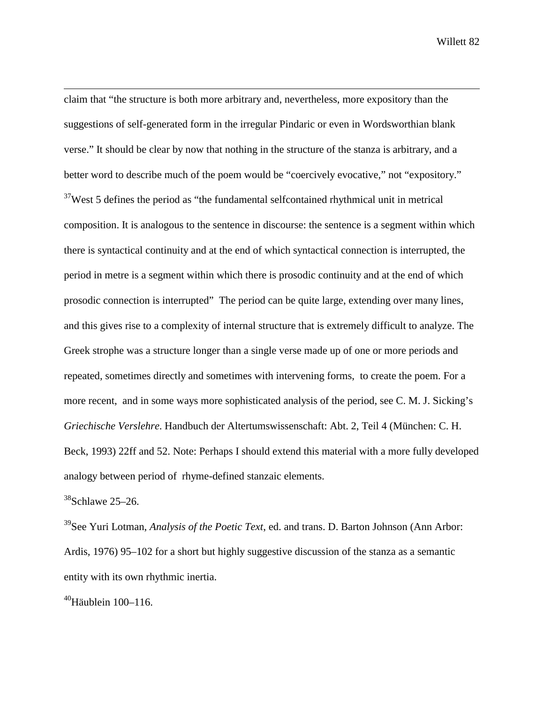claim that "the structure is both more arbitrary and, nevertheless, more expository than the suggestions of self-generated form in the irregular Pindaric or even in Wordsworthian blank verse." It should be clear by now that nothing in the structure of the stanza is arbitrary, and a better word to describe much of the poem would be "coercively evocative," not "expository."  $37$ West 5 defines the period as "the fundamental selfcontained rhythmical unit in metrical composition. It is analogous to the sentence in discourse: the sentence is a segment within which there is syntactical continuity and at the end of which syntactical connection is interrupted, the period in metre is a segment within which there is prosodic continuity and at the end of which prosodic connection is interrupted" The period can be quite large, extending over many lines, and this gives rise to a complexity of internal structure that is extremely difficult to analyze. The Greek strophe was a structure longer than a single verse made up of one or more periods and repeated, sometimes directly and sometimes with intervening forms, to create the poem. For a more recent, and in some ways more sophisticated analysis of the period, see C. M. J. Sicking's *Griechische Verslehre*. Handbuch der Altertumswissenschaft: Abt. 2, Teil 4 (München: C. H. Beck, 1993) 22ff and 52. Note: Perhaps I should extend this material with a more fully developed analogy between period of rhyme-defined stanzaic elements.

 $38$ Schlawe 25–26.

 $\overline{a}$ 

39See Yuri Lotman, *Analysis of the Poetic Text*, ed. and trans. D. Barton Johnson (Ann Arbor: Ardis, 1976) 95–102 for a short but highly suggestive discussion of the stanza as a semantic entity with its own rhythmic inertia.

 $40$ Häublein 100–116.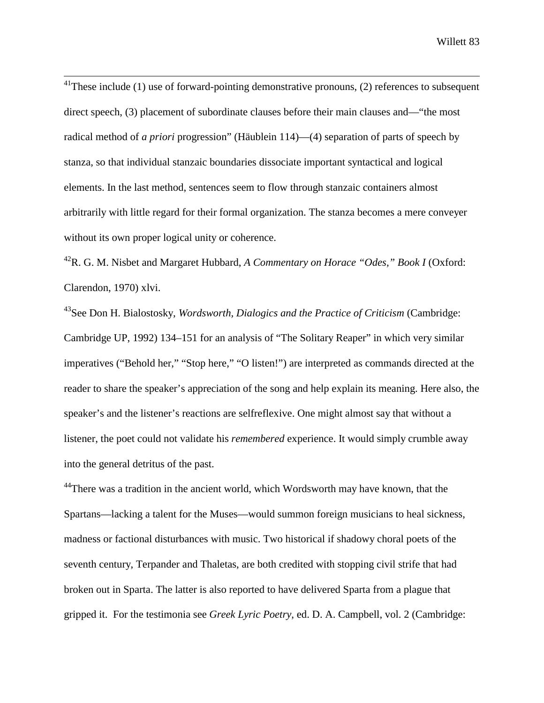$^{41}$ These include (1) use of forward-pointing demonstrative pronouns, (2) references to subsequent direct speech, (3) placement of subordinate clauses before their main clauses and—"the most radical method of *a priori* progression" (Häublein 114)—(4) separation of parts of speech by stanza, so that individual stanzaic boundaries dissociate important syntactical and logical elements. In the last method, sentences seem to flow through stanzaic containers almost arbitrarily with little regard for their formal organization. The stanza becomes a mere conveyer without its own proper logical unity or coherence.

42R. G. M. Nisbet and Margaret Hubbard, *A Commentary on Horace "Odes," Book I* (Oxford: Clarendon, 1970) xlvi.

43See Don H. Bialostosky, *Wordsworth, Dialogics and the Practice of Criticism* (Cambridge: Cambridge UP, 1992) 134–151 for an analysis of "The Solitary Reaper" in which very similar imperatives ("Behold her," "Stop here," "O listen!") are interpreted as commands directed at the reader to share the speaker's appreciation of the song and help explain its meaning. Here also, the speaker's and the listener's reactions are selfreflexive. One might almost say that without a listener, the poet could not validate his *remembered* experience. It would simply crumble away into the general detritus of the past.

 $44$ There was a tradition in the ancient world, which Wordsworth may have known, that the Spartans—lacking a talent for the Muses—would summon foreign musicians to heal sickness, madness or factional disturbances with music. Two historical if shadowy choral poets of the seventh century, Terpander and Thaletas, are both credited with stopping civil strife that had broken out in Sparta. The latter is also reported to have delivered Sparta from a plague that gripped it. For the testimonia see *Greek Lyric Poetry*, ed. D. A. Campbell, vol. 2 (Cambridge: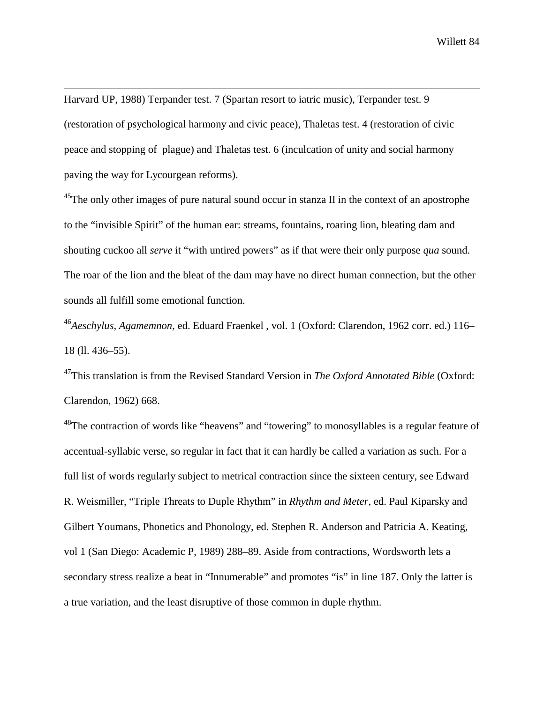Harvard UP, 1988) Terpander test. 7 (Spartan resort to iatric music), Terpander test. 9 (restoration of psychological harmony and civic peace), Thaletas test. 4 (restoration of civic peace and stopping of plague) and Thaletas test. 6 (inculcation of unity and social harmony paving the way for Lycourgean reforms).

 $\overline{a}$ 

 $^{45}$ The only other images of pure natural sound occur in stanza II in the context of an apostrophe to the "invisible Spirit" of the human ear: streams, fountains, roaring lion, bleating dam and shouting cuckoo all *serve* it "with untired powers" as if that were their only purpose *qua* sound. The roar of the lion and the bleat of the dam may have no direct human connection, but the other sounds all fulfill some emotional function.

<sup>46</sup>*Aeschylus, Agamemnon*, ed. Eduard Fraenkel , vol. 1 (Oxford: Clarendon, 1962 corr. ed.) 116– 18 (ll. 436–55).

47This translation is from the Revised Standard Version in *The Oxford Annotated Bible* (Oxford: Clarendon, 1962) 668.

 $^{48}$ The contraction of words like "heavens" and "towering" to monosyllables is a regular feature of accentual-syllabic verse, so regular in fact that it can hardly be called a variation as such. For a full list of words regularly subject to metrical contraction since the sixteen century, see Edward R. Weismiller, "Triple Threats to Duple Rhythm" in *Rhythm and Meter*, ed. Paul Kiparsky and Gilbert Youmans, Phonetics and Phonology, ed. Stephen R. Anderson and Patricia A. Keating, vol 1 (San Diego: Academic P, 1989) 288–89. Aside from contractions, Wordsworth lets a secondary stress realize a beat in "Innumerable" and promotes "is" in line 187. Only the latter is a true variation, and the least disruptive of those common in duple rhythm.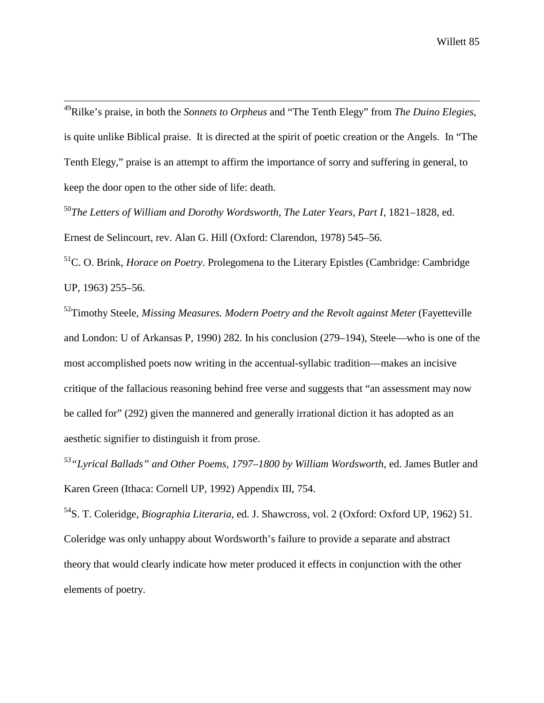49Rilke's praise, in both the *Sonnets to Orpheus* and "The Tenth Elegy" from *The Duino Elegies*, is quite unlike Biblical praise. It is directed at the spirit of poetic creation or the Angels. In "The Tenth Elegy," praise is an attempt to affirm the importance of sorry and suffering in general, to keep the door open to the other side of life: death.

<sup>50</sup>*The Letters of William and Dorothy Wordsworth, The Later Years, Part I*, 1821–1828, ed. Ernest de Selincourt, rev. Alan G. Hill (Oxford: Clarendon, 1978) 545–56.

51C. O. Brink, *Horace on Poetry*. Prolegomena to the Literary Epistles (Cambridge: Cambridge UP, 1963) 255–56.

52Timothy Steele, *Missing Measures. Modern Poetry and the Revolt against Meter* (Fayetteville and London: U of Arkansas P, 1990) 282. In his conclusion (279–194), Steele—who is one of the most accomplished poets now writing in the accentual-syllabic tradition—makes an incisive critique of the fallacious reasoning behind free verse and suggests that "an assessment may now be called for" (292) given the mannered and generally irrational diction it has adopted as an aesthetic signifier to distinguish it from prose.

*53"Lyrical Ballads" and Other Poems, 1797–1800 by William Wordsworth*, ed. James Butler and Karen Green (Ithaca: Cornell UP, 1992) Appendix III, 754.

54S. T. Coleridge, *Biographia Literaria*, ed. J. Shawcross, vol. 2 (Oxford: Oxford UP, 1962) 51. Coleridge was only unhappy about Wordsworth's failure to provide a separate and abstract theory that would clearly indicate how meter produced it effects in conjunction with the other elements of poetry.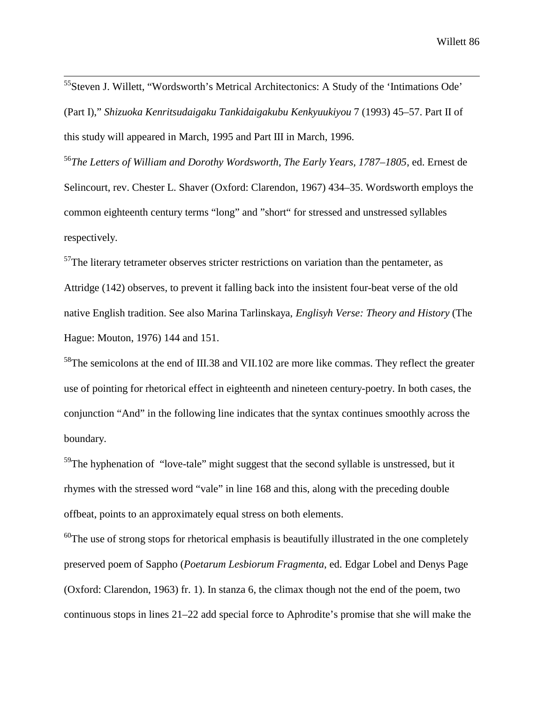55Steven J. Willett, "Wordsworth's Metrical Architectonics: A Study of the 'Intimations Ode' (Part I)," *Shizuoka Kenritsudaigaku Tankidaigakubu Kenkyuukiyou* 7 (1993) 45–57. Part II of this study will appeared in March, 1995 and Part III in March, 1996.

<sup>56</sup>*The Letters of William and Dorothy Wordsworth, The Early Years, 1787–1805*, ed. Ernest de Selincourt, rev. Chester L. Shaver (Oxford: Clarendon, 1967) 434–35. Wordsworth employs the common eighteenth century terms "long" and "short" for stressed and unstressed syllables respectively.

 $57$ The literary tetrameter observes stricter restrictions on variation than the pentameter, as Attridge (142) observes, to prevent it falling back into the insistent four-beat verse of the old native English tradition. See also Marina Tarlinskaya, *Englisyh Verse: Theory and History* (The Hague: Mouton, 1976) 144 and 151.

<sup>58</sup>The semicolons at the end of III.38 and VII.102 are more like commas. They reflect the greater use of pointing for rhetorical effect in eighteenth and nineteen century-poetry. In both cases, the conjunction "And" in the following line indicates that the syntax continues smoothly across the boundary.

 $59$ The hyphenation of "love-tale" might suggest that the second syllable is unstressed, but it rhymes with the stressed word "vale" in line 168 and this, along with the preceding double offbeat, points to an approximately equal stress on both elements.

 $60$ The use of strong stops for rhetorical emphasis is beautifully illustrated in the one completely preserved poem of Sappho (*Poetarum Lesbiorum Fragmenta*, ed. Edgar Lobel and Denys Page (Oxford: Clarendon, 1963) fr. 1). In stanza 6, the climax though not the end of the poem, two continuous stops in lines 21–22 add special force to Aphrodite's promise that she will make the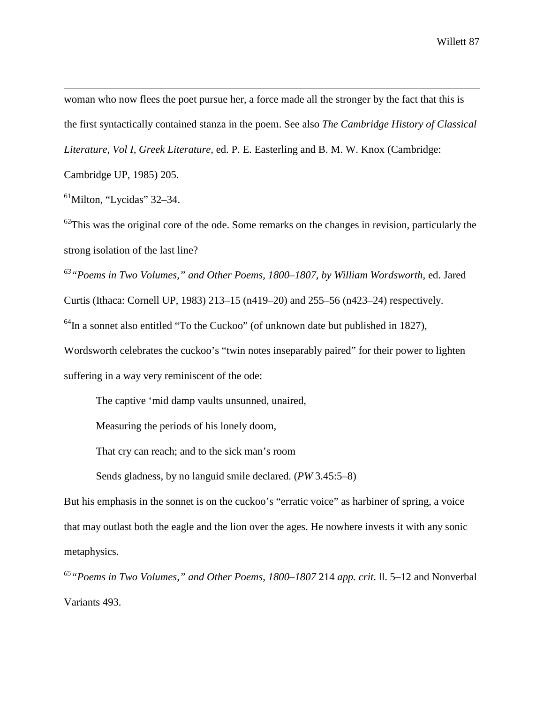$\overline{a}$ woman who now flees the poet pursue her, a force made all the stronger by the fact that this is the first syntactically contained stanza in the poem. See also *The Cambridge History of Classical Literature, Vol I, Greek Literature*, ed. P. E. Easterling and B. M. W. Knox (Cambridge:

Cambridge UP, 1985) 205.

 $61$ Milton, "Lycidas" 32–34.

 $62$ This was the original core of the ode. Some remarks on the changes in revision, particularly the strong isolation of the last line?

*63"Poems in Two Volumes," and Other Poems, 1800–1807, by William Wordsworth*, ed. Jared Curtis (Ithaca: Cornell UP, 1983) 213–15 (n419–20) and 255–56 (n423–24) respectively.  $64$ In a sonnet also entitled "To the Cuckoo" (of unknown date but published in 1827), Wordsworth celebrates the cuckoo's "twin notes inseparably paired" for their power to lighten suffering in a way very reminiscent of the ode:

The captive 'mid damp vaults unsunned, unaired,

Measuring the periods of his lonely doom,

That cry can reach; and to the sick man's room

Sends gladness, by no languid smile declared. (*PW* 3.45:5–8)

But his emphasis in the sonnet is on the cuckoo's "erratic voice" as harbiner of spring, a voice that may outlast both the eagle and the lion over the ages. He nowhere invests it with any sonic metaphysics.

*65"Poems in Two Volumes," and Other Poems, 1800–1807* 214 *app. crit*. ll. 5–12 and Nonverbal Variants 493.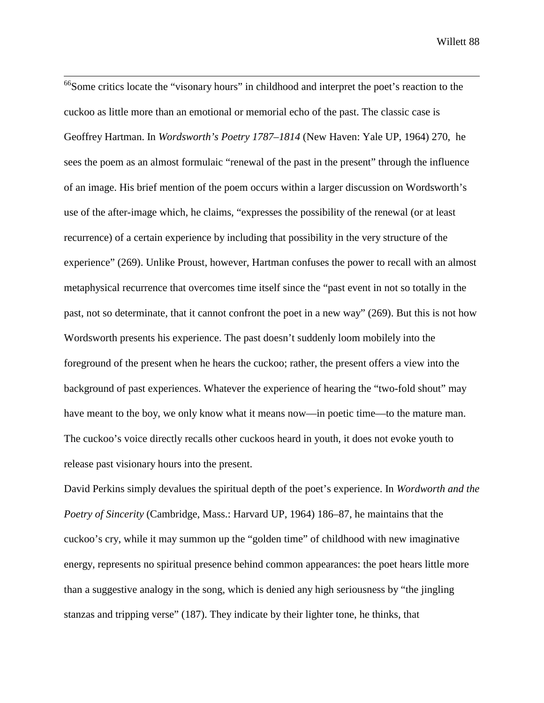<sup>66</sup>Some critics locate the "visonary hours" in childhood and interpret the poet's reaction to the cuckoo as little more than an emotional or memorial echo of the past. The classic case is Geoffrey Hartman. In *Wordsworth's Poetry 1787–1814* (New Haven: Yale UP, 1964) 270, he sees the poem as an almost formulaic "renewal of the past in the present" through the influence of an image. His brief mention of the poem occurs within a larger discussion on Wordsworth's use of the after-image which, he claims, "expresses the possibility of the renewal (or at least recurrence) of a certain experience by including that possibility in the very structure of the experience" (269). Unlike Proust, however, Hartman confuses the power to recall with an almost metaphysical recurrence that overcomes time itself since the "past event in not so totally in the past, not so determinate, that it cannot confront the poet in a new way" (269). But this is not how Wordsworth presents his experience. The past doesn't suddenly loom mobilely into the foreground of the present when he hears the cuckoo; rather, the present offers a view into the background of past experiences. Whatever the experience of hearing the "two-fold shout" may have meant to the boy, we only know what it means now—in poetic time—to the mature man. The cuckoo's voice directly recalls other cuckoos heard in youth, it does not evoke youth to release past visionary hours into the present.

David Perkins simply devalues the spiritual depth of the poet's experience. In *Wordworth and the Poetry of Sincerity* (Cambridge, Mass.: Harvard UP, 1964) 186–87, he maintains that the cuckoo's cry, while it may summon up the "golden time" of childhood with new imaginative energy, represents no spiritual presence behind common appearances: the poet hears little more than a suggestive analogy in the song, which is denied any high seriousness by "the jingling stanzas and tripping verse" (187). They indicate by their lighter tone, he thinks, that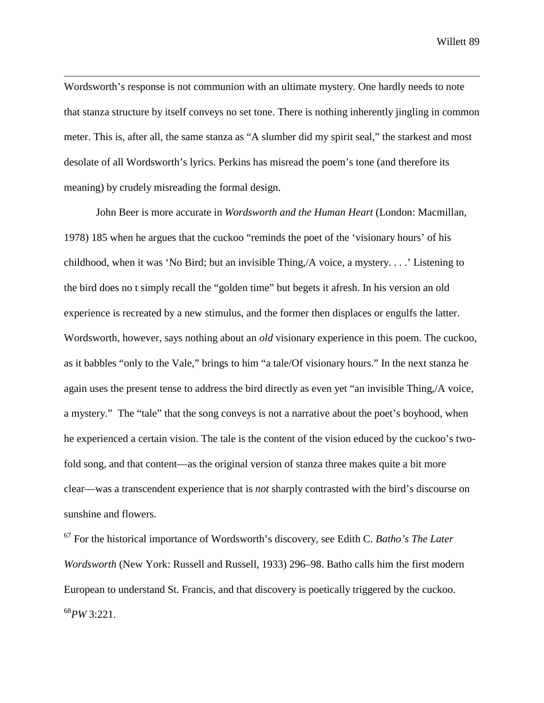Wordsworth's response is not communion with an ultimate mystery. One hardly needs to note that stanza structure by itself conveys no set tone. There is nothing inherently jingling in common meter. This is, after all, the same stanza as "A slumber did my spirit seal," the starkest and most desolate of all Wordsworth's lyrics. Perkins has misread the poem's tone (and therefore its meaning) by crudely misreading the formal design.

 $\overline{a}$ 

John Beer is more accurate in *Wordsworth and the Human Heart* (London: Macmillan, 1978) 185 when he argues that the cuckoo "reminds the poet of the 'visionary hours' of his childhood, when it was 'No Bird; but an invisible Thing,/A voice, a mystery. . . .' Listening to the bird does no t simply recall the "golden time" but begets it afresh. In his version an old experience is recreated by a new stimulus, and the former then displaces or engulfs the latter. Wordsworth, however, says nothing about an *old* visionary experience in this poem. The cuckoo, as it babbles "only to the Vale," brings to him "a tale/Of visionary hours." In the next stanza he again uses the present tense to address the bird directly as even yet "an invisible Thing,/A voice, a mystery." The "tale" that the song conveys is not a narrative about the poet's boyhood, when he experienced a certain vision. The tale is the content of the vision educed by the cuckoo's twofold song, and that content—as the original version of stanza three makes quite a bit more clear—was a transcendent experience that is *not* sharply contrasted with the bird's discourse on sunshine and flowers.

67 For the historical importance of Wordsworth's discovery, see Edith C. *Batho's The Later Wordsworth* (New York: Russell and Russell, 1933) 296–98. Batho calls him the first modern European to understand St. Francis, and that discovery is poetically triggered by the cuckoo. <sup>68</sup>*PW* 3:221.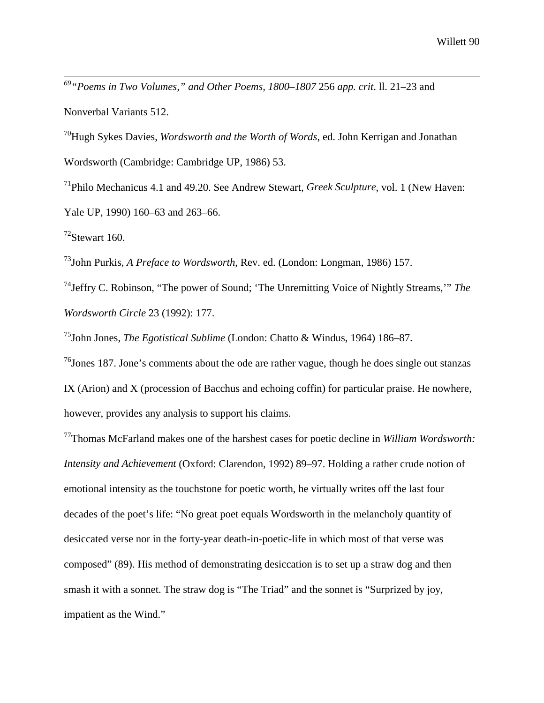*69"Poems in Two Volumes," and Other Poems, 1800–1807* 256 *app. crit*. ll. 21–23 and Nonverbal Variants 512.

70Hugh Sykes Davies, *Wordsworth and the Worth of Words*, ed. John Kerrigan and Jonathan Wordsworth (Cambridge: Cambridge UP, 1986) 53.

71Philo Mechanicus 4.1 and 49.20. See Andrew Stewart, *Greek Sculpture*, vol. 1 (New Haven: Yale UP, 1990) 160–63 and 263–66.

 $72$ Stewart 160.

73John Purkis, *A Preface to Wordsworth*, Rev. ed. (London: Longman, 1986) 157.

74Jeffry C. Robinson, "The power of Sound; 'The Unremitting Voice of Nightly Streams,'" *The Wordsworth Circle* 23 (1992): 177.

75John Jones, *The Egotistical Sublime* (London: Chatto & Windus, 1964) 186–87.

 $^{76}$ Jones 187. Jone's comments about the ode are rather vague, though he does single out stanzas IX (Arion) and X (procession of Bacchus and echoing coffin) for particular praise. He nowhere, however, provides any analysis to support his claims.

77Thomas McFarland makes one of the harshest cases for poetic decline in *William Wordsworth: Intensity and Achievement* (Oxford: Clarendon, 1992) 89–97. Holding a rather crude notion of emotional intensity as the touchstone for poetic worth, he virtually writes off the last four decades of the poet's life: "No great poet equals Wordsworth in the melancholy quantity of desiccated verse nor in the forty-year death-in-poetic-life in which most of that verse was composed" (89). His method of demonstrating desiccation is to set up a straw dog and then smash it with a sonnet. The straw dog is "The Triad" and the sonnet is "Surprized by joy, impatient as the Wind."